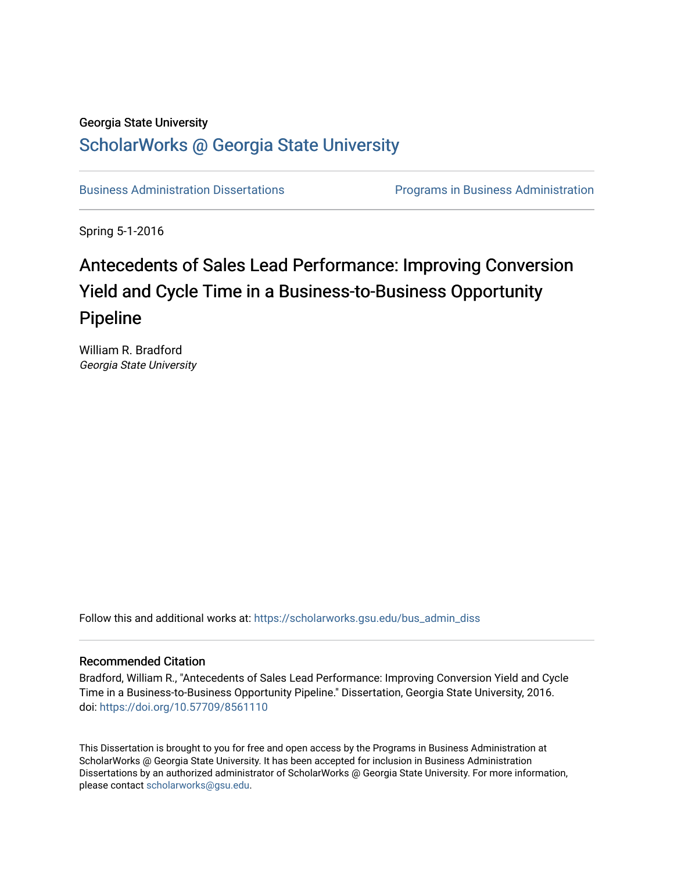# Georgia State University

# [ScholarWorks @ Georgia State University](https://scholarworks.gsu.edu/)

[Business Administration Dissertations](https://scholarworks.gsu.edu/bus_admin_diss) [Programs in Business Administration](https://scholarworks.gsu.edu/bus_admin) 

Spring 5-1-2016

# Antecedents of Sales Lead Performance: Improving Conversion Yield and Cycle Time in a Business-to-Business Opportunity Pipeline

William R. Bradford Georgia State University

Follow this and additional works at: [https://scholarworks.gsu.edu/bus\\_admin\\_diss](https://scholarworks.gsu.edu/bus_admin_diss?utm_source=scholarworks.gsu.edu%2Fbus_admin_diss%2F67&utm_medium=PDF&utm_campaign=PDFCoverPages) 

### Recommended Citation

Bradford, William R., "Antecedents of Sales Lead Performance: Improving Conversion Yield and Cycle Time in a Business-to-Business Opportunity Pipeline." Dissertation, Georgia State University, 2016. doi: <https://doi.org/10.57709/8561110>

This Dissertation is brought to you for free and open access by the Programs in Business Administration at ScholarWorks @ Georgia State University. It has been accepted for inclusion in Business Administration Dissertations by an authorized administrator of ScholarWorks @ Georgia State University. For more information, please contact [scholarworks@gsu.edu.](mailto:scholarworks@gsu.edu)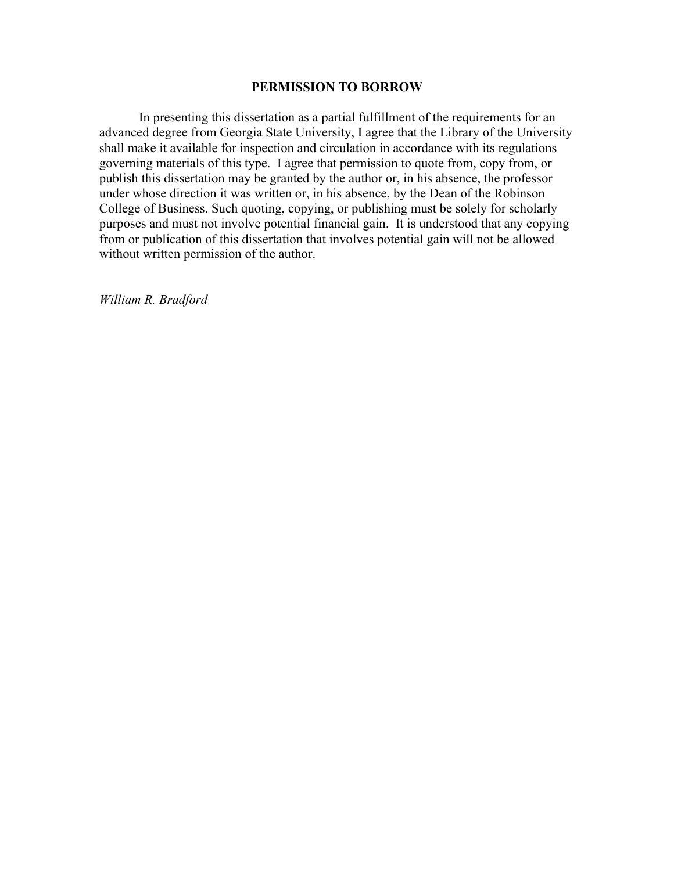# **PERMISSION TO BORROW**

In presenting this dissertation as a partial fulfillment of the requirements for an advanced degree from Georgia State University, I agree that the Library of the University shall make it available for inspection and circulation in accordance with its regulations governing materials of this type. I agree that permission to quote from, copy from, or publish this dissertation may be granted by the author or, in his absence, the professor under whose direction it was written or, in his absence, by the Dean of the Robinson College of Business. Such quoting, copying, or publishing must be solely for scholarly purposes and must not involve potential financial gain. It is understood that any copying from or publication of this dissertation that involves potential gain will not be allowed without written permission of the author.

*William R. Bradford*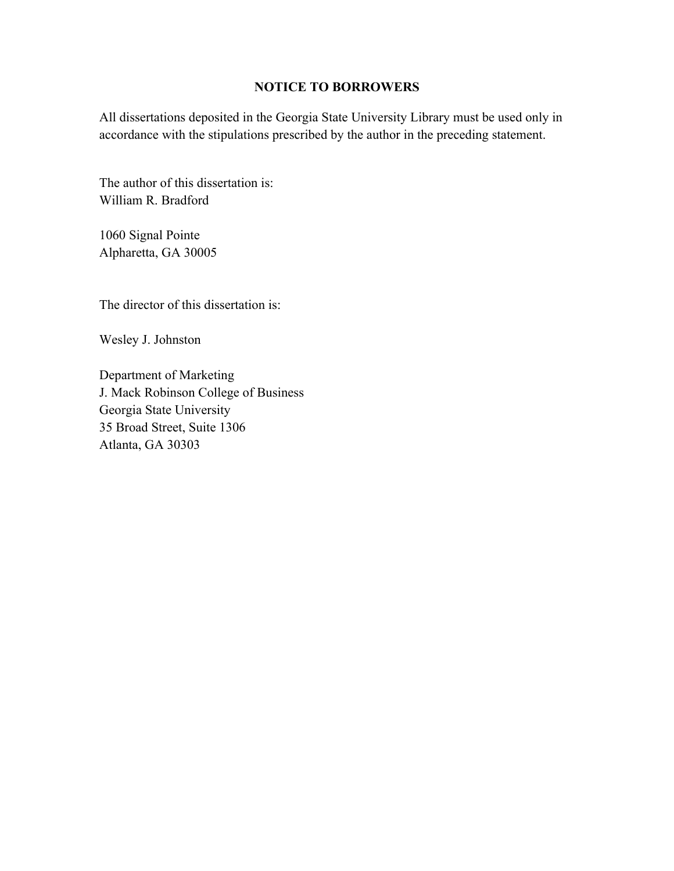# **NOTICE TO BORROWERS**

All dissertations deposited in the Georgia State University Library must be used only in accordance with the stipulations prescribed by the author in the preceding statement.

The author of this dissertation is: William R. Bradford

1060 Signal Pointe Alpharetta, GA 30005

The director of this dissertation is:

Wesley J. Johnston

Department of Marketing J. Mack Robinson College of Business Georgia State University 35 Broad Street, Suite 1306 Atlanta, GA 30303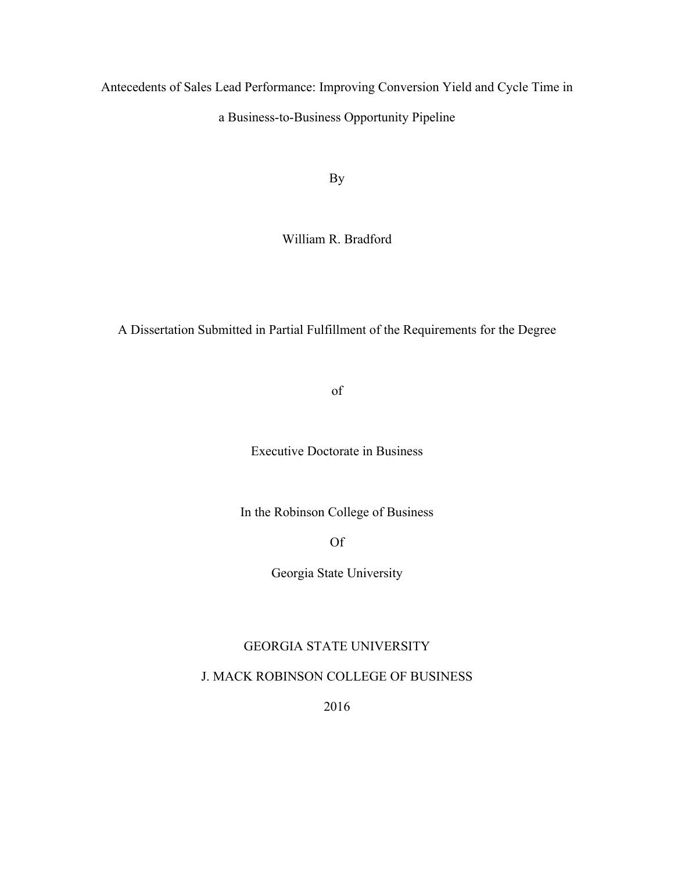Antecedents of Sales Lead Performance: Improving Conversion Yield and Cycle Time in a Business-to-Business Opportunity Pipeline

By

William R. Bradford

A Dissertation Submitted in Partial Fulfillment of the Requirements for the Degree

of

Executive Doctorate in Business

In the Robinson College of Business

Of

Georgia State University

# GEORGIA STATE UNIVERSITY

# J. MACK ROBINSON COLLEGE OF BUSINESS

2016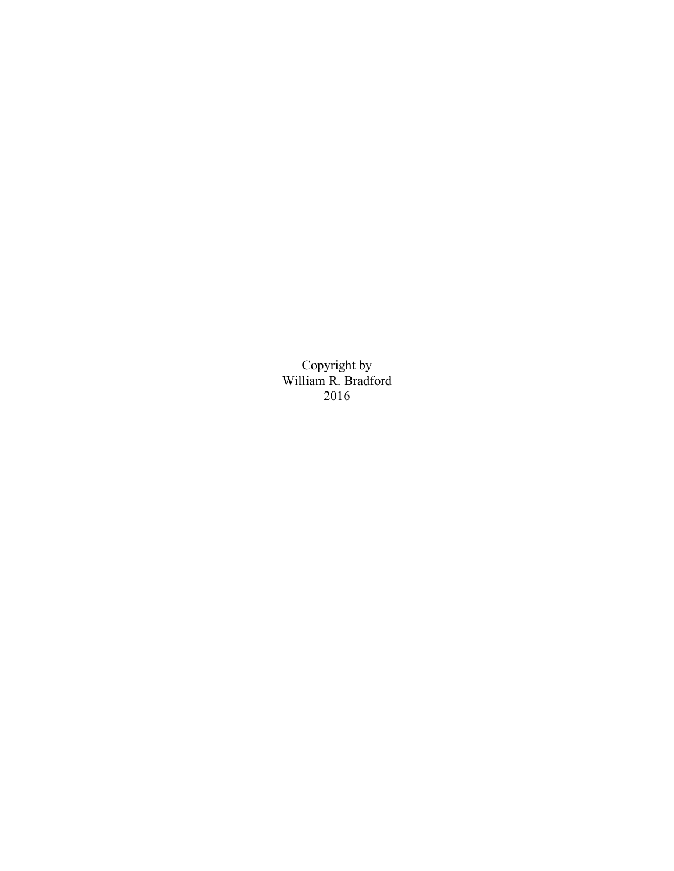Copyright by William R. Bradford 2016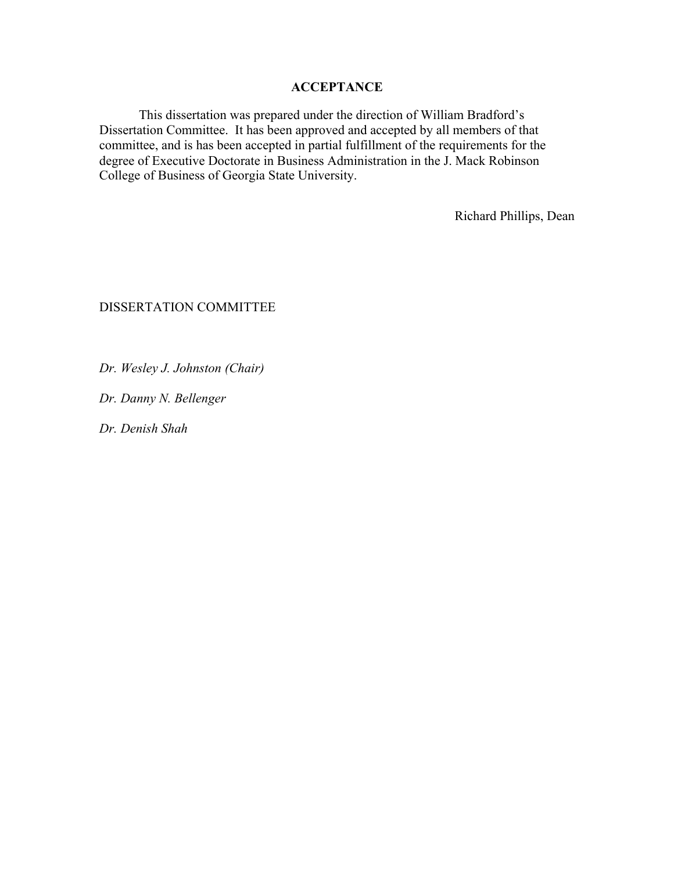# **ACCEPTANCE**

This dissertation was prepared under the direction of William Bradford's Dissertation Committee. It has been approved and accepted by all members of that committee, and is has been accepted in partial fulfillment of the requirements for the degree of Executive Doctorate in Business Administration in the J. Mack Robinson College of Business of Georgia State University.

Richard Phillips, Dean

# DISSERTATION COMMITTEE

*Dr. Wesley J. Johnston (Chair)*

*Dr. Danny N. Bellenger* 

*Dr. Denish Shah*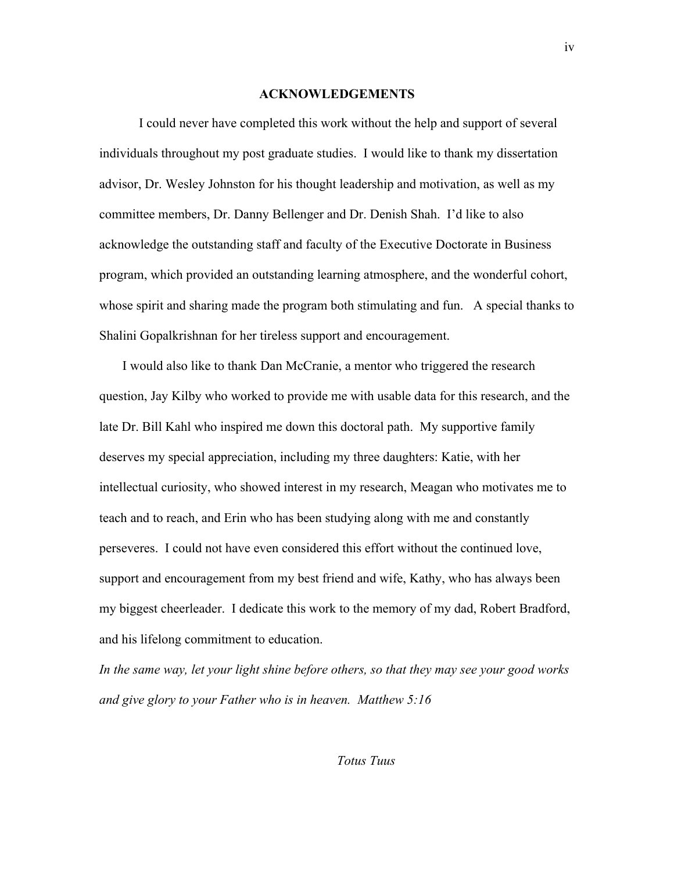#### **ACKNOWLEDGEMENTS**

I could never have completed this work without the help and support of several individuals throughout my post graduate studies. I would like to thank my dissertation advisor, Dr. Wesley Johnston for his thought leadership and motivation, as well as my committee members, Dr. Danny Bellenger and Dr. Denish Shah. I'd like to also acknowledge the outstanding staff and faculty of the Executive Doctorate in Business program, which provided an outstanding learning atmosphere, and the wonderful cohort, whose spirit and sharing made the program both stimulating and fun. A special thanks to Shalini Gopalkrishnan for her tireless support and encouragement.

 I would also like to thank Dan McCranie, a mentor who triggered the research question, Jay Kilby who worked to provide me with usable data for this research, and the late Dr. Bill Kahl who inspired me down this doctoral path. My supportive family deserves my special appreciation, including my three daughters: Katie, with her intellectual curiosity, who showed interest in my research, Meagan who motivates me to teach and to reach, and Erin who has been studying along with me and constantly perseveres. I could not have even considered this effort without the continued love, support and encouragement from my best friend and wife, Kathy, who has always been my biggest cheerleader. I dedicate this work to the memory of my dad, Robert Bradford, and his lifelong commitment to education.

*In the same way, let your light shine before others, so that they may see your good works and give glory to your Father who is in heaven. Matthew 5:16* 

*Totus Tuus*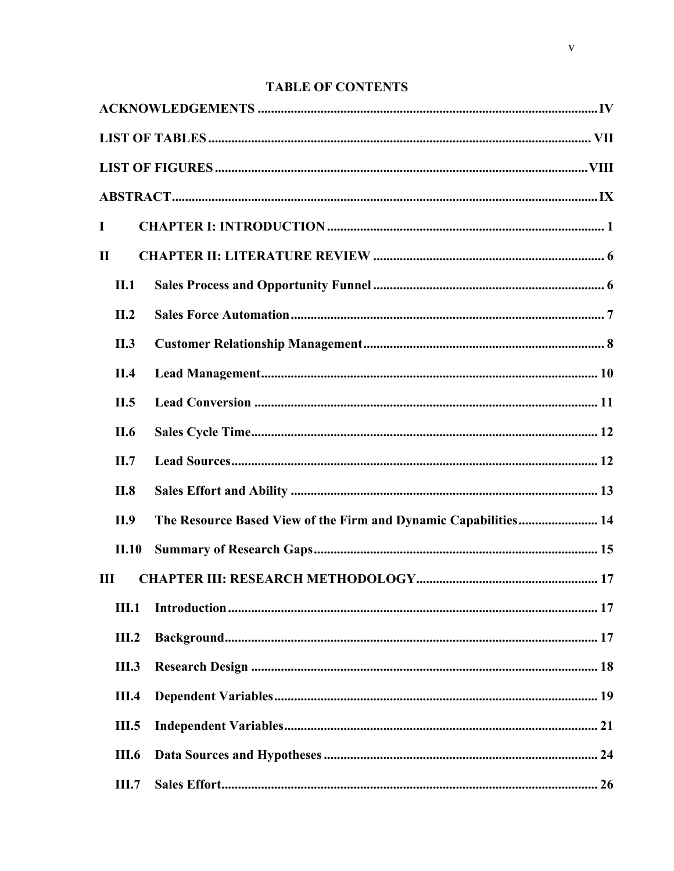# **TABLE OF CONTENTS**

| I            |                                                                 |
|--------------|-----------------------------------------------------------------|
| $\mathbf{I}$ |                                                                 |
| II.1         |                                                                 |
| II.2         |                                                                 |
| II.3         |                                                                 |
| II.4         |                                                                 |
| II.5         |                                                                 |
| II.6         |                                                                 |
| II.7         |                                                                 |
| II.8         |                                                                 |
| II.9         | The Resource Based View of the Firm and Dynamic Capabilities 14 |
| II.10        |                                                                 |
| III          |                                                                 |
| <b>III.1</b> |                                                                 |
| III.2        |                                                                 |
| <b>III.3</b> |                                                                 |
| <b>III.4</b> |                                                                 |
| <b>III.5</b> |                                                                 |
| <b>III.6</b> |                                                                 |
| <b>III.7</b> |                                                                 |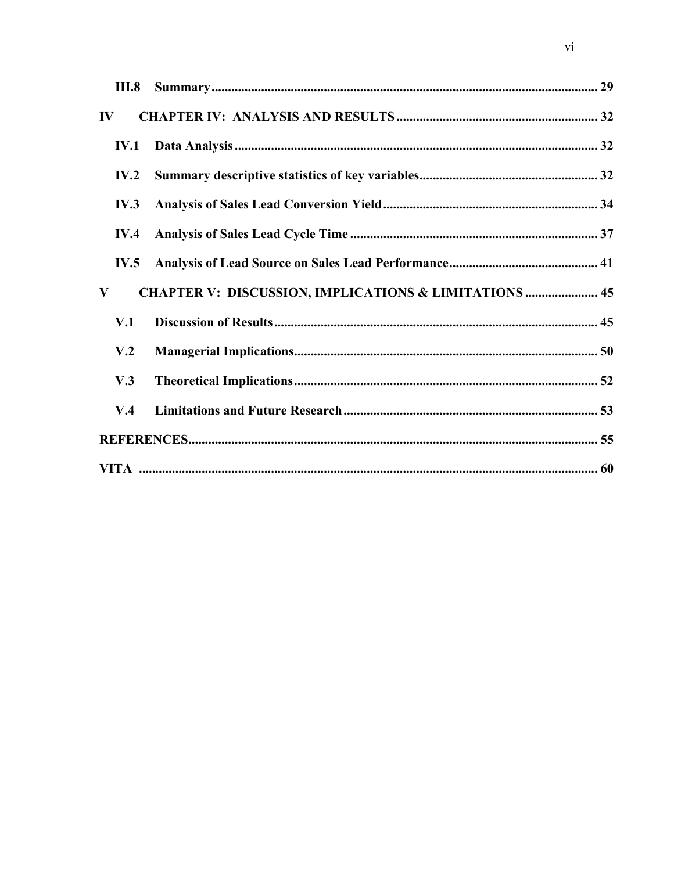| <b>III.8</b>    |                                                                  |  |
|-----------------|------------------------------------------------------------------|--|
| $\bf{IV}$       |                                                                  |  |
| <b>IV.1</b>     |                                                                  |  |
| IV.2            |                                                                  |  |
| IV.3            |                                                                  |  |
| IV.4            |                                                                  |  |
| IV.5            |                                                                  |  |
| V               | <b>CHAPTER V: DISCUSSION, IMPLICATIONS &amp; LIMITATIONS  45</b> |  |
| V.1             |                                                                  |  |
| V <sub>.2</sub> |                                                                  |  |
| V.3             |                                                                  |  |
| V.4             |                                                                  |  |
|                 |                                                                  |  |
|                 |                                                                  |  |

 $\overline{vi}$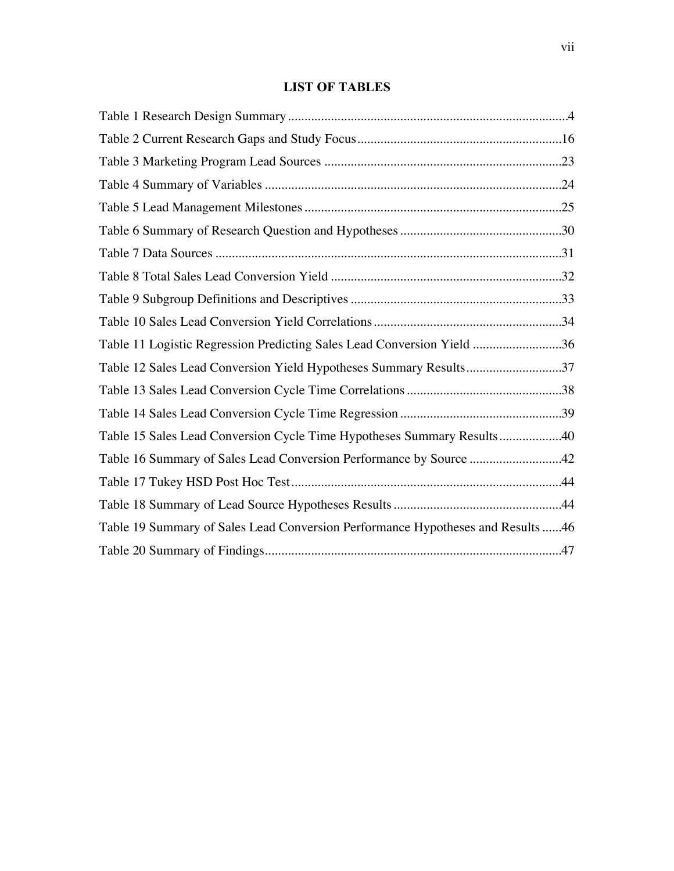# **LIST OF TABLES**

| Table 11 Logistic Regression Predicting Sales Lead Conversion Yield 36          |  |
|---------------------------------------------------------------------------------|--|
| Table 12 Sales Lead Conversion Yield Hypotheses Summary Results37               |  |
|                                                                                 |  |
|                                                                                 |  |
| Table 15 Sales Lead Conversion Cycle Time Hypotheses Summary Results40          |  |
| Table 16 Summary of Sales Lead Conversion Performance by Source 42              |  |
|                                                                                 |  |
|                                                                                 |  |
| Table 19 Summary of Sales Lead Conversion Performance Hypotheses and Results 46 |  |
|                                                                                 |  |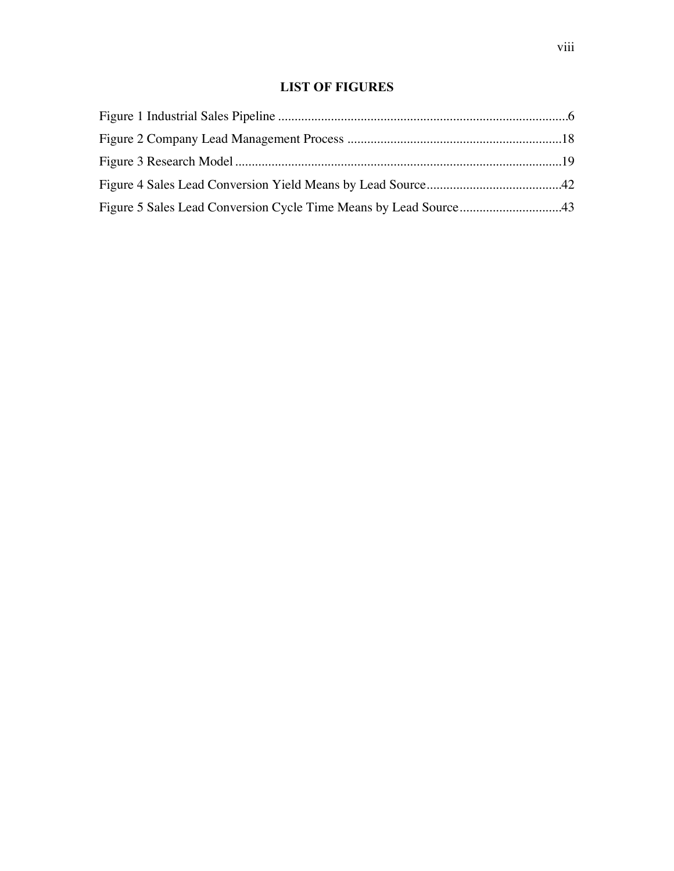# **LIST OF FIGURES**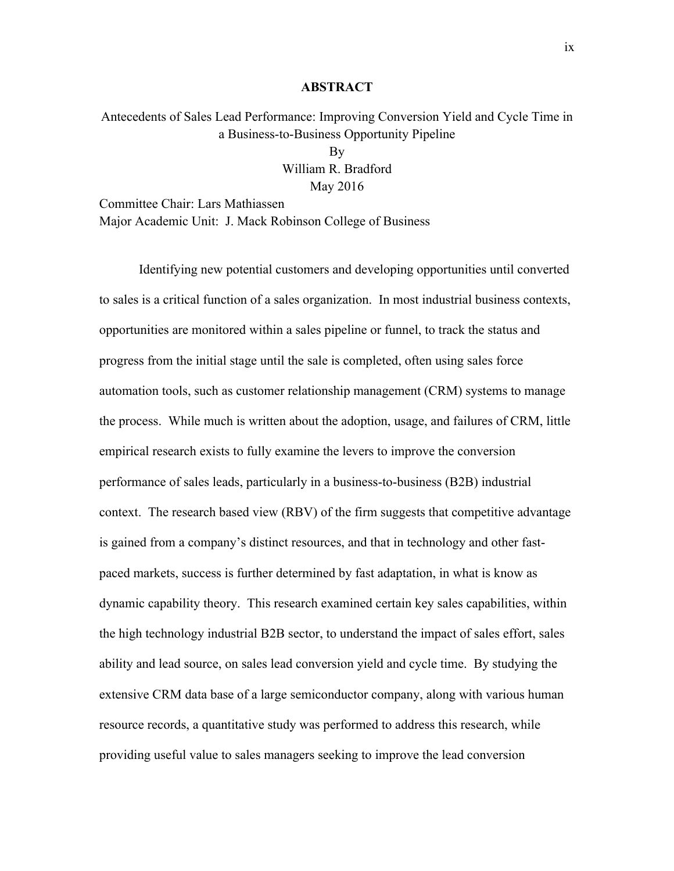#### **ABSTRACT**

Antecedents of Sales Lead Performance: Improving Conversion Yield and Cycle Time in a Business-to-Business Opportunity Pipeline By

William R. Bradford May 2016

Committee Chair: Lars Mathiassen Major Academic Unit: J. Mack Robinson College of Business

Identifying new potential customers and developing opportunities until converted to sales is a critical function of a sales organization. In most industrial business contexts, opportunities are monitored within a sales pipeline or funnel, to track the status and progress from the initial stage until the sale is completed, often using sales force automation tools, such as customer relationship management (CRM) systems to manage the process. While much is written about the adoption, usage, and failures of CRM, little empirical research exists to fully examine the levers to improve the conversion performance of sales leads, particularly in a business-to-business (B2B) industrial context. The research based view (RBV) of the firm suggests that competitive advantage is gained from a company's distinct resources, and that in technology and other fastpaced markets, success is further determined by fast adaptation, in what is know as dynamic capability theory. This research examined certain key sales capabilities, within the high technology industrial B2B sector, to understand the impact of sales effort, sales ability and lead source, on sales lead conversion yield and cycle time. By studying the extensive CRM data base of a large semiconductor company, along with various human resource records, a quantitative study was performed to address this research, while providing useful value to sales managers seeking to improve the lead conversion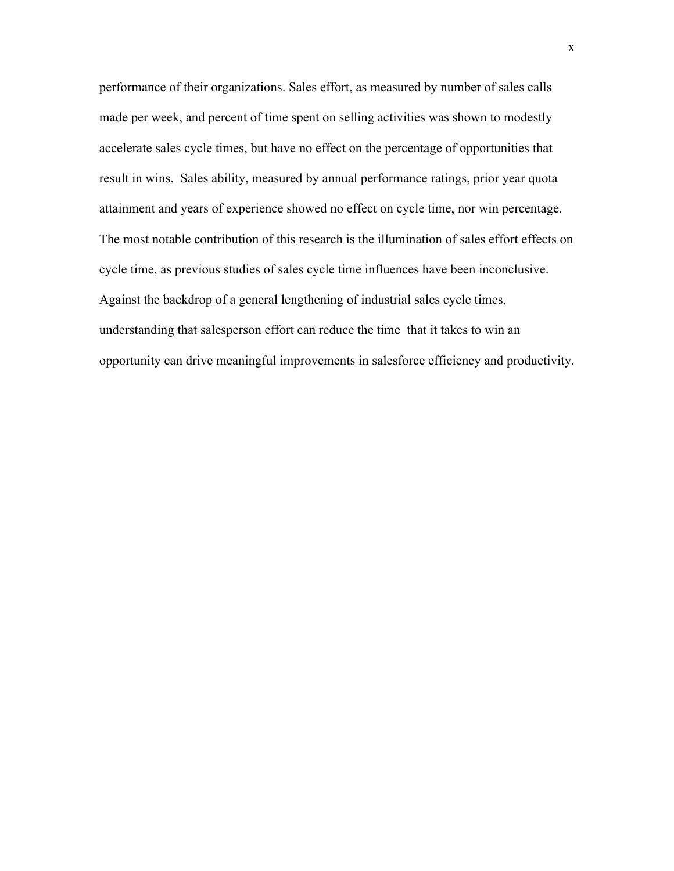performance of their organizations. Sales effort, as measured by number of sales calls made per week, and percent of time spent on selling activities was shown to modestly accelerate sales cycle times, but have no effect on the percentage of opportunities that result in wins. Sales ability, measured by annual performance ratings, prior year quota attainment and years of experience showed no effect on cycle time, nor win percentage. The most notable contribution of this research is the illumination of sales effort effects on cycle time, as previous studies of sales cycle time influences have been inconclusive. Against the backdrop of a general lengthening of industrial sales cycle times, understanding that salesperson effort can reduce the time that it takes to win an opportunity can drive meaningful improvements in salesforce efficiency and productivity.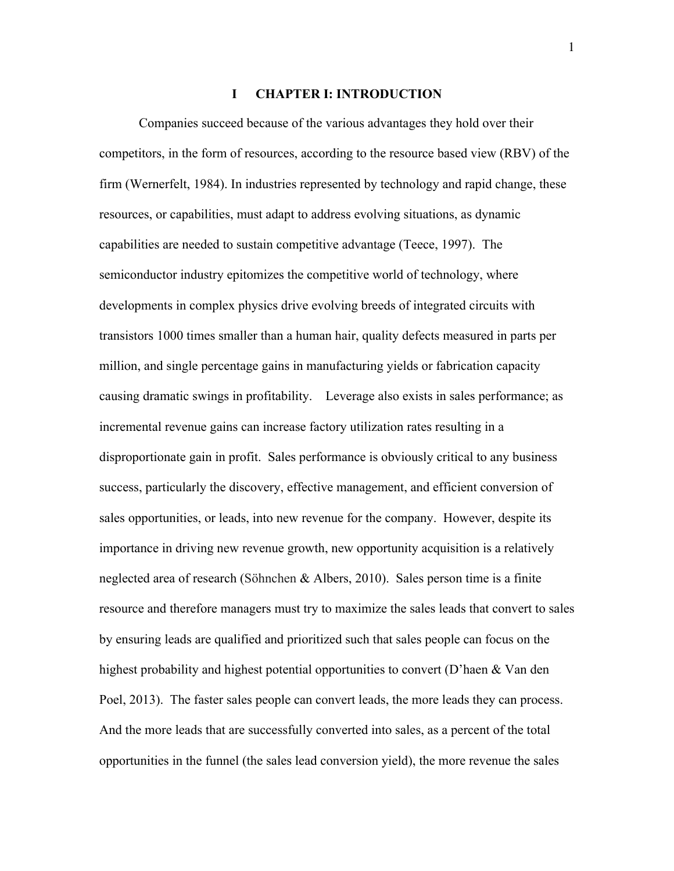#### **I CHAPTER I: INTRODUCTION**

 Companies succeed because of the various advantages they hold over their competitors, in the form of resources, according to the resource based view (RBV) of the firm (Wernerfelt, 1984). In industries represented by technology and rapid change, these resources, or capabilities, must adapt to address evolving situations, as dynamic capabilities are needed to sustain competitive advantage (Teece, 1997). The semiconductor industry epitomizes the competitive world of technology, where developments in complex physics drive evolving breeds of integrated circuits with transistors 1000 times smaller than a human hair, quality defects measured in parts per million, and single percentage gains in manufacturing yields or fabrication capacity causing dramatic swings in profitability. Leverage also exists in sales performance; as incremental revenue gains can increase factory utilization rates resulting in a disproportionate gain in profit. Sales performance is obviously critical to any business success, particularly the discovery, effective management, and efficient conversion of sales opportunities, or leads, into new revenue for the company. However, despite its importance in driving new revenue growth, new opportunity acquisition is a relatively neglected area of research (Söhnchen & Albers, 2010). Sales person time is a finite resource and therefore managers must try to maximize the sales leads that convert to sales by ensuring leads are qualified and prioritized such that sales people can focus on the highest probability and highest potential opportunities to convert (D'haen & Van den Poel, 2013). The faster sales people can convert leads, the more leads they can process. And the more leads that are successfully converted into sales, as a percent of the total opportunities in the funnel (the sales lead conversion yield), the more revenue the sales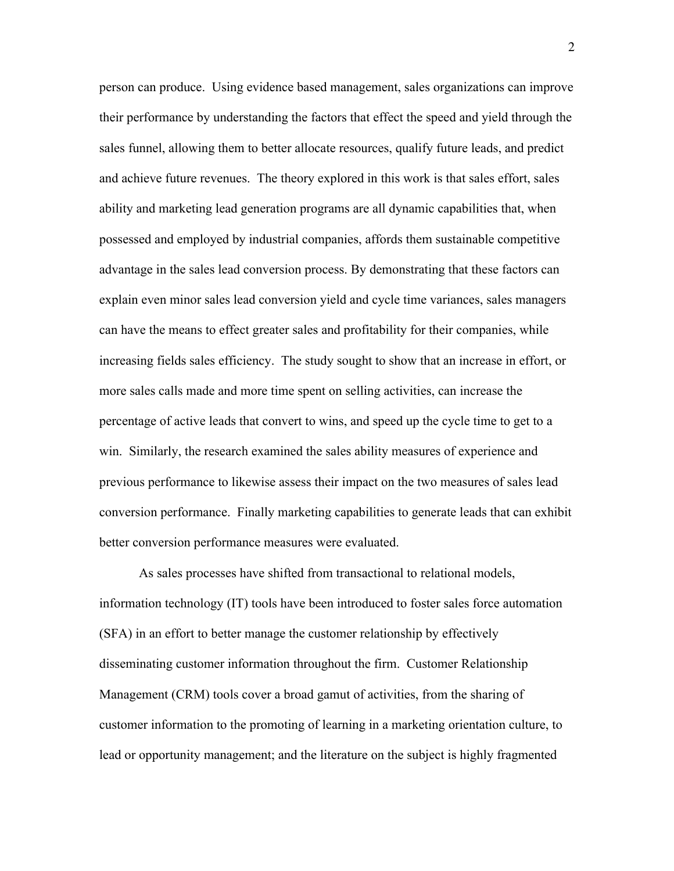person can produce. Using evidence based management, sales organizations can improve their performance by understanding the factors that effect the speed and yield through the sales funnel, allowing them to better allocate resources, qualify future leads, and predict and achieve future revenues. The theory explored in this work is that sales effort, sales ability and marketing lead generation programs are all dynamic capabilities that, when possessed and employed by industrial companies, affords them sustainable competitive advantage in the sales lead conversion process. By demonstrating that these factors can explain even minor sales lead conversion yield and cycle time variances, sales managers can have the means to effect greater sales and profitability for their companies, while increasing fields sales efficiency. The study sought to show that an increase in effort, or more sales calls made and more time spent on selling activities, can increase the percentage of active leads that convert to wins, and speed up the cycle time to get to a win. Similarly, the research examined the sales ability measures of experience and previous performance to likewise assess their impact on the two measures of sales lead conversion performance. Finally marketing capabilities to generate leads that can exhibit better conversion performance measures were evaluated.

 As sales processes have shifted from transactional to relational models, information technology (IT) tools have been introduced to foster sales force automation (SFA) in an effort to better manage the customer relationship by effectively disseminating customer information throughout the firm. Customer Relationship Management (CRM) tools cover a broad gamut of activities, from the sharing of customer information to the promoting of learning in a marketing orientation culture, to lead or opportunity management; and the literature on the subject is highly fragmented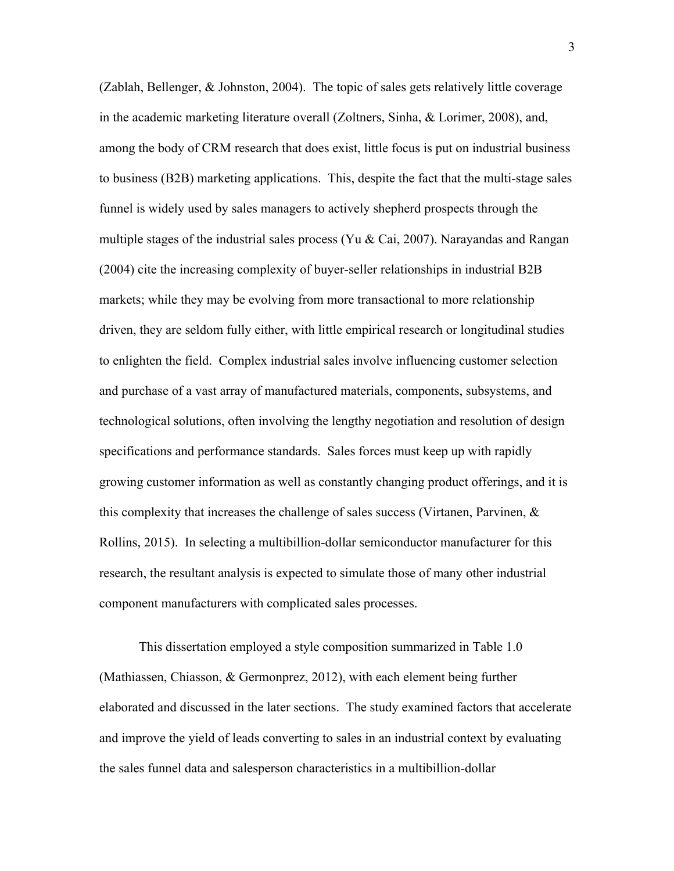(Zablah, Bellenger, & Johnston, 2004). The topic of sales gets relatively little coverage in the academic marketing literature overall (Zoltners, Sinha, & Lorimer, 2008), and, among the body of CRM research that does exist, little focus is put on industrial business to business (B2B) marketing applications. This, despite the fact that the multi-stage sales funnel is widely used by sales managers to actively shepherd prospects through the multiple stages of the industrial sales process (Yu & Cai, 2007). Narayandas and Rangan (2004) cite the increasing complexity of buyer-seller relationships in industrial B2B markets; while they may be evolving from more transactional to more relationship driven, they are seldom fully either, with little empirical research or longitudinal studies to enlighten the field. Complex industrial sales involve influencing customer selection and purchase of a vast array of manufactured materials, components, subsystems, and technological solutions, often involving the lengthy negotiation and resolution of design specifications and performance standards. Sales forces must keep up with rapidly growing customer information as well as constantly changing product offerings, and it is this complexity that increases the challenge of sales success (Virtanen, Parvinen,  $\&$ Rollins, 2015). In selecting a multibillion-dollar semiconductor manufacturer for this research, the resultant analysis is expected to simulate those of many other industrial component manufacturers with complicated sales processes.

 This dissertation employed a style composition summarized in Table 1.0 (Mathiassen, Chiasson, & Germonprez, 2012), with each element being further elaborated and discussed in the later sections. The study examined factors that accelerate and improve the yield of leads converting to sales in an industrial context by evaluating the sales funnel data and salesperson characteristics in a multibillion-dollar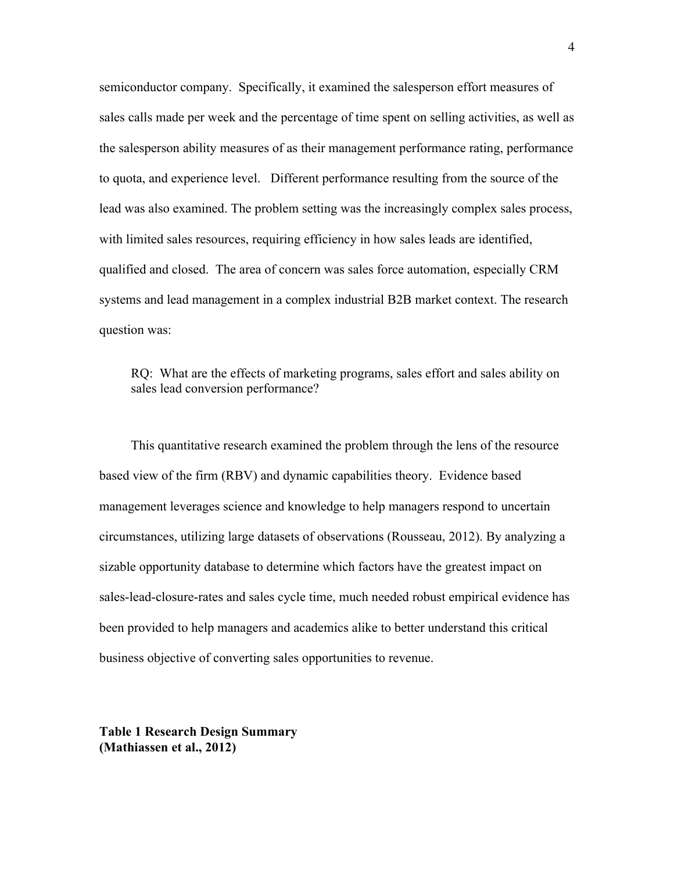semiconductor company. Specifically, it examined the salesperson effort measures of sales calls made per week and the percentage of time spent on selling activities, as well as the salesperson ability measures of as their management performance rating, performance to quota, and experience level. Different performance resulting from the source of the lead was also examined. The problem setting was the increasingly complex sales process, with limited sales resources, requiring efficiency in how sales leads are identified, qualified and closed. The area of concern was sales force automation, especially CRM systems and lead management in a complex industrial B2B market context. The research question was:

RQ: What are the effects of marketing programs, sales effort and sales ability on sales lead conversion performance?

This quantitative research examined the problem through the lens of the resource based view of the firm (RBV) and dynamic capabilities theory. Evidence based management leverages science and knowledge to help managers respond to uncertain circumstances, utilizing large datasets of observations (Rousseau, 2012). By analyzing a sizable opportunity database to determine which factors have the greatest impact on sales-lead-closure-rates and sales cycle time, much needed robust empirical evidence has been provided to help managers and academics alike to better understand this critical business objective of converting sales opportunities to revenue.

**Table 1 Research Design Summary (Mathiassen et al., 2012)**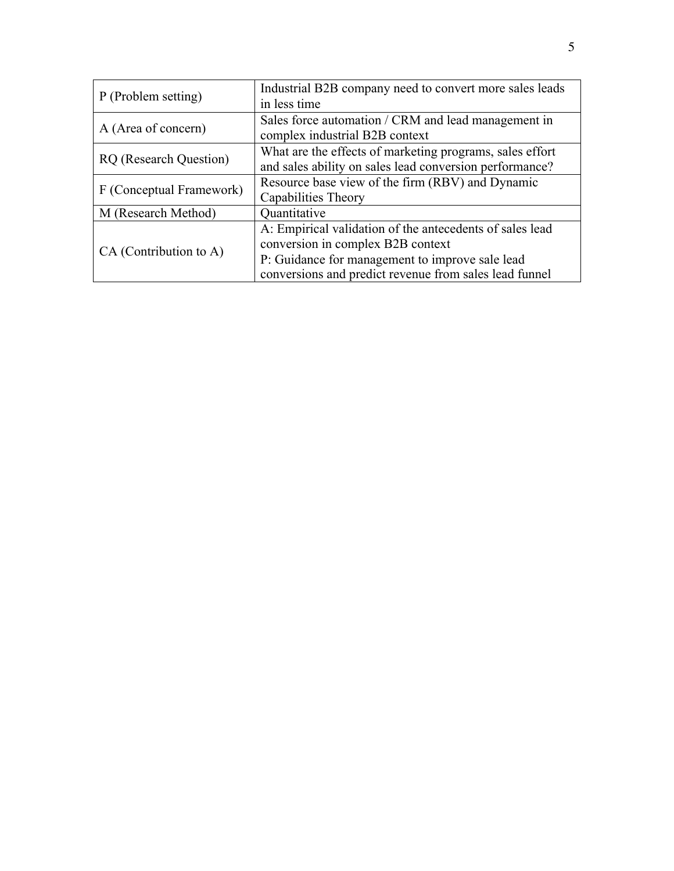| P (Problem setting)           | Industrial B2B company need to convert more sales leads<br>in less time                                                                                                                                    |  |
|-------------------------------|------------------------------------------------------------------------------------------------------------------------------------------------------------------------------------------------------------|--|
| A (Area of concern)           | Sales force automation / CRM and lead management in<br>complex industrial B2B context                                                                                                                      |  |
| <b>RQ</b> (Research Question) | What are the effects of marketing programs, sales effort<br>and sales ability on sales lead conversion performance?                                                                                        |  |
| F (Conceptual Framework)      | Resource base view of the firm (RBV) and Dynamic<br>Capabilities Theory                                                                                                                                    |  |
| M (Research Method)           | Quantitative                                                                                                                                                                                               |  |
| CA (Contribution to A)        | A: Empirical validation of the antecedents of sales lead<br>conversion in complex B2B context<br>P: Guidance for management to improve sale lead<br>conversions and predict revenue from sales lead funnel |  |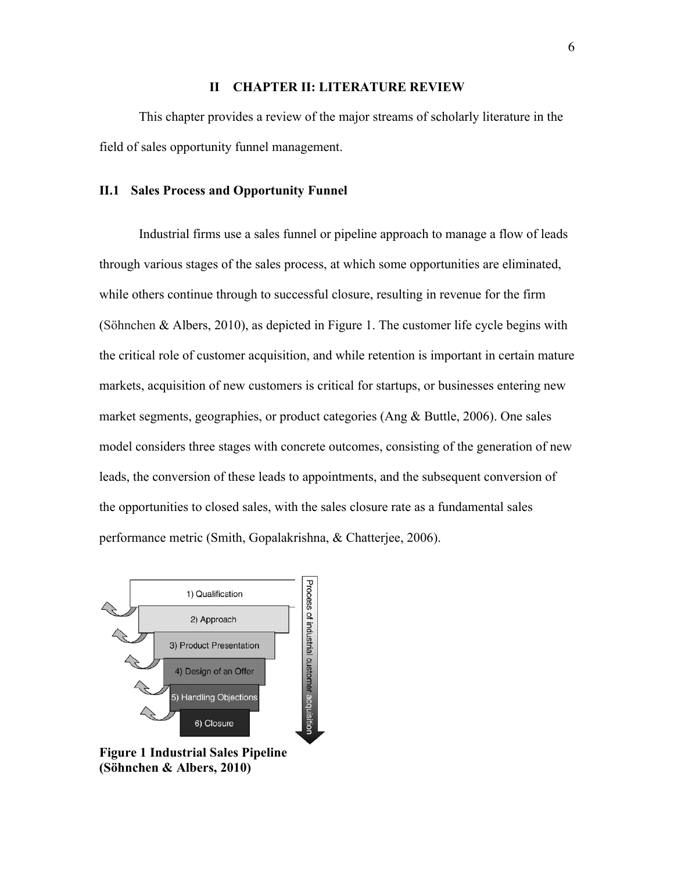### **II CHAPTER II: LITERATURE REVIEW**

 This chapter provides a review of the major streams of scholarly literature in the field of sales opportunity funnel management.

#### **II.1 Sales Process and Opportunity Funnel**

 Industrial firms use a sales funnel or pipeline approach to manage a flow of leads through various stages of the sales process, at which some opportunities are eliminated, while others continue through to successful closure, resulting in revenue for the firm (Söhnchen & Albers, 2010), as depicted in Figure 1. The customer life cycle begins with the critical role of customer acquisition, and while retention is important in certain mature markets, acquisition of new customers is critical for startups, or businesses entering new market segments, geographies, or product categories (Ang & Buttle, 2006). One sales model considers three stages with concrete outcomes, consisting of the generation of new leads, the conversion of these leads to appointments, and the subsequent conversion of the opportunities to closed sales, with the sales closure rate as a fundamental sales performance metric (Smith, Gopalakrishna, & Chatterjee, 2006).



**Figure 1 Industrial Sales Pipeline (Söhnchen & Albers, 2010)**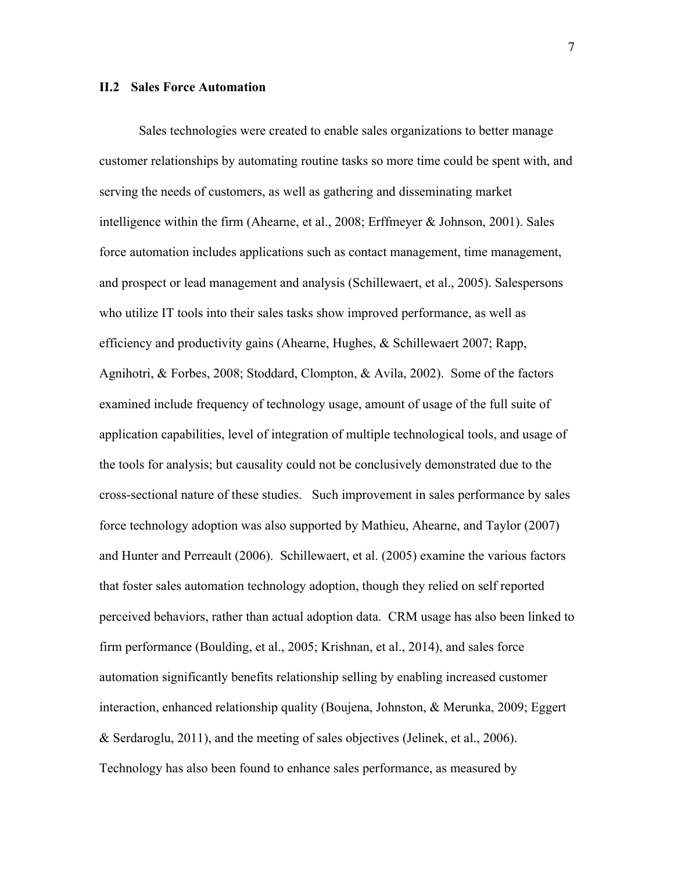#### **II.2 Sales Force Automation**

 Sales technologies were created to enable sales organizations to better manage customer relationships by automating routine tasks so more time could be spent with, and serving the needs of customers, as well as gathering and disseminating market intelligence within the firm (Ahearne, et al., 2008; Erffmeyer & Johnson, 2001). Sales force automation includes applications such as contact management, time management, and prospect or lead management and analysis (Schillewaert, et al., 2005). Salespersons who utilize IT tools into their sales tasks show improved performance, as well as efficiency and productivity gains (Ahearne, Hughes, & Schillewaert 2007; Rapp, Agnihotri, & Forbes, 2008; Stoddard, Clompton, & Avila, 2002). Some of the factors examined include frequency of technology usage, amount of usage of the full suite of application capabilities, level of integration of multiple technological tools, and usage of the tools for analysis; but causality could not be conclusively demonstrated due to the cross-sectional nature of these studies. Such improvement in sales performance by sales force technology adoption was also supported by Mathieu, Ahearne, and Taylor (2007) and Hunter and Perreault (2006). Schillewaert, et al. (2005) examine the various factors that foster sales automation technology adoption, though they relied on self reported perceived behaviors, rather than actual adoption data. CRM usage has also been linked to firm performance (Boulding, et al., 2005; Krishnan, et al., 2014), and sales force automation significantly benefits relationship selling by enabling increased customer interaction, enhanced relationship quality (Boujena, Johnston, & Merunka, 2009; Eggert & Serdaroglu, 2011), and the meeting of sales objectives (Jelinek, et al., 2006). Technology has also been found to enhance sales performance, as measured by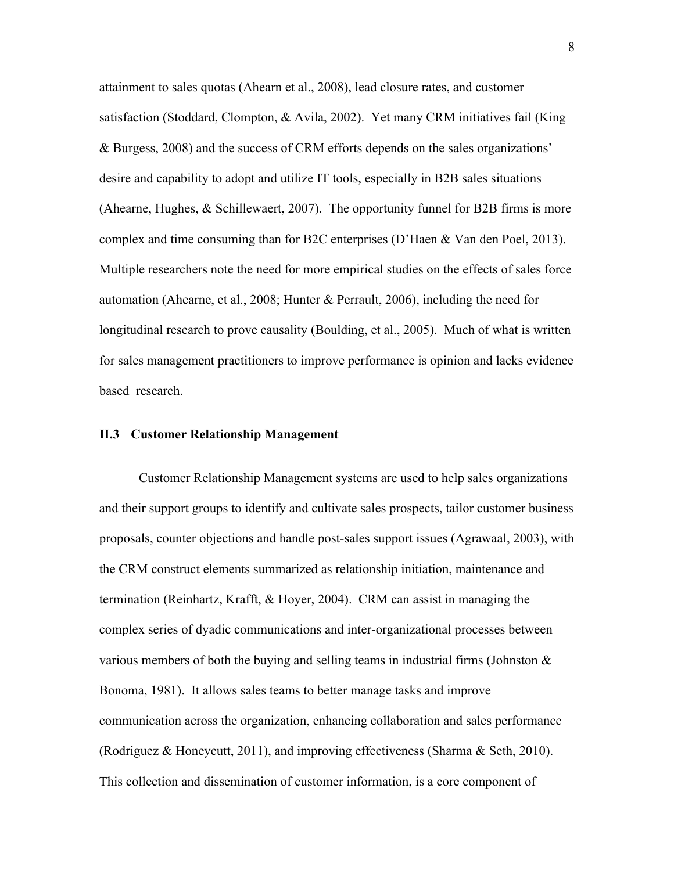attainment to sales quotas (Ahearn et al., 2008), lead closure rates, and customer satisfaction (Stoddard, Clompton, & Avila, 2002). Yet many CRM initiatives fail (King & Burgess, 2008) and the success of CRM efforts depends on the sales organizations' desire and capability to adopt and utilize IT tools, especially in B2B sales situations (Ahearne, Hughes, & Schillewaert, 2007). The opportunity funnel for B2B firms is more complex and time consuming than for B2C enterprises (D'Haen & Van den Poel, 2013). Multiple researchers note the need for more empirical studies on the effects of sales force automation (Ahearne, et al., 2008; Hunter & Perrault, 2006), including the need for longitudinal research to prove causality (Boulding, et al., 2005). Much of what is written for sales management practitioners to improve performance is opinion and lacks evidence based research.

# **II.3 Customer Relationship Management**

 Customer Relationship Management systems are used to help sales organizations and their support groups to identify and cultivate sales prospects, tailor customer business proposals, counter objections and handle post-sales support issues (Agrawaal, 2003), with the CRM construct elements summarized as relationship initiation, maintenance and termination (Reinhartz, Krafft, & Hoyer, 2004). CRM can assist in managing the complex series of dyadic communications and inter-organizational processes between various members of both the buying and selling teams in industrial firms (Johnston & Bonoma, 1981). It allows sales teams to better manage tasks and improve communication across the organization, enhancing collaboration and sales performance (Rodriguez & Honeycutt, 2011), and improving effectiveness (Sharma & Seth, 2010). This collection and dissemination of customer information, is a core component of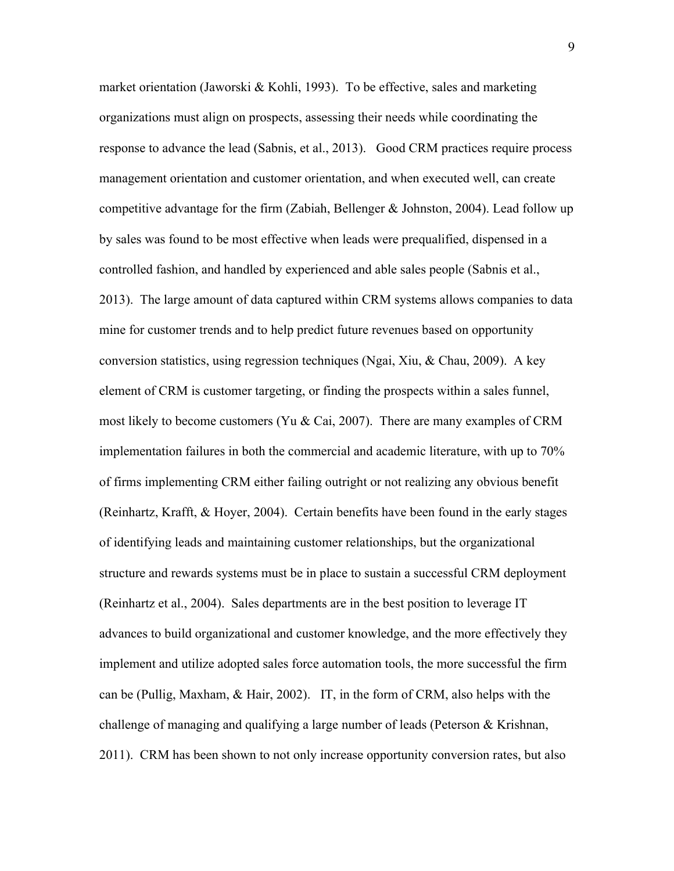market orientation (Jaworski & Kohli, 1993). To be effective, sales and marketing organizations must align on prospects, assessing their needs while coordinating the response to advance the lead (Sabnis, et al., 2013). Good CRM practices require process management orientation and customer orientation, and when executed well, can create competitive advantage for the firm (Zabiah, Bellenger & Johnston, 2004). Lead follow up by sales was found to be most effective when leads were prequalified, dispensed in a controlled fashion, and handled by experienced and able sales people (Sabnis et al., 2013). The large amount of data captured within CRM systems allows companies to data mine for customer trends and to help predict future revenues based on opportunity conversion statistics, using regression techniques (Ngai, Xiu, & Chau, 2009). A key element of CRM is customer targeting, or finding the prospects within a sales funnel, most likely to become customers (Yu & Cai, 2007). There are many examples of CRM implementation failures in both the commercial and academic literature, with up to 70% of firms implementing CRM either failing outright or not realizing any obvious benefit (Reinhartz, Krafft, & Hoyer, 2004). Certain benefits have been found in the early stages of identifying leads and maintaining customer relationships, but the organizational structure and rewards systems must be in place to sustain a successful CRM deployment (Reinhartz et al., 2004). Sales departments are in the best position to leverage IT advances to build organizational and customer knowledge, and the more effectively they implement and utilize adopted sales force automation tools, the more successful the firm can be (Pullig, Maxham, & Hair, 2002). IT, in the form of CRM, also helps with the challenge of managing and qualifying a large number of leads (Peterson & Krishnan, 2011). CRM has been shown to not only increase opportunity conversion rates, but also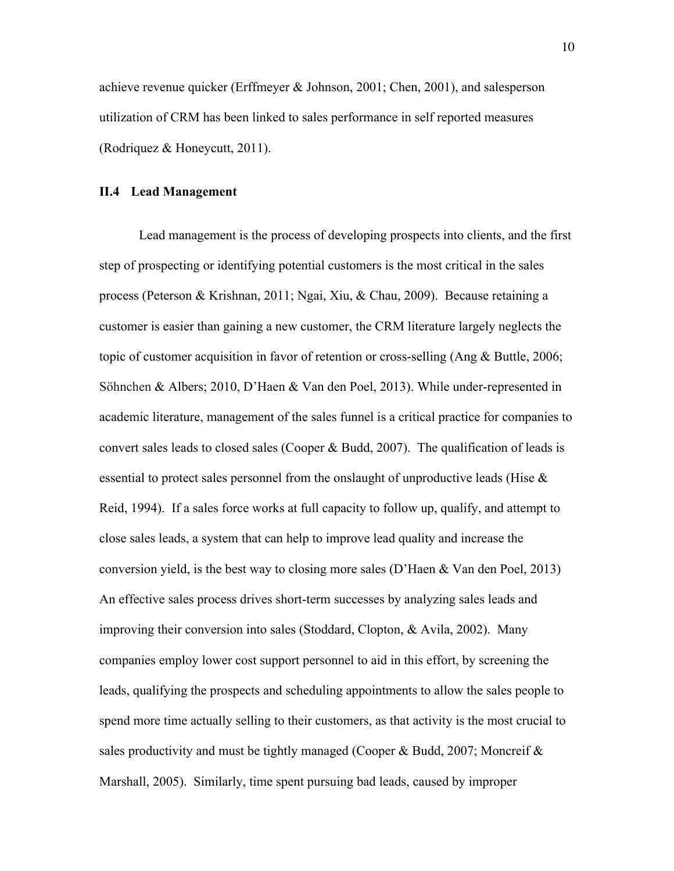achieve revenue quicker (Erffmeyer & Johnson, 2001; Chen, 2001), and salesperson utilization of CRM has been linked to sales performance in self reported measures (Rodriquez & Honeycutt, 2011).

# **II.4 Lead Management**

 Lead management is the process of developing prospects into clients, and the first step of prospecting or identifying potential customers is the most critical in the sales process (Peterson & Krishnan, 2011; Ngai, Xiu, & Chau, 2009). Because retaining a customer is easier than gaining a new customer, the CRM literature largely neglects the topic of customer acquisition in favor of retention or cross-selling (Ang & Buttle, 2006; Söhnchen & Albers; 2010, D'Haen & Van den Poel, 2013). While under-represented in academic literature, management of the sales funnel is a critical practice for companies to convert sales leads to closed sales (Cooper & Budd, 2007). The qualification of leads is essential to protect sales personnel from the onslaught of unproductive leads (Hise & Reid, 1994). If a sales force works at full capacity to follow up, qualify, and attempt to close sales leads, a system that can help to improve lead quality and increase the conversion yield, is the best way to closing more sales (D'Haen & Van den Poel, 2013) An effective sales process drives short-term successes by analyzing sales leads and improving their conversion into sales (Stoddard, Clopton, & Avila, 2002). Many companies employ lower cost support personnel to aid in this effort, by screening the leads, qualifying the prospects and scheduling appointments to allow the sales people to spend more time actually selling to their customers, as that activity is the most crucial to sales productivity and must be tightly managed (Cooper & Budd, 2007; Moncreif  $\&$ Marshall, 2005). Similarly, time spent pursuing bad leads, caused by improper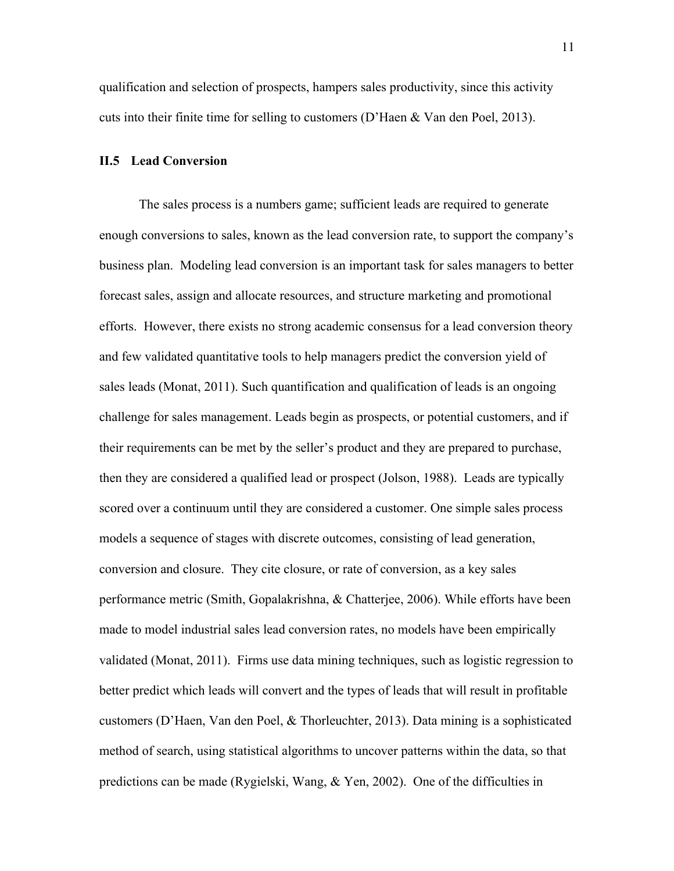qualification and selection of prospects, hampers sales productivity, since this activity cuts into their finite time for selling to customers (D'Haen & Van den Poel, 2013).

#### **II.5 Lead Conversion**

 The sales process is a numbers game; sufficient leads are required to generate enough conversions to sales, known as the lead conversion rate, to support the company's business plan. Modeling lead conversion is an important task for sales managers to better forecast sales, assign and allocate resources, and structure marketing and promotional efforts. However, there exists no strong academic consensus for a lead conversion theory and few validated quantitative tools to help managers predict the conversion yield of sales leads (Monat, 2011). Such quantification and qualification of leads is an ongoing challenge for sales management. Leads begin as prospects, or potential customers, and if their requirements can be met by the seller's product and they are prepared to purchase, then they are considered a qualified lead or prospect (Jolson, 1988). Leads are typically scored over a continuum until they are considered a customer. One simple sales process models a sequence of stages with discrete outcomes, consisting of lead generation, conversion and closure. They cite closure, or rate of conversion, as a key sales performance metric (Smith, Gopalakrishna, & Chatterjee, 2006). While efforts have been made to model industrial sales lead conversion rates, no models have been empirically validated (Monat, 2011). Firms use data mining techniques, such as logistic regression to better predict which leads will convert and the types of leads that will result in profitable customers (D'Haen, Van den Poel, & Thorleuchter, 2013). Data mining is a sophisticated method of search, using statistical algorithms to uncover patterns within the data, so that predictions can be made (Rygielski, Wang, & Yen, 2002). One of the difficulties in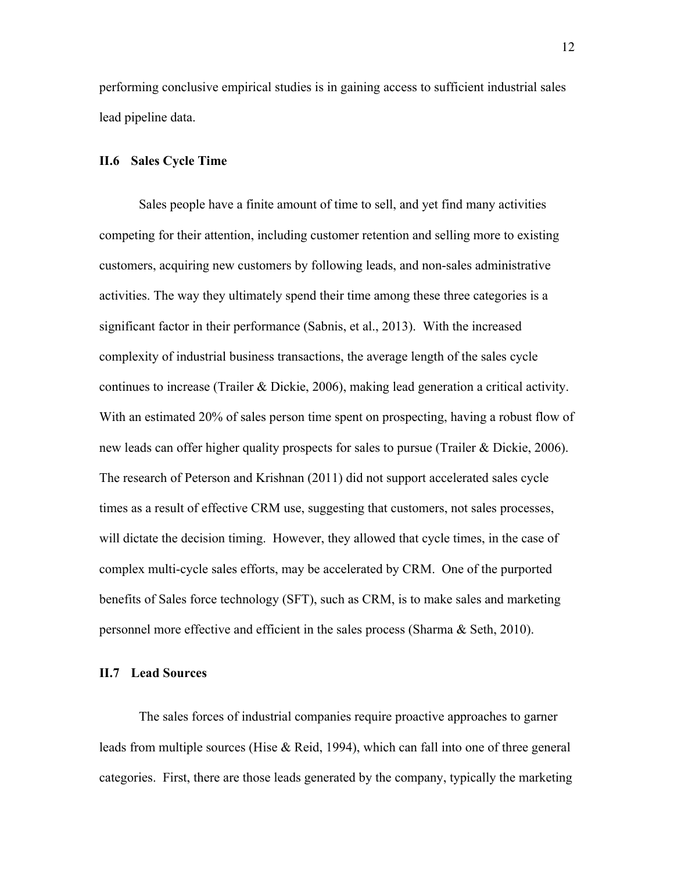performing conclusive empirical studies is in gaining access to sufficient industrial sales lead pipeline data.

#### **II.6 Sales Cycle Time**

 Sales people have a finite amount of time to sell, and yet find many activities competing for their attention, including customer retention and selling more to existing customers, acquiring new customers by following leads, and non-sales administrative activities. The way they ultimately spend their time among these three categories is a significant factor in their performance (Sabnis, et al., 2013). With the increased complexity of industrial business transactions, the average length of the sales cycle continues to increase (Trailer & Dickie, 2006), making lead generation a critical activity. With an estimated 20% of sales person time spent on prospecting, having a robust flow of new leads can offer higher quality prospects for sales to pursue (Trailer & Dickie, 2006). The research of Peterson and Krishnan (2011) did not support accelerated sales cycle times as a result of effective CRM use, suggesting that customers, not sales processes, will dictate the decision timing. However, they allowed that cycle times, in the case of complex multi-cycle sales efforts, may be accelerated by CRM. One of the purported benefits of Sales force technology (SFT), such as CRM, is to make sales and marketing personnel more effective and efficient in the sales process (Sharma & Seth, 2010).

#### **II.7 Lead Sources**

 The sales forces of industrial companies require proactive approaches to garner leads from multiple sources (Hise & Reid, 1994), which can fall into one of three general categories. First, there are those leads generated by the company, typically the marketing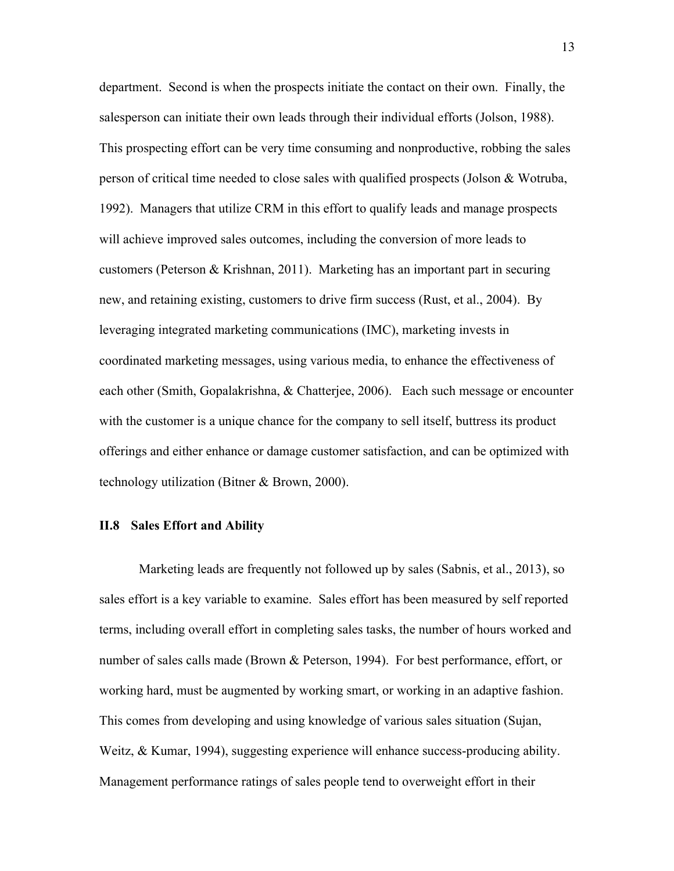department. Second is when the prospects initiate the contact on their own. Finally, the salesperson can initiate their own leads through their individual efforts (Jolson, 1988). This prospecting effort can be very time consuming and nonproductive, robbing the sales person of critical time needed to close sales with qualified prospects (Jolson & Wotruba, 1992). Managers that utilize CRM in this effort to qualify leads and manage prospects will achieve improved sales outcomes, including the conversion of more leads to customers (Peterson & Krishnan, 2011). Marketing has an important part in securing new, and retaining existing, customers to drive firm success (Rust, et al., 2004). By leveraging integrated marketing communications (IMC), marketing invests in coordinated marketing messages, using various media, to enhance the effectiveness of each other (Smith, Gopalakrishna, & Chatterjee, 2006). Each such message or encounter with the customer is a unique chance for the company to sell itself, buttress its product offerings and either enhance or damage customer satisfaction, and can be optimized with technology utilization (Bitner & Brown, 2000).

#### **II.8 Sales Effort and Ability**

 Marketing leads are frequently not followed up by sales (Sabnis, et al., 2013), so sales effort is a key variable to examine. Sales effort has been measured by self reported terms, including overall effort in completing sales tasks, the number of hours worked and number of sales calls made (Brown & Peterson, 1994). For best performance, effort, or working hard, must be augmented by working smart, or working in an adaptive fashion. This comes from developing and using knowledge of various sales situation (Sujan, Weitz, & Kumar, 1994), suggesting experience will enhance success-producing ability. Management performance ratings of sales people tend to overweight effort in their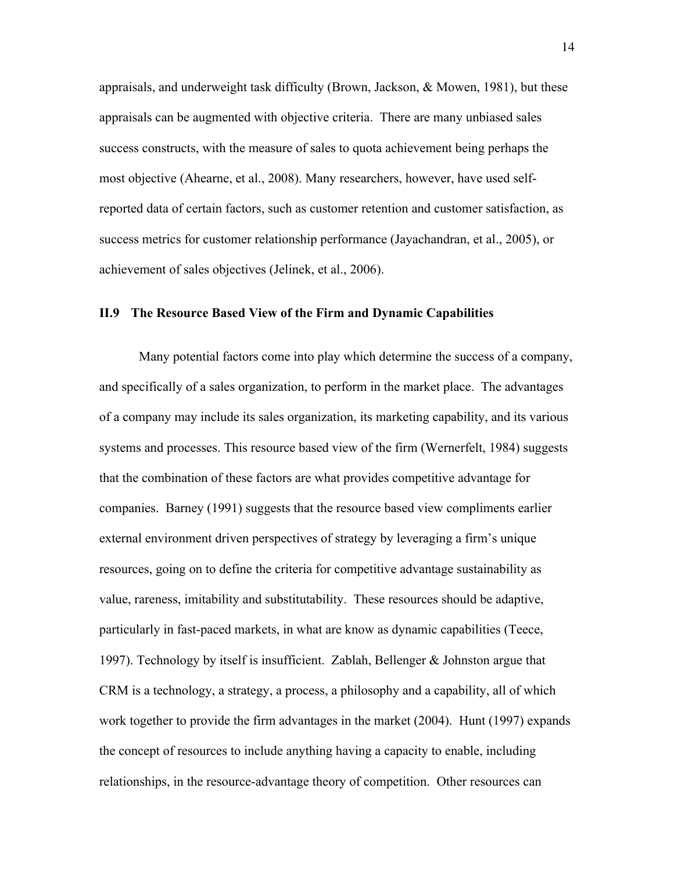appraisals, and underweight task difficulty (Brown, Jackson, & Mowen, 1981), but these appraisals can be augmented with objective criteria. There are many unbiased sales success constructs, with the measure of sales to quota achievement being perhaps the most objective (Ahearne, et al., 2008). Many researchers, however, have used selfreported data of certain factors, such as customer retention and customer satisfaction, as success metrics for customer relationship performance (Jayachandran, et al., 2005), or achievement of sales objectives (Jelinek, et al., 2006).

#### **II.9 The Resource Based View of the Firm and Dynamic Capabilities**

 Many potential factors come into play which determine the success of a company, and specifically of a sales organization, to perform in the market place. The advantages of a company may include its sales organization, its marketing capability, and its various systems and processes. This resource based view of the firm (Wernerfelt, 1984) suggests that the combination of these factors are what provides competitive advantage for companies. Barney (1991) suggests that the resource based view compliments earlier external environment driven perspectives of strategy by leveraging a firm's unique resources, going on to define the criteria for competitive advantage sustainability as value, rareness, imitability and substitutability. These resources should be adaptive, particularly in fast-paced markets, in what are know as dynamic capabilities (Teece, 1997). Technology by itself is insufficient. Zablah, Bellenger & Johnston argue that CRM is a technology, a strategy, a process, a philosophy and a capability, all of which work together to provide the firm advantages in the market (2004). Hunt (1997) expands the concept of resources to include anything having a capacity to enable, including relationships, in the resource-advantage theory of competition. Other resources can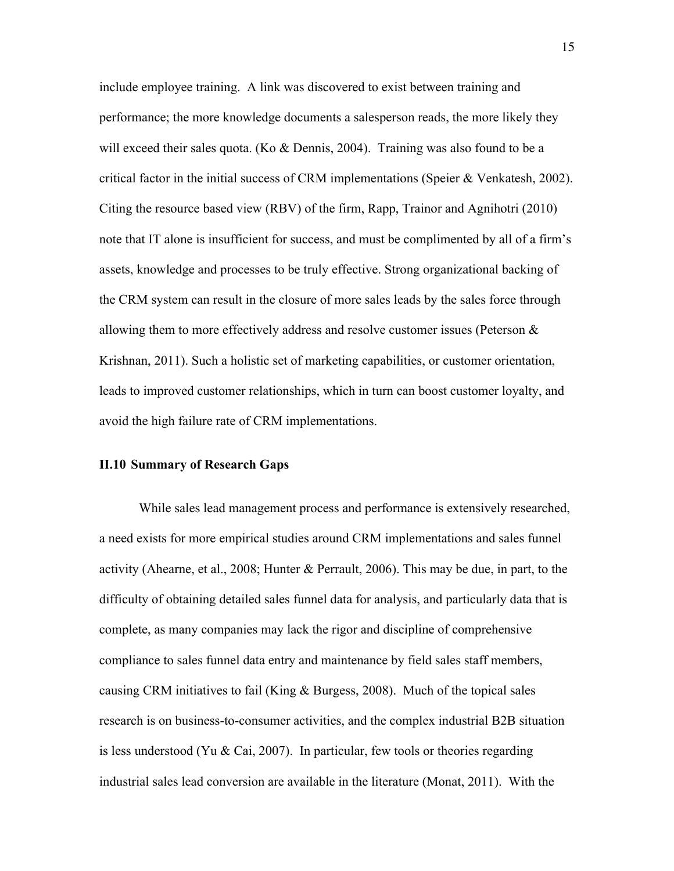include employee training. A link was discovered to exist between training and performance; the more knowledge documents a salesperson reads, the more likely they will exceed their sales quota. (Ko  $\&$  Dennis, 2004). Training was also found to be a critical factor in the initial success of CRM implementations (Speier & Venkatesh, 2002). Citing the resource based view (RBV) of the firm, Rapp, Trainor and Agnihotri (2010) note that IT alone is insufficient for success, and must be complimented by all of a firm's assets, knowledge and processes to be truly effective. Strong organizational backing of the CRM system can result in the closure of more sales leads by the sales force through allowing them to more effectively address and resolve customer issues (Peterson & Krishnan, 2011). Such a holistic set of marketing capabilities, or customer orientation, leads to improved customer relationships, which in turn can boost customer loyalty, and avoid the high failure rate of CRM implementations.

# **II.10 Summary of Research Gaps**

While sales lead management process and performance is extensively researched, a need exists for more empirical studies around CRM implementations and sales funnel activity (Ahearne, et al., 2008; Hunter & Perrault, 2006). This may be due, in part, to the difficulty of obtaining detailed sales funnel data for analysis, and particularly data that is complete, as many companies may lack the rigor and discipline of comprehensive compliance to sales funnel data entry and maintenance by field sales staff members, causing CRM initiatives to fail (King & Burgess, 2008). Much of the topical sales research is on business-to-consumer activities, and the complex industrial B2B situation is less understood (Yu & Cai, 2007). In particular, few tools or theories regarding industrial sales lead conversion are available in the literature (Monat, 2011). With the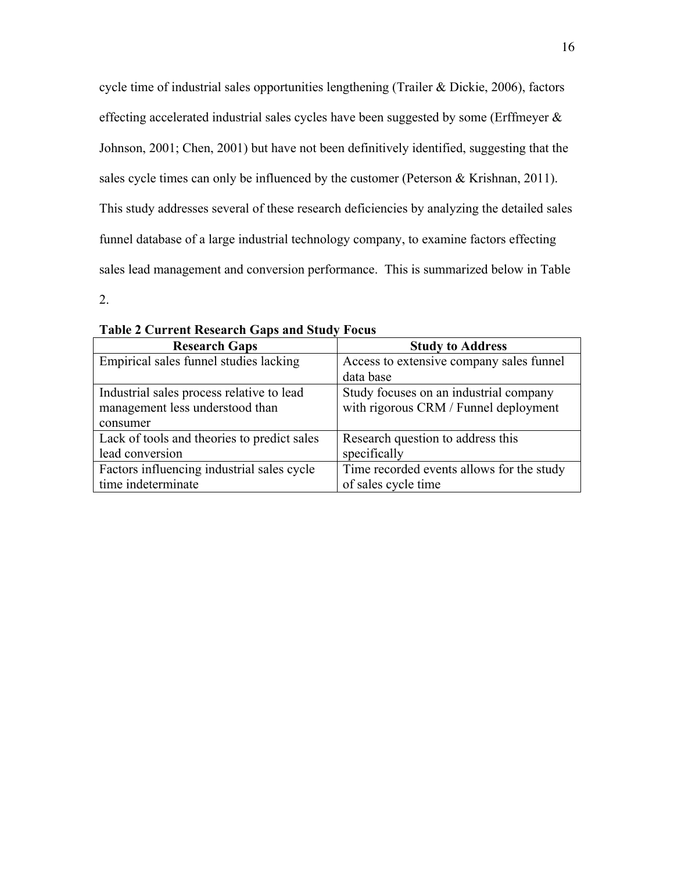cycle time of industrial sales opportunities lengthening (Trailer & Dickie, 2006), factors effecting accelerated industrial sales cycles have been suggested by some (Erffmeyer & Johnson, 2001; Chen, 2001) but have not been definitively identified, suggesting that the sales cycle times can only be influenced by the customer (Peterson & Krishnan, 2011). This study addresses several of these research deficiencies by analyzing the detailed sales funnel database of a large industrial technology company, to examine factors effecting sales lead management and conversion performance. This is summarized below in Table

2.

| <b>Research Gaps</b>                        | <b>Study to Address</b>                   |
|---------------------------------------------|-------------------------------------------|
| Empirical sales funnel studies lacking      | Access to extensive company sales funnel  |
|                                             | data base                                 |
| Industrial sales process relative to lead   | Study focuses on an industrial company    |
| management less understood than             | with rigorous CRM / Funnel deployment     |
| consumer                                    |                                           |
| Lack of tools and theories to predict sales | Research question to address this         |
| lead conversion                             | specifically                              |
| Factors influencing industrial sales cycle  | Time recorded events allows for the study |
| time indeterminate                          | of sales cycle time                       |

**Table 2 Current Research Gaps and Study Focus**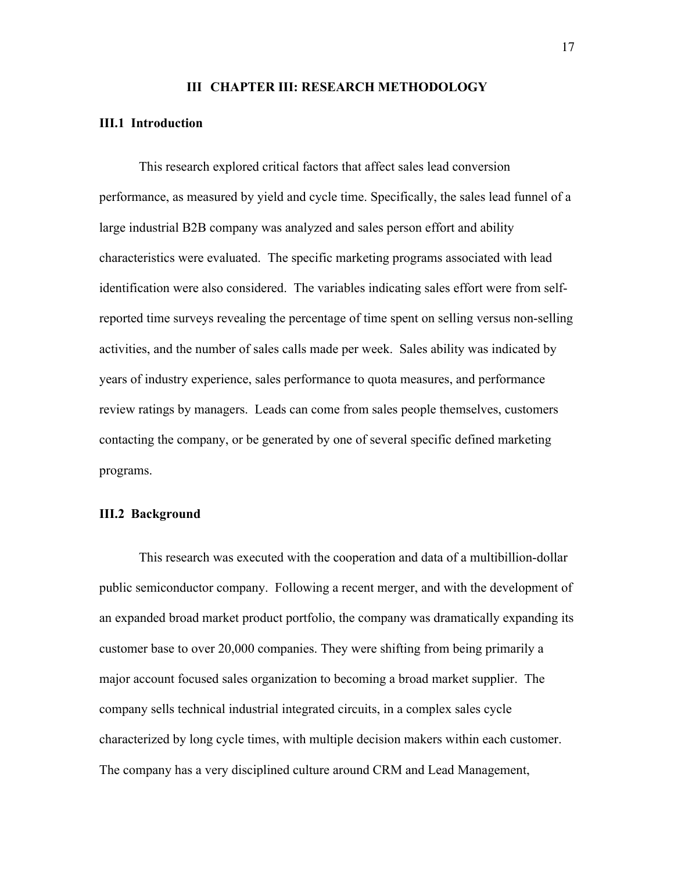#### **III CHAPTER III: RESEARCH METHODOLOGY**

### **III.1 Introduction**

 This research explored critical factors that affect sales lead conversion performance, as measured by yield and cycle time. Specifically, the sales lead funnel of a large industrial B2B company was analyzed and sales person effort and ability characteristics were evaluated. The specific marketing programs associated with lead identification were also considered. The variables indicating sales effort were from selfreported time surveys revealing the percentage of time spent on selling versus non-selling activities, and the number of sales calls made per week. Sales ability was indicated by years of industry experience, sales performance to quota measures, and performance review ratings by managers. Leads can come from sales people themselves, customers contacting the company, or be generated by one of several specific defined marketing programs.

## **III.2 Background**

 This research was executed with the cooperation and data of a multibillion-dollar public semiconductor company. Following a recent merger, and with the development of an expanded broad market product portfolio, the company was dramatically expanding its customer base to over 20,000 companies. They were shifting from being primarily a major account focused sales organization to becoming a broad market supplier. The company sells technical industrial integrated circuits, in a complex sales cycle characterized by long cycle times, with multiple decision makers within each customer. The company has a very disciplined culture around CRM and Lead Management,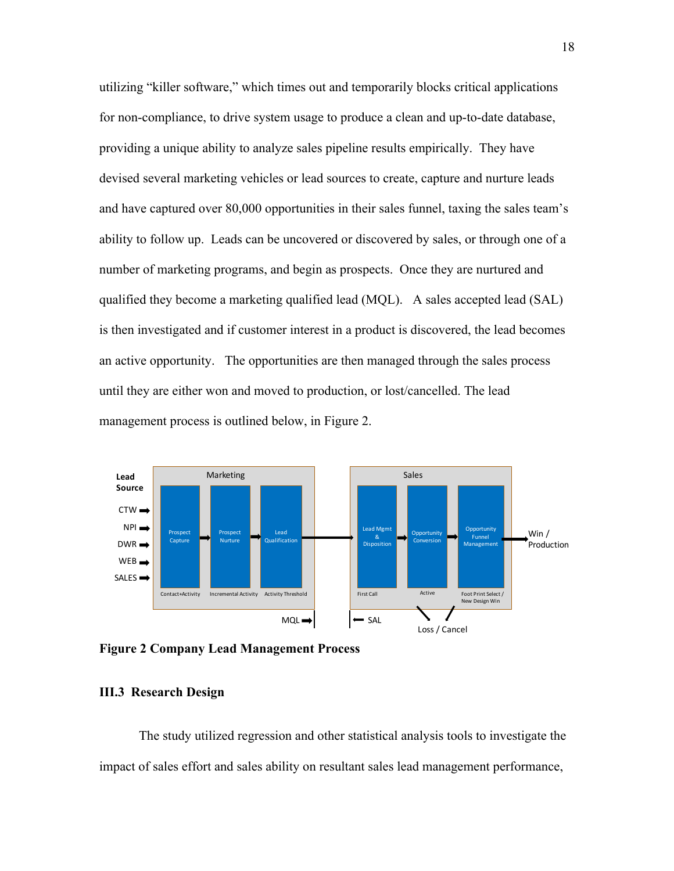utilizing "killer software," which times out and temporarily blocks critical applications for non-compliance, to drive system usage to produce a clean and up-to-date database, providing a unique ability to analyze sales pipeline results empirically. They have devised several marketing vehicles or lead sources to create, capture and nurture leads and have captured over 80,000 opportunities in their sales funnel, taxing the sales team's ability to follow up. Leads can be uncovered or discovered by sales, or through one of a number of marketing programs, and begin as prospects. Once they are nurtured and qualified they become a marketing qualified lead (MQL). A sales accepted lead (SAL) is then investigated and if customer interest in a product is discovered, the lead becomes an active opportunity. The opportunities are then managed through the sales process until they are either won and moved to production, or lost/cancelled. The lead management process is outlined below, in Figure 2.



**Figure 2 Company Lead Management Process**

# **III.3 Research Design**

 The study utilized regression and other statistical analysis tools to investigate the impact of sales effort and sales ability on resultant sales lead management performance,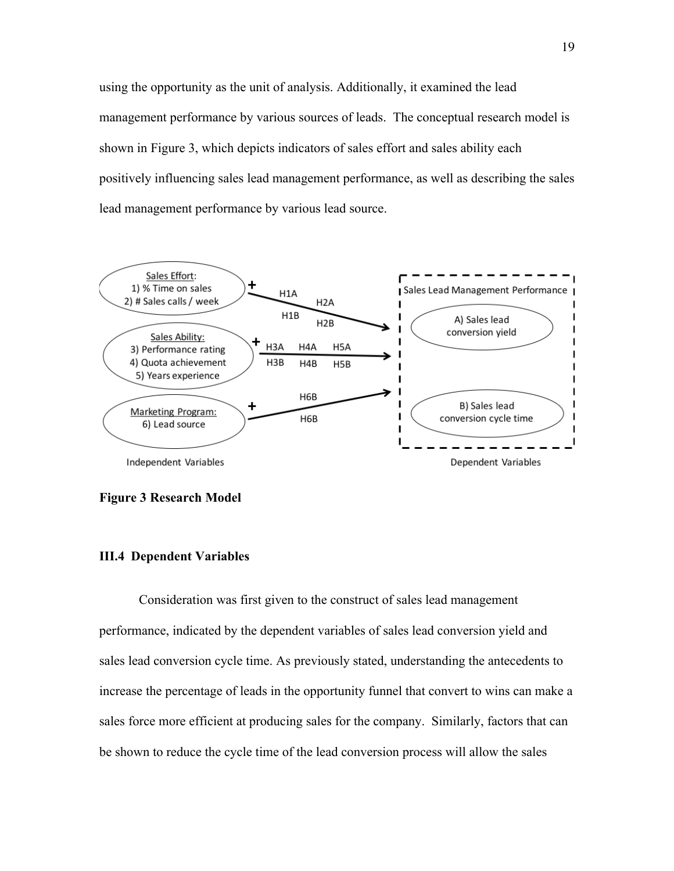using the opportunity as the unit of analysis. Additionally, it examined the lead management performance by various sources of leads. The conceptual research model is shown in Figure 3, which depicts indicators of sales effort and sales ability each positively influencing sales lead management performance, as well as describing the sales lead management performance by various lead source.



### **Figure 3 Research Model**

# **III.4 Dependent Variables**

 Consideration was first given to the construct of sales lead management performance, indicated by the dependent variables of sales lead conversion yield and sales lead conversion cycle time. As previously stated, understanding the antecedents to increase the percentage of leads in the opportunity funnel that convert to wins can make a sales force more efficient at producing sales for the company. Similarly, factors that can be shown to reduce the cycle time of the lead conversion process will allow the sales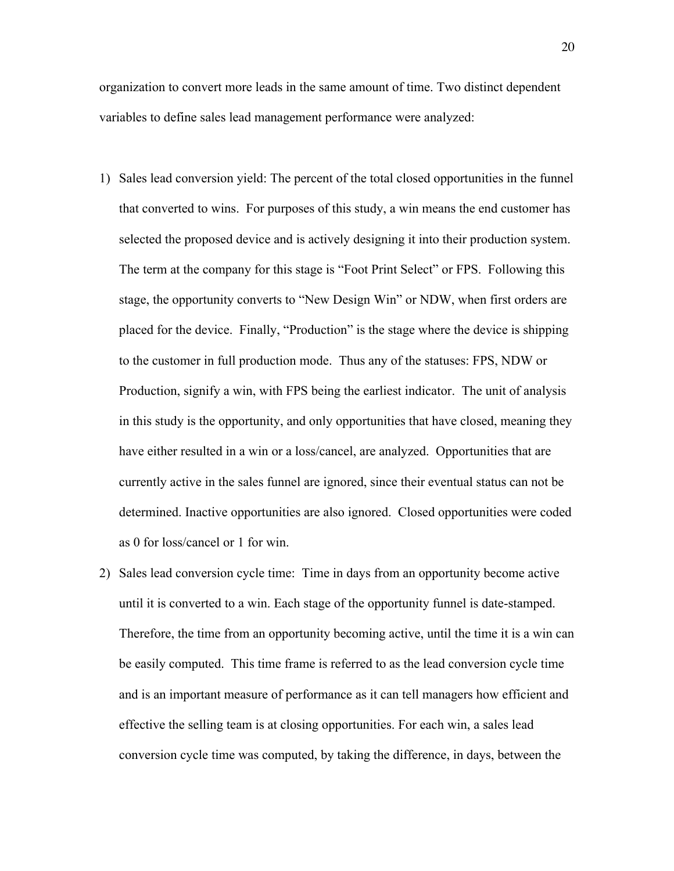organization to convert more leads in the same amount of time. Two distinct dependent variables to define sales lead management performance were analyzed:

- 1) Sales lead conversion yield: The percent of the total closed opportunities in the funnel that converted to wins. For purposes of this study, a win means the end customer has selected the proposed device and is actively designing it into their production system. The term at the company for this stage is "Foot Print Select" or FPS. Following this stage, the opportunity converts to "New Design Win" or NDW, when first orders are placed for the device. Finally, "Production" is the stage where the device is shipping to the customer in full production mode. Thus any of the statuses: FPS, NDW or Production, signify a win, with FPS being the earliest indicator. The unit of analysis in this study is the opportunity, and only opportunities that have closed, meaning they have either resulted in a win or a loss/cancel, are analyzed. Opportunities that are currently active in the sales funnel are ignored, since their eventual status can not be determined. Inactive opportunities are also ignored. Closed opportunities were coded as 0 for loss/cancel or 1 for win.
- 2) Sales lead conversion cycle time: Time in days from an opportunity become active until it is converted to a win. Each stage of the opportunity funnel is date-stamped. Therefore, the time from an opportunity becoming active, until the time it is a win can be easily computed. This time frame is referred to as the lead conversion cycle time and is an important measure of performance as it can tell managers how efficient and effective the selling team is at closing opportunities. For each win, a sales lead conversion cycle time was computed, by taking the difference, in days, between the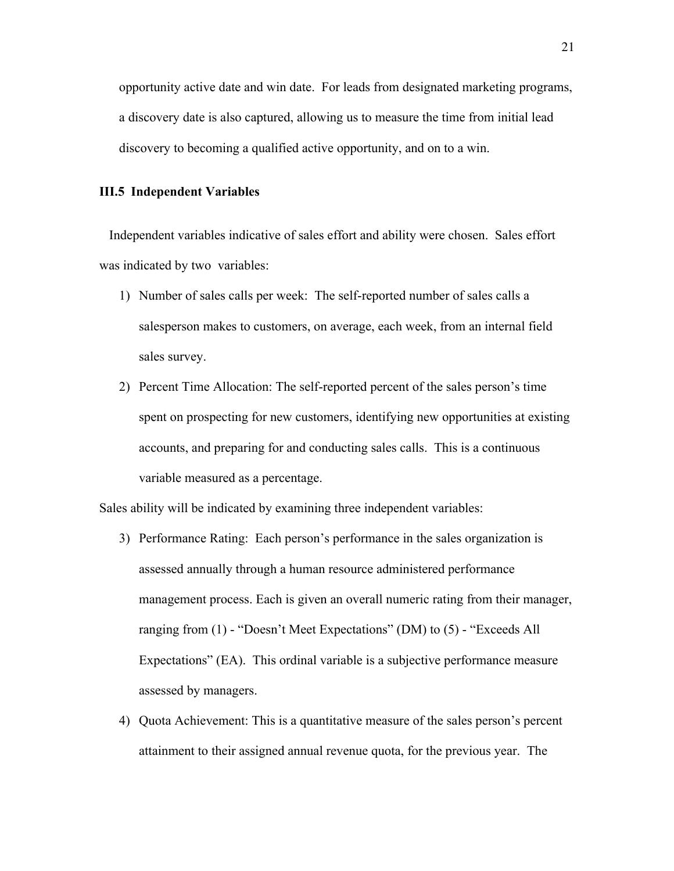opportunity active date and win date. For leads from designated marketing programs, a discovery date is also captured, allowing us to measure the time from initial lead discovery to becoming a qualified active opportunity, and on to a win.

# **III.5 Independent Variables**

 Independent variables indicative of sales effort and ability were chosen. Sales effort was indicated by two variables:

- 1) Number of sales calls per week: The self-reported number of sales calls a salesperson makes to customers, on average, each week, from an internal field sales survey.
- 2) Percent Time Allocation: The self-reported percent of the sales person's time spent on prospecting for new customers, identifying new opportunities at existing accounts, and preparing for and conducting sales calls. This is a continuous variable measured as a percentage.

Sales ability will be indicated by examining three independent variables:

- 3) Performance Rating: Each person's performance in the sales organization is assessed annually through a human resource administered performance management process. Each is given an overall numeric rating from their manager, ranging from (1) - "Doesn't Meet Expectations" (DM) to (5) - "Exceeds All Expectations" (EA). This ordinal variable is a subjective performance measure assessed by managers.
- 4) Quota Achievement: This is a quantitative measure of the sales person's percent attainment to their assigned annual revenue quota, for the previous year. The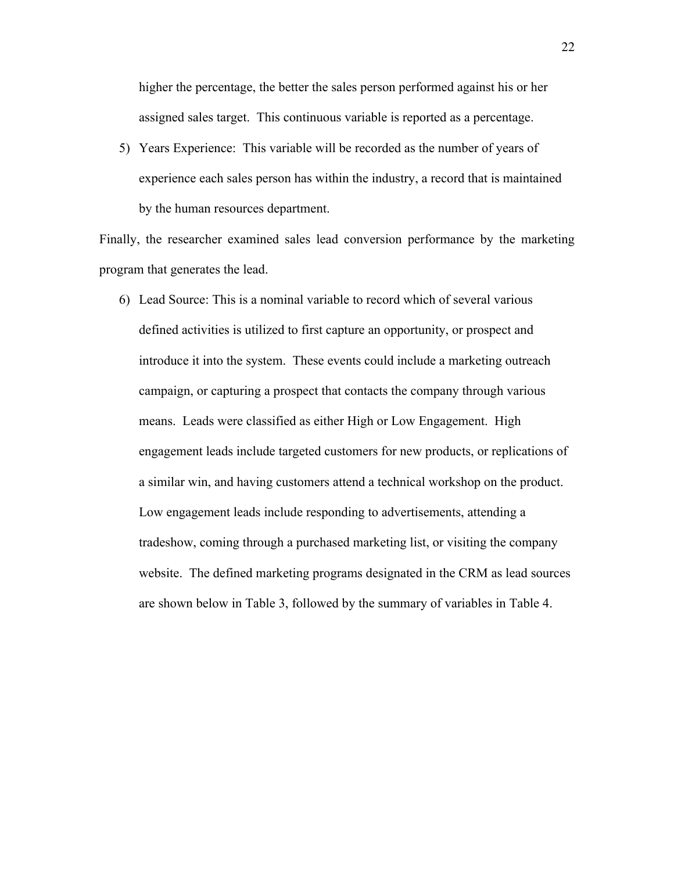higher the percentage, the better the sales person performed against his or her assigned sales target. This continuous variable is reported as a percentage.

5) Years Experience: This variable will be recorded as the number of years of experience each sales person has within the industry, a record that is maintained by the human resources department.

Finally, the researcher examined sales lead conversion performance by the marketing program that generates the lead.

6) Lead Source: This is a nominal variable to record which of several various defined activities is utilized to first capture an opportunity, or prospect and introduce it into the system. These events could include a marketing outreach campaign, or capturing a prospect that contacts the company through various means. Leads were classified as either High or Low Engagement. High engagement leads include targeted customers for new products, or replications of a similar win, and having customers attend a technical workshop on the product. Low engagement leads include responding to advertisements, attending a tradeshow, coming through a purchased marketing list, or visiting the company website. The defined marketing programs designated in the CRM as lead sources are shown below in Table 3, followed by the summary of variables in Table 4.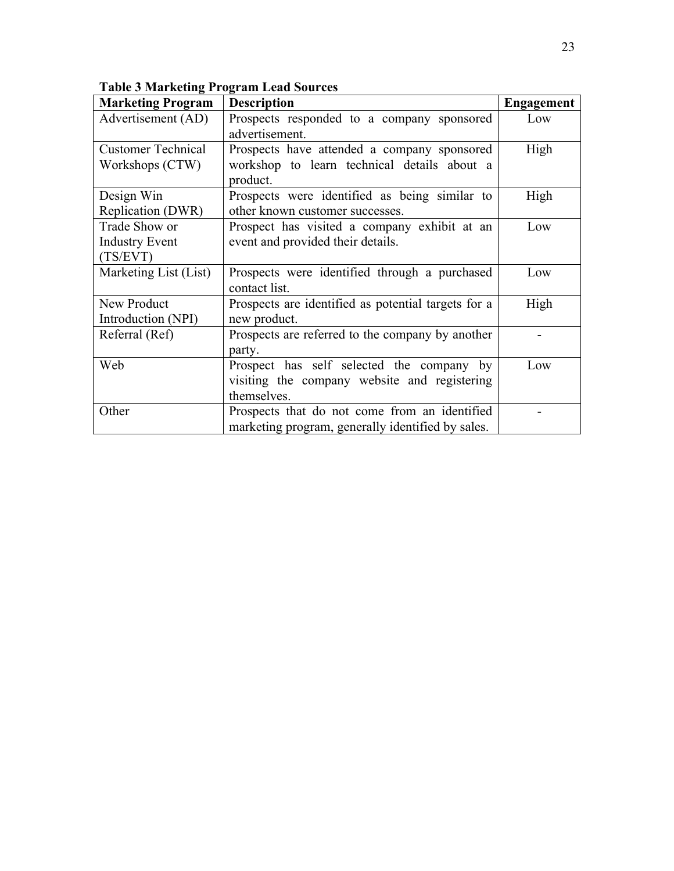| <b>Marketing Program</b>  | <b>Description</b>                                  | <b>Engagement</b> |
|---------------------------|-----------------------------------------------------|-------------------|
| Advertisement (AD)        | Prospects responded to a company sponsored          | Low               |
|                           | advertisement.                                      |                   |
| <b>Customer Technical</b> | Prospects have attended a company sponsored         | High              |
| Workshops (CTW)           | workshop to learn technical details about a         |                   |
|                           | product.                                            |                   |
| Design Win                | Prospects were identified as being similar to       | High              |
| Replication (DWR)         | other known customer successes.                     |                   |
| Trade Show or             | Prospect has visited a company exhibit at an        | Low               |
| <b>Industry Event</b>     | event and provided their details.                   |                   |
| (TS/EVT)                  |                                                     |                   |
| Marketing List (List)     | Prospects were identified through a purchased       | Low               |
|                           | contact list.                                       |                   |
| New Product               | Prospects are identified as potential targets for a | High              |
| Introduction (NPI)        | new product.                                        |                   |
| Referral (Ref)            | Prospects are referred to the company by another    |                   |
|                           | party.                                              |                   |
| Web                       | Prospect has self selected the company by           | Low               |
|                           | visiting the company website and registering        |                   |
|                           | themselves.                                         |                   |
| Other                     | Prospects that do not come from an identified       |                   |
|                           | marketing program, generally identified by sales.   |                   |

**Table 3 Marketing Program Lead Sources**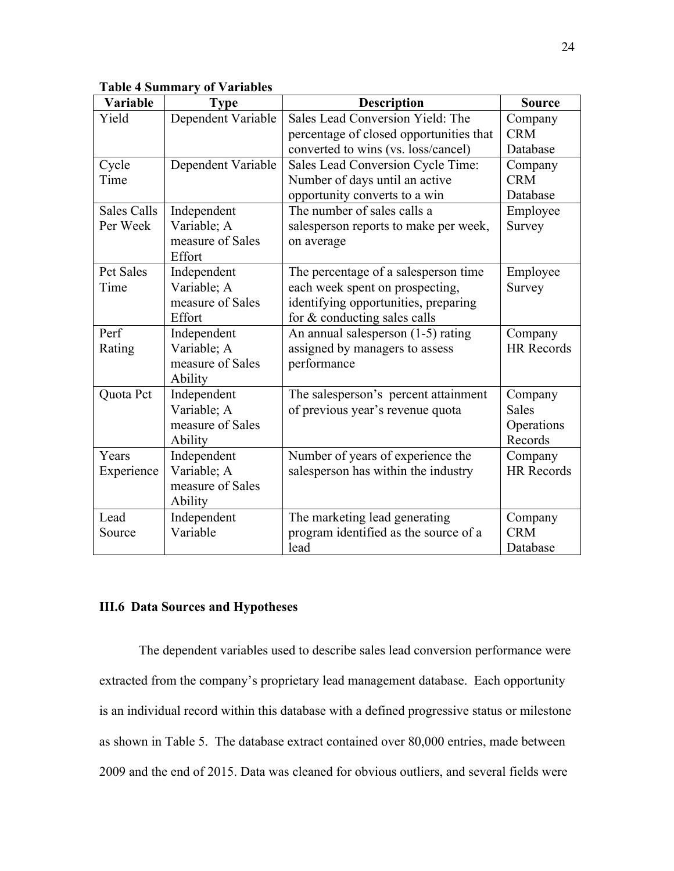## **Table 4 Summary of Variables**

| Variable           | <b>Type</b>        | <b>Description</b>                      | <b>Source</b>     |
|--------------------|--------------------|-----------------------------------------|-------------------|
| Yield              | Dependent Variable | Sales Lead Conversion Yield: The        | Company           |
|                    |                    | percentage of closed opportunities that | <b>CRM</b>        |
|                    |                    | converted to wins (vs. loss/cancel)     | Database          |
| Cycle              | Dependent Variable | Sales Lead Conversion Cycle Time:       | Company           |
| Time               |                    | Number of days until an active          | <b>CRM</b>        |
|                    |                    | opportunity converts to a win           | Database          |
| <b>Sales Calls</b> | Independent        | The number of sales calls a             | Employee          |
| Per Week           | Variable; A        | salesperson reports to make per week,   | Survey            |
|                    | measure of Sales   | on average                              |                   |
|                    | Effort             |                                         |                   |
| <b>Pct Sales</b>   | Independent        | The percentage of a salesperson time    | Employee          |
| Time               | Variable; A        | each week spent on prospecting,         | Survey            |
|                    | measure of Sales   | identifying opportunities, preparing    |                   |
|                    | Effort             | for & conducting sales calls            |                   |
| Perf               | Independent        | An annual salesperson (1-5) rating      | Company           |
| Rating             | Variable; A        | assigned by managers to assess          | <b>HR</b> Records |
|                    | measure of Sales   | performance                             |                   |
|                    | Ability            |                                         |                   |
| Quota Pct          | Independent        | The salesperson's percent attainment    | Company           |
|                    | Variable; A        | of previous year's revenue quota        | <b>Sales</b>      |
|                    | measure of Sales   |                                         | Operations        |
|                    | Ability            |                                         | Records           |
| Years              | Independent        | Number of years of experience the       | Company           |
| Experience         | Variable; A        | salesperson has within the industry     | <b>HR</b> Records |
|                    | measure of Sales   |                                         |                   |
|                    | Ability            |                                         |                   |
| Lead               | Independent        | The marketing lead generating           | Company           |
| Source             | Variable           | program identified as the source of a   | <b>CRM</b>        |
|                    |                    | lead                                    | Database          |

## **III.6 Data Sources and Hypotheses**

 The dependent variables used to describe sales lead conversion performance were extracted from the company's proprietary lead management database. Each opportunity is an individual record within this database with a defined progressive status or milestone as shown in Table 5. The database extract contained over 80,000 entries, made between 2009 and the end of 2015. Data was cleaned for obvious outliers, and several fields were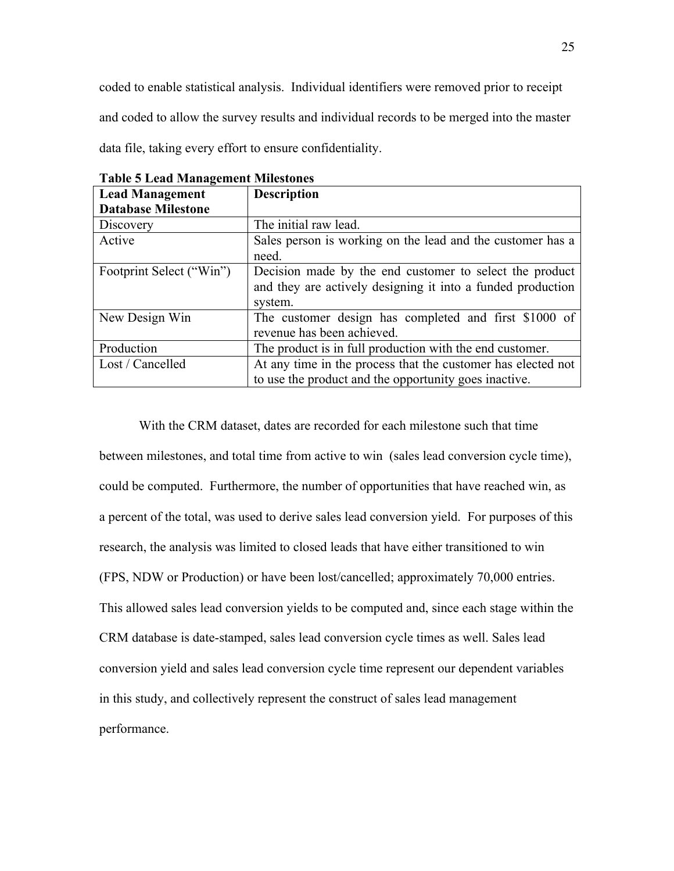coded to enable statistical analysis. Individual identifiers were removed prior to receipt and coded to allow the survey results and individual records to be merged into the master

data file, taking every effort to ensure confidentiality.

| <b>Lead Management</b>    | <b>Description</b>                                           |
|---------------------------|--------------------------------------------------------------|
| <b>Database Milestone</b> |                                                              |
| Discovery                 | The initial raw lead.                                        |
| Active                    | Sales person is working on the lead and the customer has a   |
|                           | need.                                                        |
| Footprint Select ("Win")  | Decision made by the end customer to select the product      |
|                           | and they are actively designing it into a funded production  |
|                           | system.                                                      |
| New Design Win            | The customer design has completed and first \$1000 of        |
|                           | revenue has been achieved.                                   |
| Production                | The product is in full production with the end customer.     |
| Lost / Cancelled          | At any time in the process that the customer has elected not |
|                           | to use the product and the opportunity goes inactive.        |

**Table 5 Lead Management Milestones**

With the CRM dataset, dates are recorded for each milestone such that time between milestones, and total time from active to win (sales lead conversion cycle time), could be computed. Furthermore, the number of opportunities that have reached win, as a percent of the total, was used to derive sales lead conversion yield. For purposes of this research, the analysis was limited to closed leads that have either transitioned to win (FPS, NDW or Production) or have been lost/cancelled; approximately 70,000 entries. This allowed sales lead conversion yields to be computed and, since each stage within the CRM database is date-stamped, sales lead conversion cycle times as well. Sales lead conversion yield and sales lead conversion cycle time represent our dependent variables in this study, and collectively represent the construct of sales lead management performance.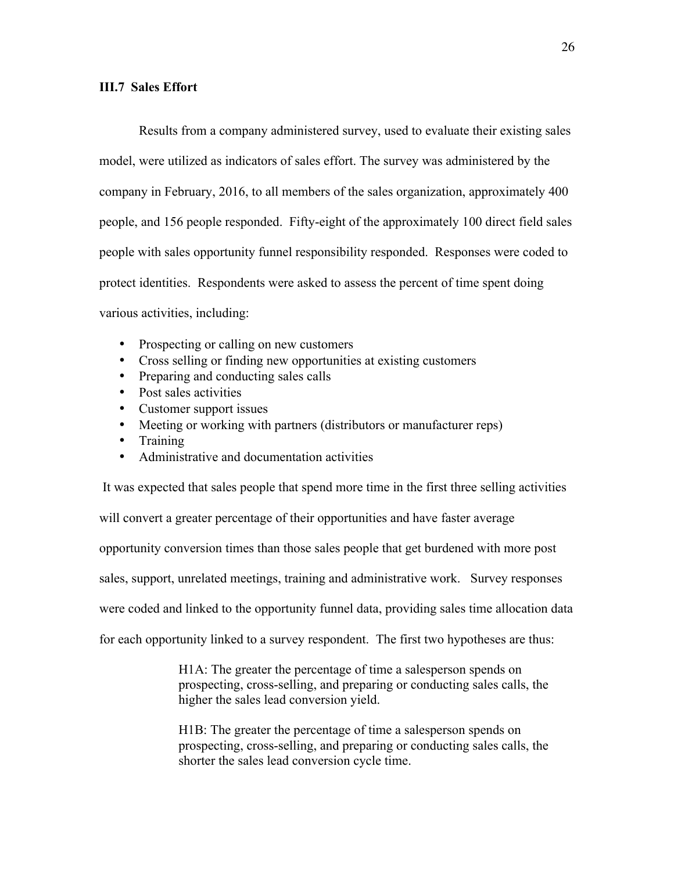### **III.7 Sales Effort**

 Results from a company administered survey, used to evaluate their existing sales model, were utilized as indicators of sales effort. The survey was administered by the company in February, 2016, to all members of the sales organization, approximately 400 people, and 156 people responded. Fifty-eight of the approximately 100 direct field sales people with sales opportunity funnel responsibility responded. Responses were coded to protect identities. Respondents were asked to assess the percent of time spent doing various activities, including:

- Prospecting or calling on new customers
- Cross selling or finding new opportunities at existing customers
- Preparing and conducting sales calls
- Post sales activities
- Customer support issues
- Meeting or working with partners (distributors or manufacturer reps)
- Training
- Administrative and documentation activities

It was expected that sales people that spend more time in the first three selling activities will convert a greater percentage of their opportunities and have faster average opportunity conversion times than those sales people that get burdened with more post sales, support, unrelated meetings, training and administrative work. Survey responses were coded and linked to the opportunity funnel data, providing sales time allocation data for each opportunity linked to a survey respondent. The first two hypotheses are thus:

> H1A: The greater the percentage of time a salesperson spends on prospecting, cross-selling, and preparing or conducting sales calls, the higher the sales lead conversion yield.

> H1B: The greater the percentage of time a salesperson spends on prospecting, cross-selling, and preparing or conducting sales calls, the shorter the sales lead conversion cycle time.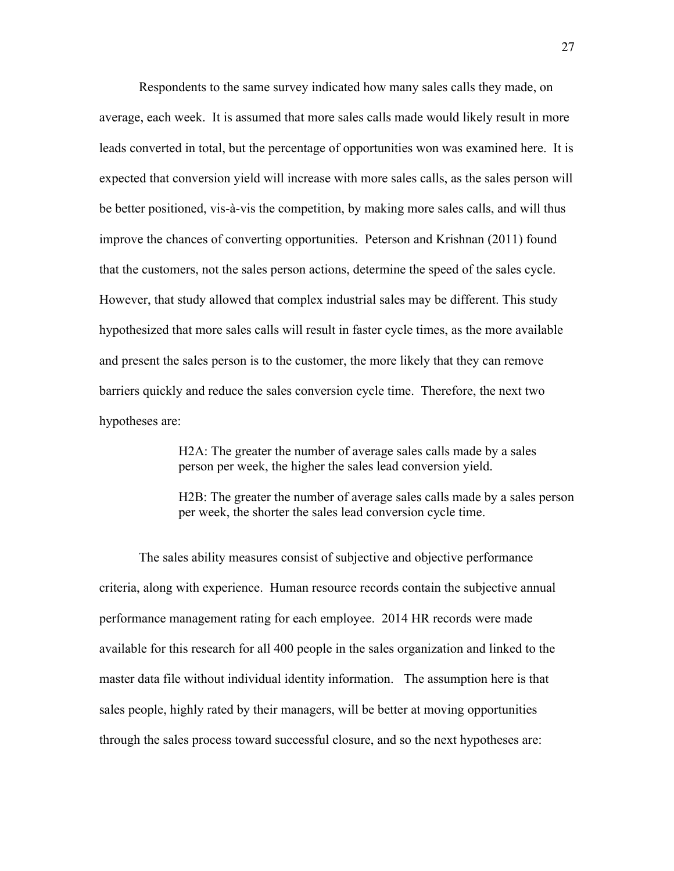Respondents to the same survey indicated how many sales calls they made, on average, each week. It is assumed that more sales calls made would likely result in more leads converted in total, but the percentage of opportunities won was examined here. It is expected that conversion yield will increase with more sales calls, as the sales person will be better positioned, vis-à-vis the competition, by making more sales calls, and will thus improve the chances of converting opportunities. Peterson and Krishnan (2011) found that the customers, not the sales person actions, determine the speed of the sales cycle. However, that study allowed that complex industrial sales may be different. This study hypothesized that more sales calls will result in faster cycle times, as the more available and present the sales person is to the customer, the more likely that they can remove barriers quickly and reduce the sales conversion cycle time. Therefore, the next two hypotheses are:

> H2A: The greater the number of average sales calls made by a sales person per week, the higher the sales lead conversion yield.

H2B: The greater the number of average sales calls made by a sales person per week, the shorter the sales lead conversion cycle time.

 The sales ability measures consist of subjective and objective performance criteria, along with experience. Human resource records contain the subjective annual performance management rating for each employee. 2014 HR records were made available for this research for all 400 people in the sales organization and linked to the master data file without individual identity information. The assumption here is that sales people, highly rated by their managers, will be better at moving opportunities through the sales process toward successful closure, and so the next hypotheses are: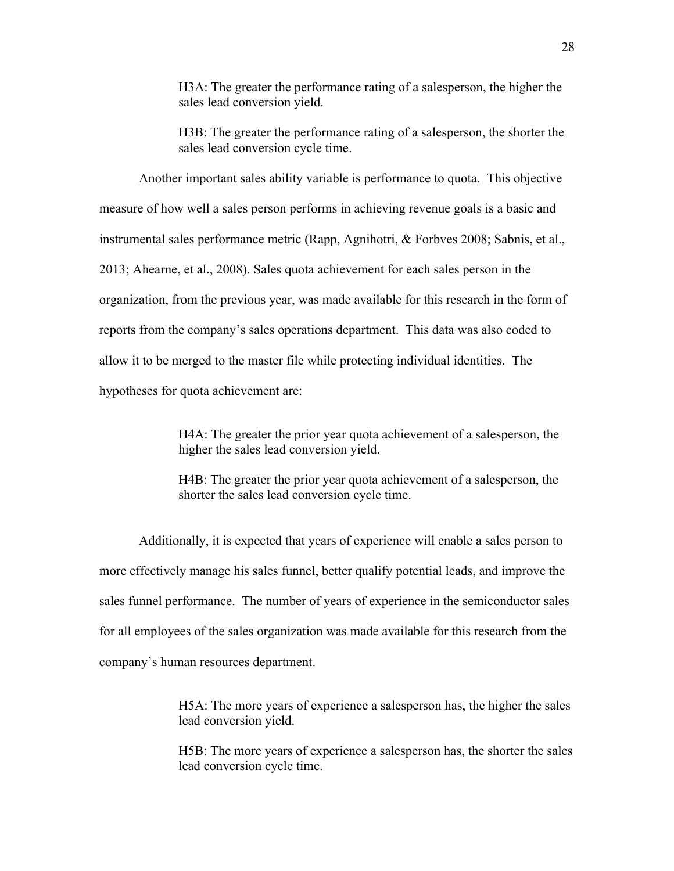H3A: The greater the performance rating of a salesperson, the higher the sales lead conversion yield.

H3B: The greater the performance rating of a salesperson, the shorter the sales lead conversion cycle time.

Another important sales ability variable is performance to quota. This objective measure of how well a sales person performs in achieving revenue goals is a basic and instrumental sales performance metric (Rapp, Agnihotri, & Forbves 2008; Sabnis, et al., 2013; Ahearne, et al., 2008). Sales quota achievement for each sales person in the organization, from the previous year, was made available for this research in the form of reports from the company's sales operations department. This data was also coded to allow it to be merged to the master file while protecting individual identities. The hypotheses for quota achievement are:

> H4A: The greater the prior year quota achievement of a salesperson, the higher the sales lead conversion yield.

> H4B: The greater the prior year quota achievement of a salesperson, the shorter the sales lead conversion cycle time.

 Additionally, it is expected that years of experience will enable a sales person to more effectively manage his sales funnel, better qualify potential leads, and improve the sales funnel performance. The number of years of experience in the semiconductor sales for all employees of the sales organization was made available for this research from the company's human resources department.

> H5A: The more years of experience a salesperson has, the higher the sales lead conversion yield.

> H5B: The more years of experience a salesperson has, the shorter the sales lead conversion cycle time.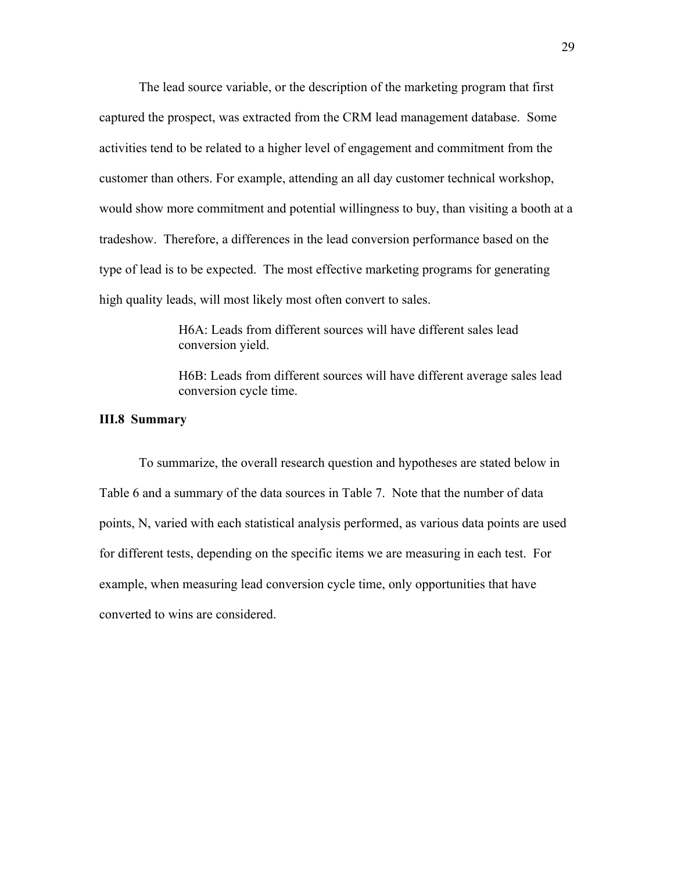The lead source variable, or the description of the marketing program that first captured the prospect, was extracted from the CRM lead management database. Some activities tend to be related to a higher level of engagement and commitment from the customer than others. For example, attending an all day customer technical workshop, would show more commitment and potential willingness to buy, than visiting a booth at a tradeshow. Therefore, a differences in the lead conversion performance based on the type of lead is to be expected. The most effective marketing programs for generating high quality leads, will most likely most often convert to sales.

> H6A: Leads from different sources will have different sales lead conversion yield.

H6B: Leads from different sources will have different average sales lead conversion cycle time.

## **III.8 Summary**

To summarize, the overall research question and hypotheses are stated below in Table 6 and a summary of the data sources in Table 7. Note that the number of data points, N, varied with each statistical analysis performed, as various data points are used for different tests, depending on the specific items we are measuring in each test. For example, when measuring lead conversion cycle time, only opportunities that have converted to wins are considered.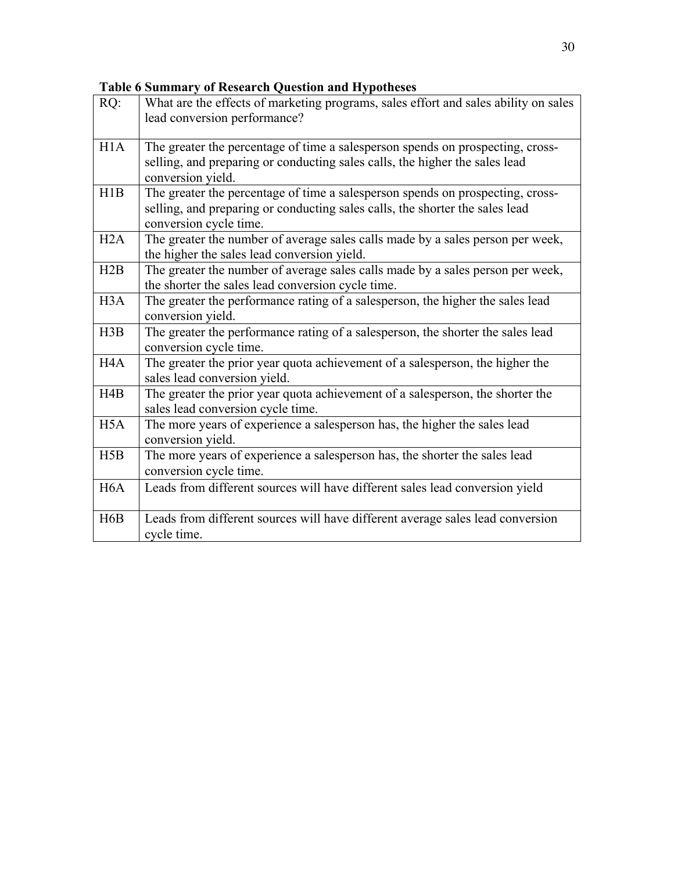# **Table 6 Summary of Research Question and Hypotheses**

| RQ:              | What are the effects of marketing programs, sales effort and sales ability on sales<br>lead conversion performance?                                                                      |
|------------------|------------------------------------------------------------------------------------------------------------------------------------------------------------------------------------------|
| H1A              | The greater the percentage of time a salesperson spends on prospecting, cross-<br>selling, and preparing or conducting sales calls, the higher the sales lead<br>conversion yield.       |
| H1B              | The greater the percentage of time a salesperson spends on prospecting, cross-<br>selling, and preparing or conducting sales calls, the shorter the sales lead<br>conversion cycle time. |
| H2A              | The greater the number of average sales calls made by a sales person per week,<br>the higher the sales lead conversion yield.                                                            |
| H2B              | The greater the number of average sales calls made by a sales person per week,<br>the shorter the sales lead conversion cycle time.                                                      |
| H <sub>3</sub> A | The greater the performance rating of a salesperson, the higher the sales lead<br>conversion yield.                                                                                      |
| H3B              | The greater the performance rating of a salesperson, the shorter the sales lead<br>conversion cycle time.                                                                                |
| H <sub>4</sub> A | The greater the prior year quota achievement of a salesperson, the higher the<br>sales lead conversion yield.                                                                            |
| H4B              | The greater the prior year quota achievement of a salesperson, the shorter the<br>sales lead conversion cycle time.                                                                      |
| H <sub>5</sub> A | The more years of experience a salesperson has, the higher the sales lead<br>conversion yield.                                                                                           |
| H5B              | The more years of experience a salesperson has, the shorter the sales lead<br>conversion cycle time.                                                                                     |
| H <sub>6</sub> A | Leads from different sources will have different sales lead conversion yield                                                                                                             |
| H6B              | Leads from different sources will have different average sales lead conversion<br>cycle time.                                                                                            |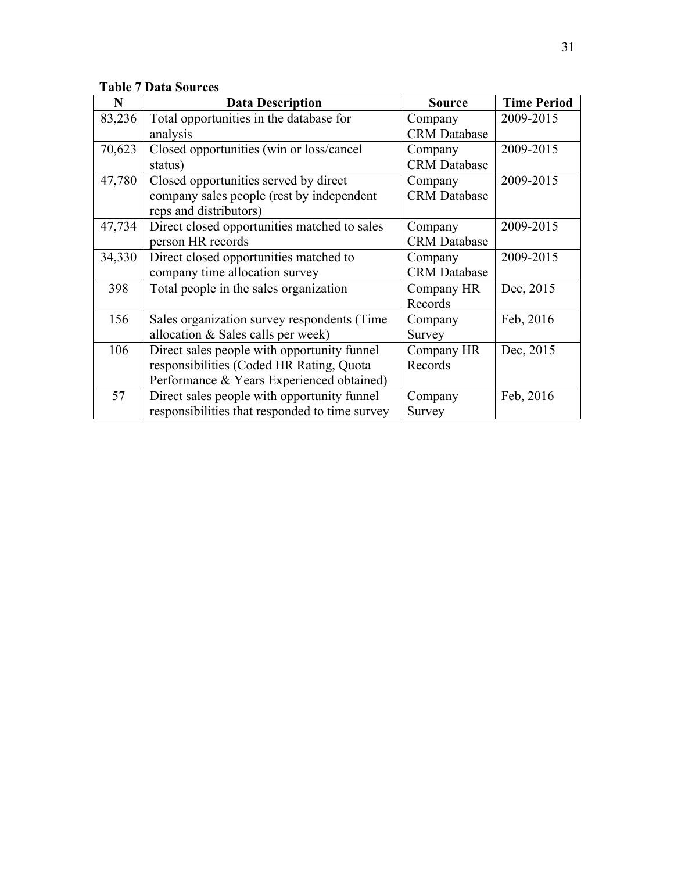|  |  |  | <b>Table 7 Data Sources</b> |
|--|--|--|-----------------------------|
|--|--|--|-----------------------------|

| N      | <b>Data Description</b>                        | <b>Source</b>       | <b>Time Period</b> |
|--------|------------------------------------------------|---------------------|--------------------|
| 83,236 | Total opportunities in the database for        | Company             | 2009-2015          |
|        | analysis                                       | <b>CRM</b> Database |                    |
| 70,623 | Closed opportunities (win or loss/cancel       | Company             | 2009-2015          |
|        | status)                                        | <b>CRM</b> Database |                    |
| 47,780 | Closed opportunities served by direct          | Company             | 2009-2015          |
|        | company sales people (rest by independent      | <b>CRM</b> Database |                    |
|        | reps and distributors)                         |                     |                    |
| 47,734 | Direct closed opportunities matched to sales   | Company             | 2009-2015          |
|        | person HR records                              | <b>CRM</b> Database |                    |
| 34,330 | Direct closed opportunities matched to         | Company             | 2009-2015          |
|        | company time allocation survey                 | <b>CRM</b> Database |                    |
| 398    | Total people in the sales organization         | Company HR          | Dec, 2015          |
|        |                                                | Records             |                    |
| 156    | Sales organization survey respondents (Time    | Company             | Feb, 2016          |
|        | allocation & Sales calls per week)             | Survey              |                    |
| 106    | Direct sales people with opportunity funnel    | Company HR          | Dec, 2015          |
|        | responsibilities (Coded HR Rating, Quota       | Records             |                    |
|        | Performance & Years Experienced obtained)      |                     |                    |
| 57     | Direct sales people with opportunity funnel    | Company             | Feb, 2016          |
|        | responsibilities that responded to time survey | Survey              |                    |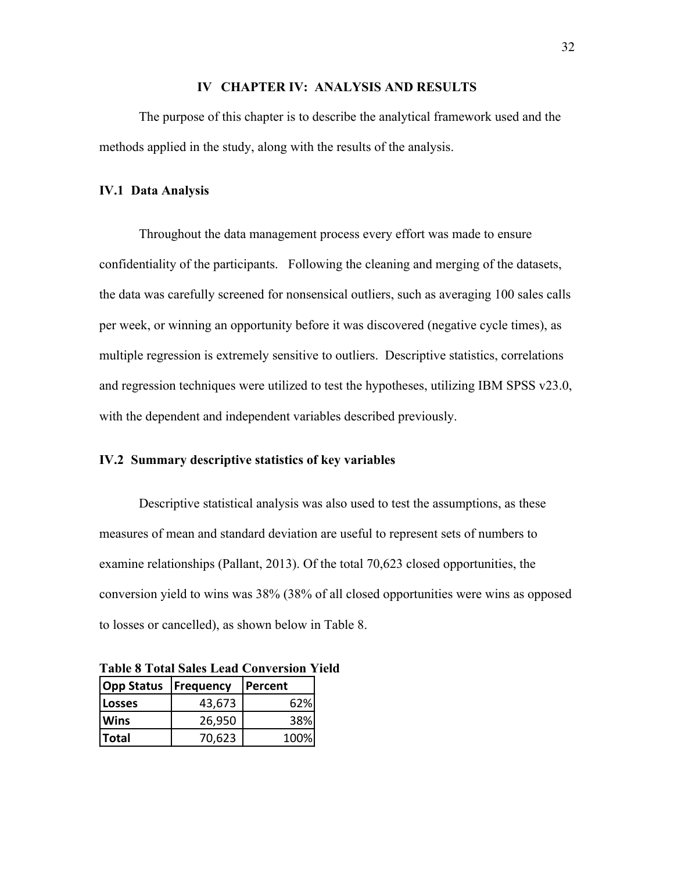## **IV CHAPTER IV: ANALYSIS AND RESULTS**

The purpose of this chapter is to describe the analytical framework used and the methods applied in the study, along with the results of the analysis.

### **IV.1 Data Analysis**

Throughout the data management process every effort was made to ensure confidentiality of the participants. Following the cleaning and merging of the datasets, the data was carefully screened for nonsensical outliers, such as averaging 100 sales calls per week, or winning an opportunity before it was discovered (negative cycle times), as multiple regression is extremely sensitive to outliers. Descriptive statistics, correlations and regression techniques were utilized to test the hypotheses, utilizing IBM SPSS  $v23.0$ , with the dependent and independent variables described previously.

## **IV.2 Summary descriptive statistics of key variables**

Descriptive statistical analysis was also used to test the assumptions, as these measures of mean and standard deviation are useful to represent sets of numbers to examine relationships (Pallant, 2013). Of the total 70,623 closed opportunities, the conversion yield to wins was 38% (38% of all closed opportunities were wins as opposed to losses or cancelled), as shown below in Table 8.

| <b>Opp Status   Frequency</b> |        | <b>Percent</b> |  |
|-------------------------------|--------|----------------|--|
| <b>Losses</b>                 | 43,673 | 62%            |  |
| <b>Wins</b>                   | 26,950 | 38%            |  |
| <b>Total</b>                  | 70,623 | 100%           |  |

**Table 8 Total Sales Lead Conversion Yield**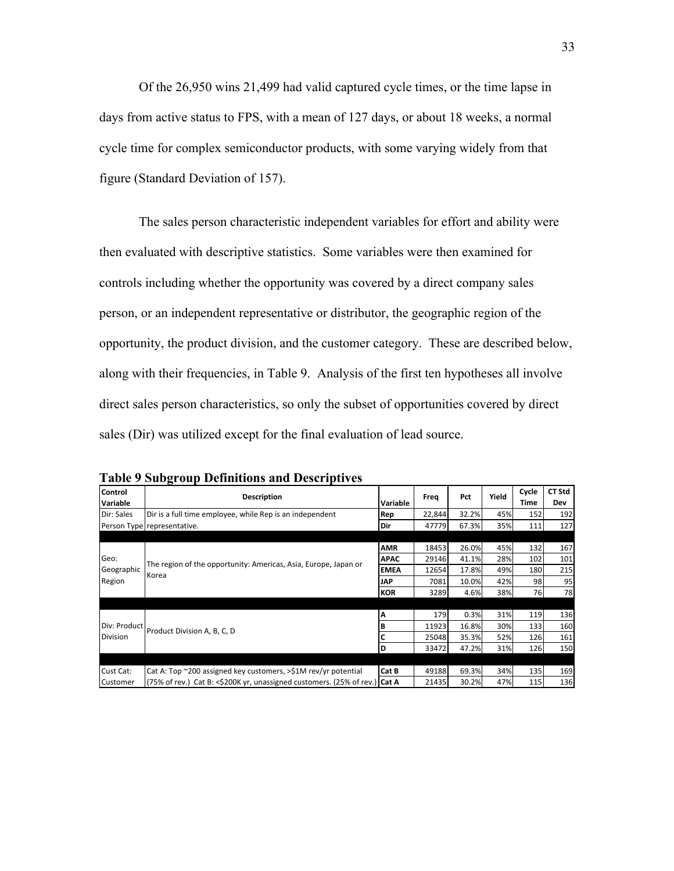Of the 26,950 wins 21,499 had valid captured cycle times, or the time lapse in days from active status to FPS, with a mean of 127 days, or about 18 weeks, a normal cycle time for complex semiconductor products, with some varying widely from that figure (Standard Deviation of 157).

The sales person characteristic independent variables for effort and ability were then evaluated with descriptive statistics. Some variables were then examined for controls including whether the opportunity was covered by a direct company sales person, or an independent representative or distributor, the geographic region of the opportunity, the product division, and the customer category. These are described below, along with their frequencies, in Table 9. Analysis of the first ten hypotheses all involve direct sales person characteristics, so only the subset of opportunities covered by direct sales (Dir) was utilized except for the final evaluation of lead source.

| <b>Control</b>  | <b>Description</b>                                                         |             | Freq   | Pct   | Yield | Cycle | <b>CT Std</b> |
|-----------------|----------------------------------------------------------------------------|-------------|--------|-------|-------|-------|---------------|
| <b>Variable</b> |                                                                            | Variable    |        |       |       | Time  | Dev           |
| Dir: Sales      | Dir is a full time employee, while Rep is an independent                   | Rep         | 22,844 | 32.2% | 45%   | 152   | 192           |
|                 | Person Type representative.                                                | Dir         | 47779  | 67.3% | 35%   | 111   | 127           |
|                 |                                                                            |             |        |       |       |       |               |
|                 |                                                                            | <b>AMR</b>  | 18453  | 26.0% | 45%   | 132   | 167           |
| Geo:            | The region of the opportunity: Americas, Asia, Europe, Japan or            | <b>APAC</b> | 29146  | 41.1% | 28%   | 102   | 101           |
| Geographic      | Korea                                                                      | <b>EMEA</b> | 12654  | 17.8% | 49%   | 180   | 215           |
| Region          |                                                                            | <b>JAP</b>  | 7081   | 10.0% | 42%   | 98    | 95            |
|                 |                                                                            | <b>KOR</b>  | 3289   | 4.6%  | 38%   | 76    | 78            |
|                 |                                                                            |             |        |       |       |       |               |
|                 |                                                                            | Α           | 179    | 0.3%  | 31%   | 119   | 136           |
| Div: Product    | Product Division A, B, C, D                                                |             | 11923  | 16.8% | 30%   | 133   | 160           |
| <b>Division</b> |                                                                            | C           | 25048  | 35.3% | 52%   | 126   | 161           |
|                 |                                                                            | D           | 33472  | 47.2% | 31%   | 126   | 150           |
|                 |                                                                            |             |        |       |       |       |               |
| Cust Cat:       | Cat A: Top ~200 assigned key customers, >\$1M rev/yr potential             | Cat B       | 49188  | 69.3% | 34%   | 135   | 169           |
| Customer        | (75% of rev.) Cat B: <\$200K yr, unassigned customers. (25% of rev.) Cat A |             | 21435  | 30.2% | 47%   | 115   | 136           |

**Table 9 Subgroup Definitions and Descriptives**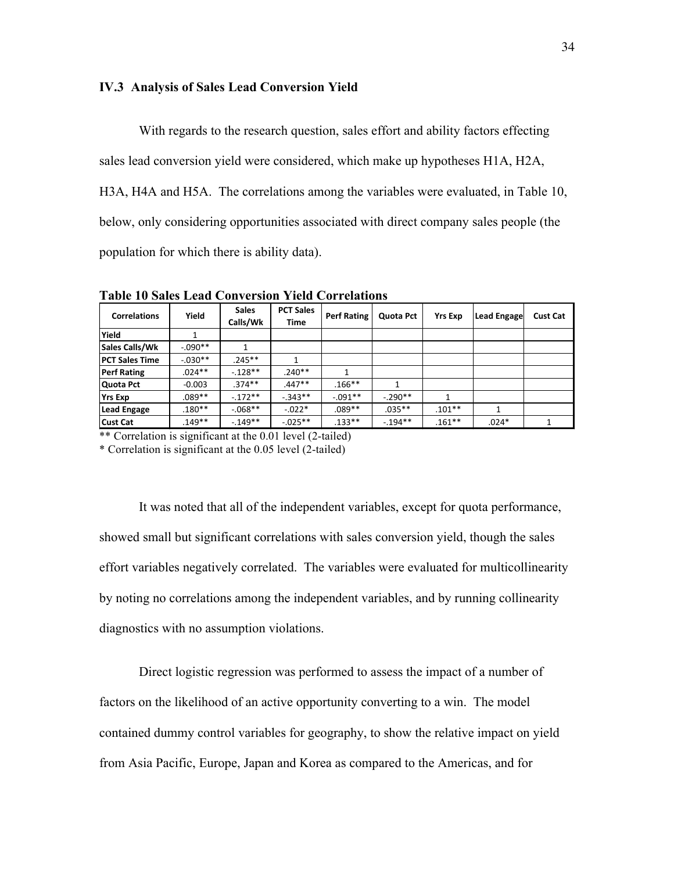### **IV.3 Analysis of Sales Lead Conversion Yield**

With regards to the research question, sales effort and ability factors effecting sales lead conversion yield were considered, which make up hypotheses H1A, H2A, H3A, H4A and H5A. The correlations among the variables were evaluated, in Table 10, below, only considering opportunities associated with direct company sales people (the population for which there is ability data).

| <b>Correlations</b>   | Yield     | <b>Sales</b><br>Calls/Wk | <b>PCT Sales</b><br><b>Time</b> | <b>Perf Rating</b> | Quota Pct | <b>Yrs Exp</b> | <b>Lead Engage</b> | <b>Cust Cat</b> |
|-----------------------|-----------|--------------------------|---------------------------------|--------------------|-----------|----------------|--------------------|-----------------|
| Yield                 |           |                          |                                 |                    |           |                |                    |                 |
| <b>Sales Calls/Wk</b> | $-.090**$ |                          |                                 |                    |           |                |                    |                 |
| <b>PCT Sales Time</b> | $-.030**$ | $.245**$                 |                                 |                    |           |                |                    |                 |
| <b>Perf Rating</b>    | $.024**$  | $-.128**$                | $.240**$                        | 1                  |           |                |                    |                 |
| Quota Pct             | $-0.003$  | $.374**$                 | $.447**$                        | $.166***$          |           |                |                    |                 |
| <b>Yrs Exp</b>        | $.089**$  | $-.172**$                | $-0.343**$                      | $-.091**$          | $-.290**$ |                |                    |                 |
| <b>Lead Engage</b>    | $.180**$  | $-0.068**$               | $-0.022*$                       | $.089**$           | $.035***$ | $.101**$       | 1                  |                 |
| <b>Cust Cat</b>       | $.149**$  | $-149**$                 | $-.025**$                       | $.133**$           | $-194**$  | $.161***$      | $.024*$            |                 |

**Table 10 Sales Lead Conversion Yield Correlations** Correlations

\*\* Correlation is significant at the 0.01 level (2-tailed)

\* Correlation is significant at the 0.05 level (2-tailed)

It was noted that all of the independent variables, except for quota performance, showed small but significant correlations with sales conversion yield, though the sales effort variables negatively correlated. The variables were evaluated for multicollinearity by noting no correlations among the independent variables, and by running collinearity diagnostics with no assumption violations.

Direct logistic regression was performed to assess the impact of a number of factors on the likelihood of an active opportunity converting to a win. The model contained dummy control variables for geography, to show the relative impact on yield from Asia Pacific, Europe, Japan and Korea as compared to the Americas, and for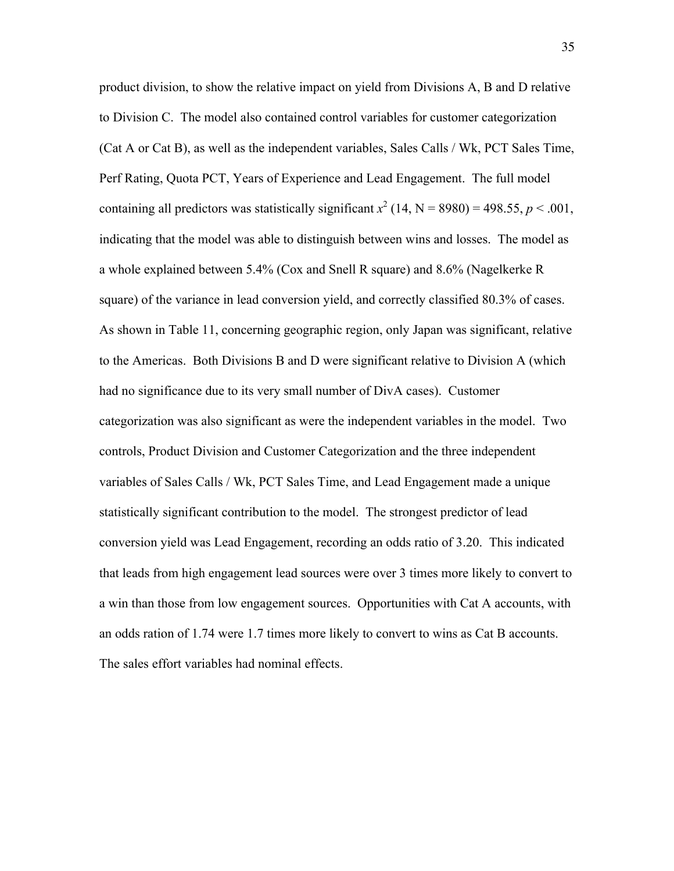product division, to show the relative impact on yield from Divisions A, B and D relative to Division C. The model also contained control variables for customer categorization (Cat A or Cat B), as well as the independent variables, Sales Calls / Wk, PCT Sales Time, Perf Rating, Quota PCT, Years of Experience and Lead Engagement. The full model containing all predictors was statistically significant  $x^2$  (14, N = 8980) = 498.55,  $p < .001$ , indicating that the model was able to distinguish between wins and losses. The model as a whole explained between 5.4% (Cox and Snell R square) and 8.6% (Nagelkerke R square) of the variance in lead conversion yield, and correctly classified 80.3% of cases. As shown in Table 11, concerning geographic region, only Japan was significant, relative to the Americas. Both Divisions B and D were significant relative to Division A (which had no significance due to its very small number of DivA cases). Customer categorization was also significant as were the independent variables in the model. Two controls, Product Division and Customer Categorization and the three independent variables of Sales Calls / Wk, PCT Sales Time, and Lead Engagement made a unique statistically significant contribution to the model. The strongest predictor of lead conversion yield was Lead Engagement, recording an odds ratio of 3.20. This indicated that leads from high engagement lead sources were over 3 times more likely to convert to a win than those from low engagement sources. Opportunities with Cat A accounts, with an odds ration of 1.74 were 1.7 times more likely to convert to wins as Cat B accounts. The sales effort variables had nominal effects.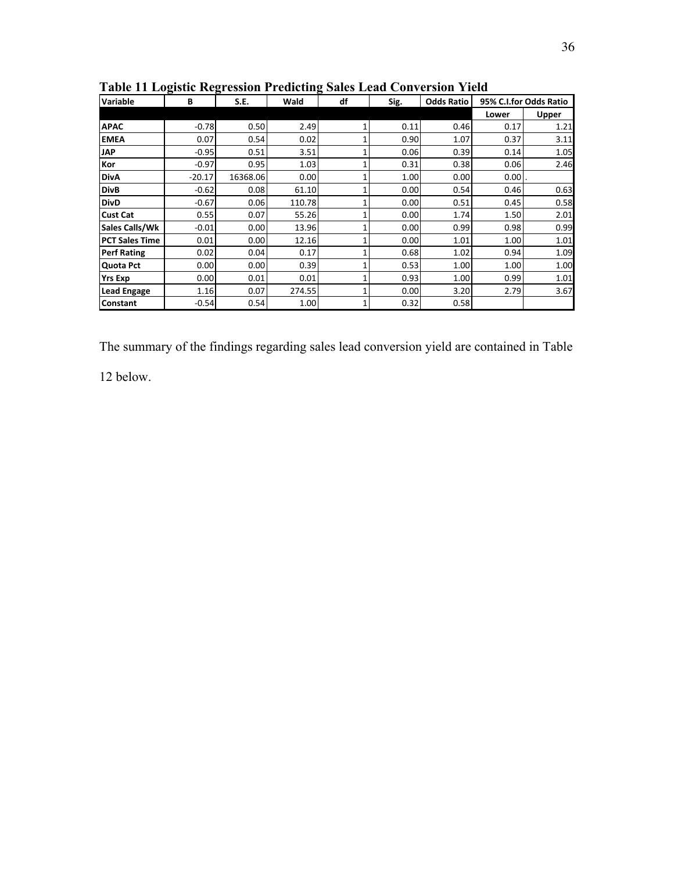| <b>Variable</b>       | В        | S.E.     | Wald   | df | Sig. | <b>Odds Ratio</b> |       | 95% C.I.for Odds Ratio |
|-----------------------|----------|----------|--------|----|------|-------------------|-------|------------------------|
|                       |          |          |        |    |      |                   | Lower | Upper                  |
| <b>APAC</b>           | $-0.78$  | 0.50     | 2.49   |    | 0.11 | 0.46              | 0.17  | 1.21                   |
| <b>EMEA</b>           | 0.07     | 0.54     | 0.02   |    | 0.90 | 1.07              | 0.37  | 3.11                   |
| <b>JAP</b>            | $-0.95$  | 0.51     | 3.51   |    | 0.06 | 0.39              | 0.14  | 1.05                   |
| Kor                   | $-0.97$  | 0.95     | 1.03   |    | 0.31 | 0.38              | 0.06  | 2.46                   |
| <b>DivA</b>           | $-20.17$ | 16368.06 | 0.00   |    | 1.00 | 0.00              | 0.001 |                        |
| <b>DivB</b>           | $-0.62$  | 0.08     | 61.10  |    | 0.00 | 0.54              | 0.46  | 0.63                   |
| <b>DivD</b>           | $-0.67$  | 0.06     | 110.78 |    | 0.00 | 0.51              | 0.45  | 0.58                   |
| <b>Cust Cat</b>       | 0.55     | 0.07     | 55.26  |    | 0.00 | 1.74              | 1.50  | 2.01                   |
| Sales Calls/Wk        | $-0.01$  | 0.00     | 13.96  |    | 0.00 | 0.99              | 0.98  | 0.99                   |
| <b>PCT Sales Time</b> | 0.01     | 0.00     | 12.16  |    | 0.00 | 1.01              | 1.00  | 1.01                   |
| <b>Perf Rating</b>    | 0.02     | 0.04     | 0.17   |    | 0.68 | 1.02              | 0.94  | 1.09                   |
| Quota Pct             | 0.00     | 0.00     | 0.39   |    | 0.53 | 1.00              | 1.00  | 1.00                   |
| <b>Yrs Exp</b>        | 0.00     | 0.01     | 0.01   |    | 0.93 | 1.00 <sub>l</sub> | 0.99  | 1.01                   |
| <b>Lead Engage</b>    | 1.16     | 0.07     | 274.55 |    | 0.00 | 3.20              | 2.79  | 3.67                   |
| Constant              | $-0.54$  | 0.54     | 1.00   |    | 0.32 | 0.58              |       |                        |

**Table 11 Logistic Regression Predicting Sales Lead Conversion Yield** 

The summary of the findings regarding sales lead conversion yield are contained in Table

12 below.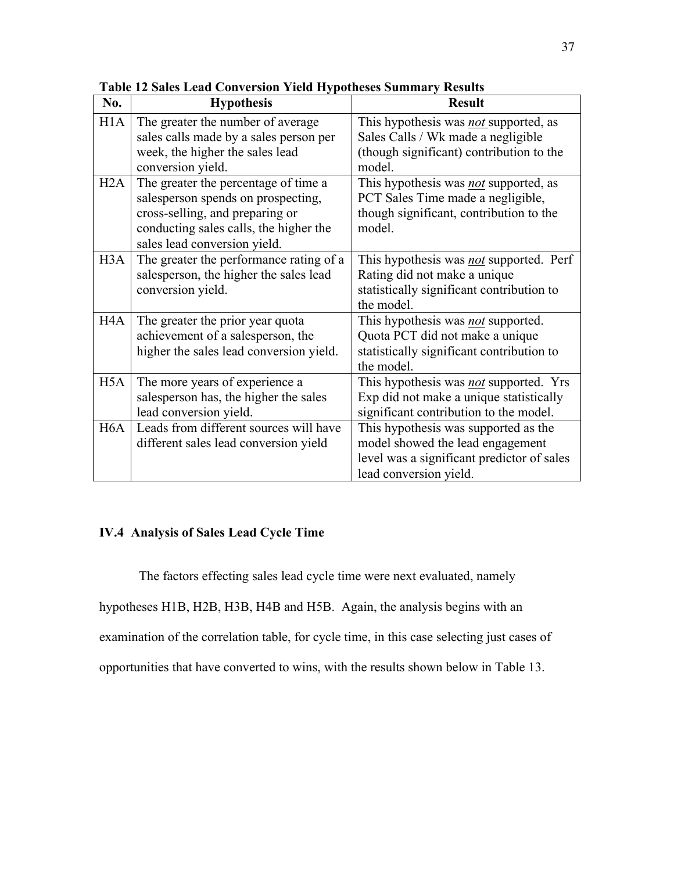| No.              | <b>Hypothesis</b>                                                                                              | <b>Result</b>                                                                                                                  |
|------------------|----------------------------------------------------------------------------------------------------------------|--------------------------------------------------------------------------------------------------------------------------------|
| H1A              | The greater the number of average<br>sales calls made by a sales person per<br>week, the higher the sales lead | This hypothesis was <i>not</i> supported, as<br>Sales Calls / Wk made a negligible<br>(though significant) contribution to the |
|                  | conversion yield.                                                                                              | model.                                                                                                                         |
| H2A              | The greater the percentage of time a                                                                           | This hypothesis was not supported, as                                                                                          |
|                  | salesperson spends on prospecting,                                                                             | PCT Sales Time made a negligible,                                                                                              |
|                  | cross-selling, and preparing or                                                                                | though significant, contribution to the                                                                                        |
|                  | conducting sales calls, the higher the                                                                         | model.                                                                                                                         |
|                  | sales lead conversion yield.                                                                                   |                                                                                                                                |
| H3A              | The greater the performance rating of a                                                                        | This hypothesis was not supported. Perf                                                                                        |
|                  | salesperson, the higher the sales lead                                                                         | Rating did not make a unique                                                                                                   |
|                  | conversion yield.                                                                                              | statistically significant contribution to<br>the model.                                                                        |
| H4A              | The greater the prior year quota                                                                               | This hypothesis was <i>not</i> supported.                                                                                      |
|                  | achievement of a salesperson, the                                                                              | Quota PCT did not make a unique                                                                                                |
|                  | higher the sales lead conversion yield.                                                                        | statistically significant contribution to                                                                                      |
|                  |                                                                                                                | the model.                                                                                                                     |
| H5A              | The more years of experience a                                                                                 | This hypothesis was not supported. Yrs                                                                                         |
|                  | salesperson has, the higher the sales                                                                          | Exp did not make a unique statistically                                                                                        |
|                  | lead conversion yield.                                                                                         | significant contribution to the model.                                                                                         |
| H <sub>6</sub> A | Leads from different sources will have                                                                         | This hypothesis was supported as the                                                                                           |
|                  | different sales lead conversion yield                                                                          | model showed the lead engagement                                                                                               |
|                  |                                                                                                                | level was a significant predictor of sales                                                                                     |
|                  |                                                                                                                | lead conversion yield.                                                                                                         |

**Table 12 Sales Lead Conversion Yield Hypotheses Summary Results**

# **IV.4 Analysis of Sales Lead Cycle Time**

The factors effecting sales lead cycle time were next evaluated, namely hypotheses H1B, H2B, H3B, H4B and H5B. Again, the analysis begins with an examination of the correlation table, for cycle time, in this case selecting just cases of opportunities that have converted to wins, with the results shown below in Table 13.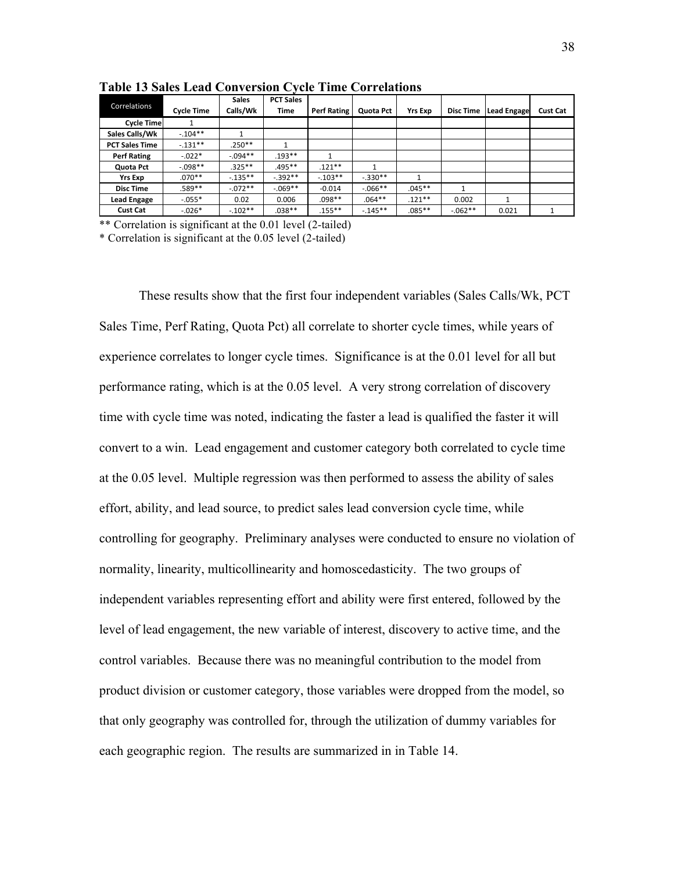| Correlations          | <b>Cycle Time</b> | <b>Sales</b><br>Calls/Wk | <b>PCT Sales</b><br>Time | <b>Perf Rating</b> | Quota Pct  | <b>Yrs Exp</b> | <b>Disc Time</b> | <b>Lead Engage</b> | <b>Cust Cat</b> |
|-----------------------|-------------------|--------------------------|--------------------------|--------------------|------------|----------------|------------------|--------------------|-----------------|
| <b>Cycle Time</b>     |                   |                          |                          |                    |            |                |                  |                    |                 |
| Sales Calls/Wk        | $-.104**$         |                          |                          |                    |            |                |                  |                    |                 |
| <b>PCT Sales Time</b> | $-.131**$         | $.250**$                 |                          |                    |            |                |                  |                    |                 |
| <b>Perf Rating</b>    | $-.022*$          | $-0.094**$               | $.193***$                |                    |            |                |                  |                    |                 |
| Quota Pct             | $-0.098**$        | $.325***$                | .495**                   | $.121**$           |            |                |                  |                    |                 |
| <b>Yrs Exp</b>        | $.070**$          | $-135**$                 | $-392**$                 | $-.103**$          | $-.330**$  |                |                  |                    |                 |
| <b>Disc Time</b>      | .589**            | $-.072**$                | $-069**$                 | $-0.014$           | $-0.066**$ | $.045**$       | 1                |                    |                 |
| <b>Lead Engage</b>    | $-.055*$          | 0.02                     | 0.006                    | $.098**$           | $.064***$  | $.121**$       | 0.002            |                    |                 |
| <b>Cust Cat</b>       | $-.026*$          | $-0.102**$               | $.038**$                 | $.155***$          | $-145**$   | $.085***$      | $-0.062**$       | 0.021              |                 |

**Table 13 Sales Lead Conversion Cycle Time Correlations**

\*\* Correlation is significant at the 0.01 level (2-tailed)

\* Correlation is significant at the 0.05 level (2-tailed)

These results show that the first four independent variables (Sales Calls/Wk, PCT Sales Time, Perf Rating, Quota Pct) all correlate to shorter cycle times, while years of experience correlates to longer cycle times. Significance is at the 0.01 level for all but performance rating, which is at the 0.05 level. A very strong correlation of discovery time with cycle time was noted, indicating the faster a lead is qualified the faster it will convert to a win. Lead engagement and customer category both correlated to cycle time at the 0.05 level. Multiple regression was then performed to assess the ability of sales effort, ability, and lead source, to predict sales lead conversion cycle time, while controlling for geography. Preliminary analyses were conducted to ensure no violation of normality, linearity, multicollinearity and homoscedasticity. The two groups of independent variables representing effort and ability were first entered, followed by the level of lead engagement, the new variable of interest, discovery to active time, and the control variables. Because there was no meaningful contribution to the model from product division or customer category, those variables were dropped from the model, so that only geography was controlled for, through the utilization of dummy variables for each geographic region. The results are summarized in in Table 14.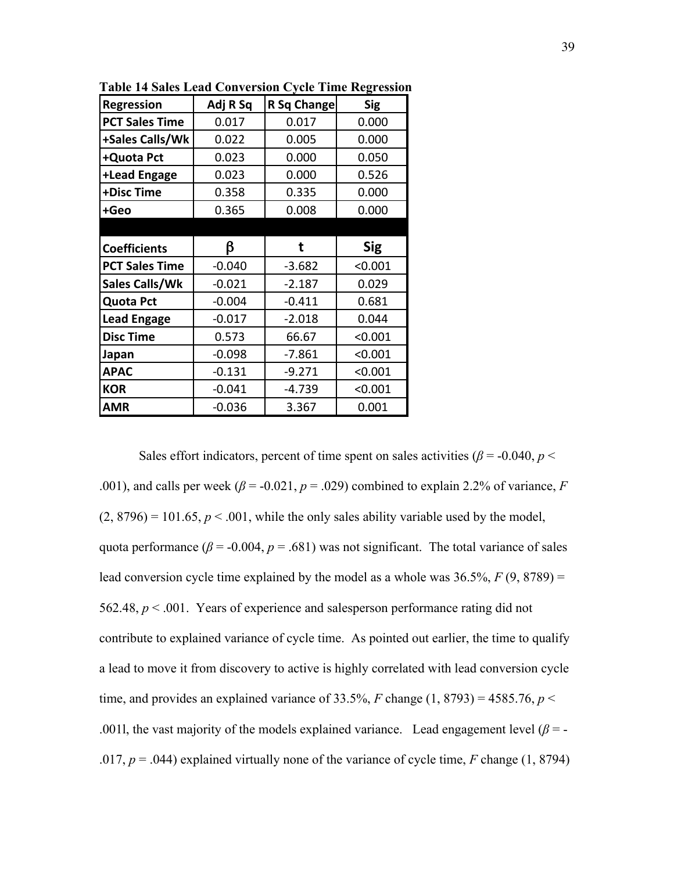| <b>Regression</b>     | Adj R Sq | R Sq Change | <b>Sig</b> |
|-----------------------|----------|-------------|------------|
| <b>PCT Sales Time</b> | 0.017    | 0.017       | 0.000      |
| +Sales Calls/Wk       | 0.022    | 0.005       | 0.000      |
| +Quota Pct            | 0.023    | 0.000       | 0.050      |
| +Lead Engage          | 0.023    | 0.000       | 0.526      |
| +Disc Time            | 0.358    | 0.335       | 0.000      |
| +Geo                  | 0.365    | 0.008       | 0.000      |
|                       |          |             |            |
| <b>Coefficients</b>   | ß        | t           | <b>Sig</b> |
| <b>PCT Sales Time</b> | $-0.040$ | $-3.682$    | < 0.001    |
| Sales Calls/Wk        | $-0.021$ | $-2.187$    | 0.029      |
| <b>Quota Pct</b>      | $-0.004$ | $-0.411$    | 0.681      |
| <b>Lead Engage</b>    | $-0.017$ | $-2.018$    | 0.044      |
| <b>Disc Time</b>      | 0.573    | 66.67       | < 0.001    |
| Japan                 | $-0.098$ | $-7.861$    | < 0.001    |
| <b>APAC</b>           | $-0.131$ | $-9.271$    | < 0.001    |
| <b>KOR</b>            | $-0.041$ | $-4.739$    | < 0.001    |
| <b>AMR</b>            | $-0.036$ | 3.367       | 0.001      |

**Table 14 Sales Lead Conversion Cycle Time Regression**

Sales effort indicators, percent of time spent on sales activities ( $\beta$  = -0.040, *p* < .001), and calls per week ( $\beta$  = -0.021,  $p$  = .029) combined to explain 2.2% of variance, *F*  $(2, 8796) = 101.65$ ,  $p < .001$ , while the only sales ability variable used by the model, quota performance ( $\beta$  = -0.004,  $p$  = .681) was not significant. The total variance of sales lead conversion cycle time explained by the model as a whole was  $36.5\%$ ,  $F(9, 8789) =$ 562.48, *p* < .001. Years of experience and salesperson performance rating did not contribute to explained variance of cycle time. As pointed out earlier, the time to qualify a lead to move it from discovery to active is highly correlated with lead conversion cycle time, and provides an explained variance of 33.5%, *F* change (1, 8793) = 4585.76,  $p$  < .0011, the vast majority of the models explained variance. Lead engagement level  $(\beta = -1)$ .017, *p* = .044) explained virtually none of the variance of cycle time, *F* change (1, 8794)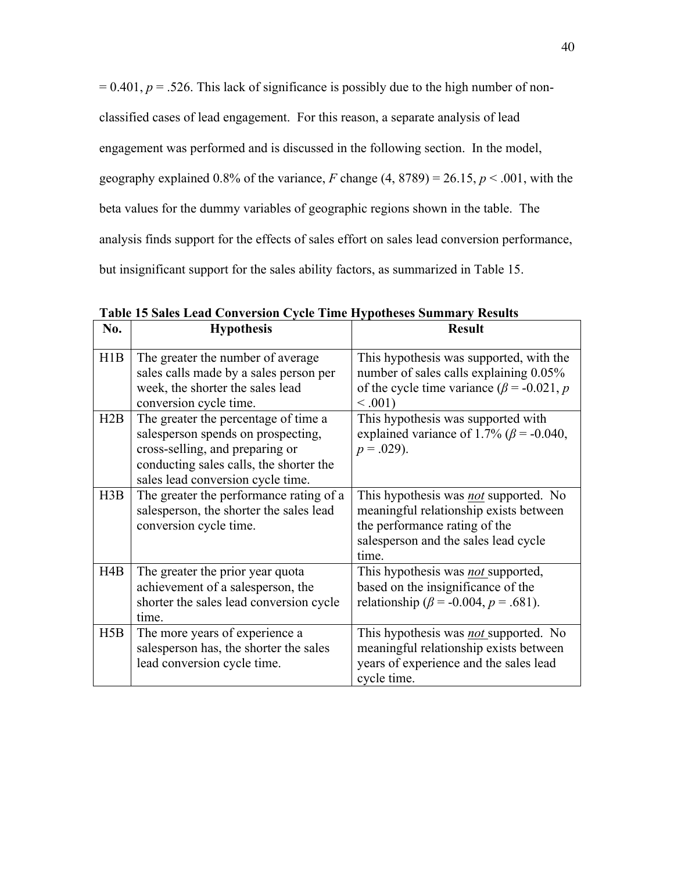$= 0.401$ ,  $p = 0.526$ . This lack of significance is possibly due to the high number of nonclassified cases of lead engagement. For this reason, a separate analysis of lead engagement was performed and is discussed in the following section. In the model, geography explained 0.8% of the variance,  $F$  change (4, 8789) = 26.15,  $p < .001$ , with the beta values for the dummy variables of geographic regions shown in the table. The analysis finds support for the effects of sales effort on sales lead conversion performance, but insignificant support for the sales ability factors, as summarized in Table 15.

| No. | <b>Hypothesis</b>                                                                                                                                                                             | <b>Result</b>                                                                                                                                                     |
|-----|-----------------------------------------------------------------------------------------------------------------------------------------------------------------------------------------------|-------------------------------------------------------------------------------------------------------------------------------------------------------------------|
| H1B | The greater the number of average<br>sales calls made by a sales person per<br>week, the shorter the sales lead<br>conversion cycle time.                                                     | This hypothesis was supported, with the<br>number of sales calls explaining 0.05%<br>of the cycle time variance ( $\beta$ = -0.021, p<br>< 0.001                  |
| H2B | The greater the percentage of time a<br>salesperson spends on prospecting,<br>cross-selling, and preparing or<br>conducting sales calls, the shorter the<br>sales lead conversion cycle time. | This hypothesis was supported with<br>explained variance of 1.7% ( $\beta$ = -0.040,<br>$p = .029$ ).                                                             |
| H3B | The greater the performance rating of a<br>salesperson, the shorter the sales lead<br>conversion cycle time.                                                                                  | This hypothesis was not supported. No<br>meaningful relationship exists between<br>the performance rating of the<br>salesperson and the sales lead cycle<br>time. |
| H4B | The greater the prior year quota<br>achievement of a salesperson, the<br>shorter the sales lead conversion cycle<br>time                                                                      | This hypothesis was not supported,<br>based on the insignificance of the<br>relationship ( $\beta$ = -0.004, $p$ = .681).                                         |
| H5B | The more years of experience a<br>salesperson has, the shorter the sales<br>lead conversion cycle time.                                                                                       | This hypothesis was <i>not</i> supported. No<br>meaningful relationship exists between<br>years of experience and the sales lead<br>cycle time.                   |

**Table 15 Sales Lead Conversion Cycle Time Hypotheses Summary Results**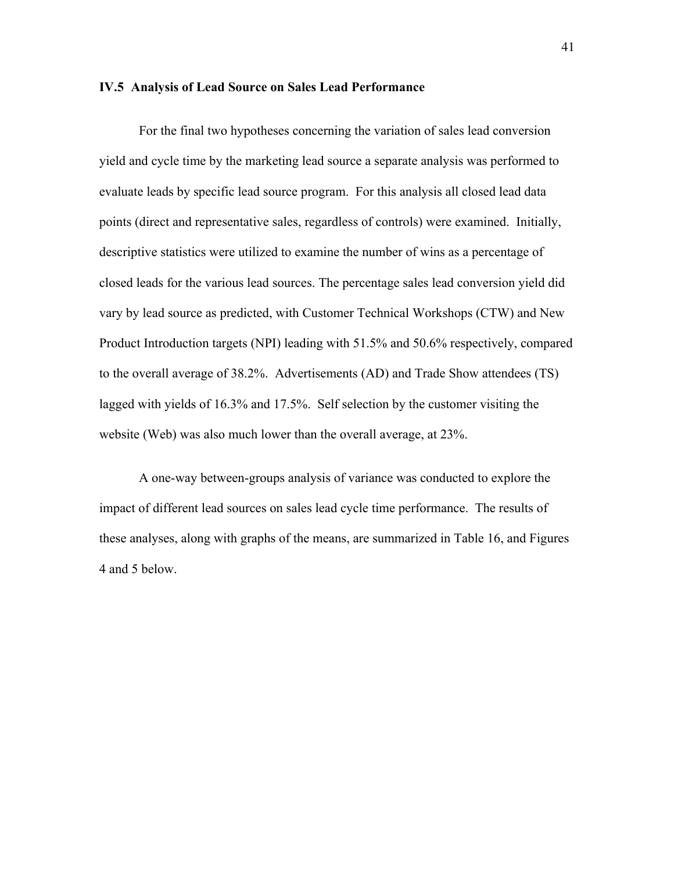#### **IV.5 Analysis of Lead Source on Sales Lead Performance**

For the final two hypotheses concerning the variation of sales lead conversion yield and cycle time by the marketing lead source a separate analysis was performed to evaluate leads by specific lead source program. For this analysis all closed lead data points (direct and representative sales, regardless of controls) were examined. Initially, descriptive statistics were utilized to examine the number of wins as a percentage of closed leads for the various lead sources. The percentage sales lead conversion yield did vary by lead source as predicted, with Customer Technical Workshops (CTW) and New Product Introduction targets (NPI) leading with 51.5% and 50.6% respectively, compared to the overall average of 38.2%. Advertisements (AD) and Trade Show attendees (TS) lagged with yields of 16.3% and 17.5%. Self selection by the customer visiting the website (Web) was also much lower than the overall average, at 23%.

A one-way between-groups analysis of variance was conducted to explore the impact of different lead sources on sales lead cycle time performance. The results of these analyses, along with graphs of the means, are summarized in Table 16, and Figures 4 and 5 below.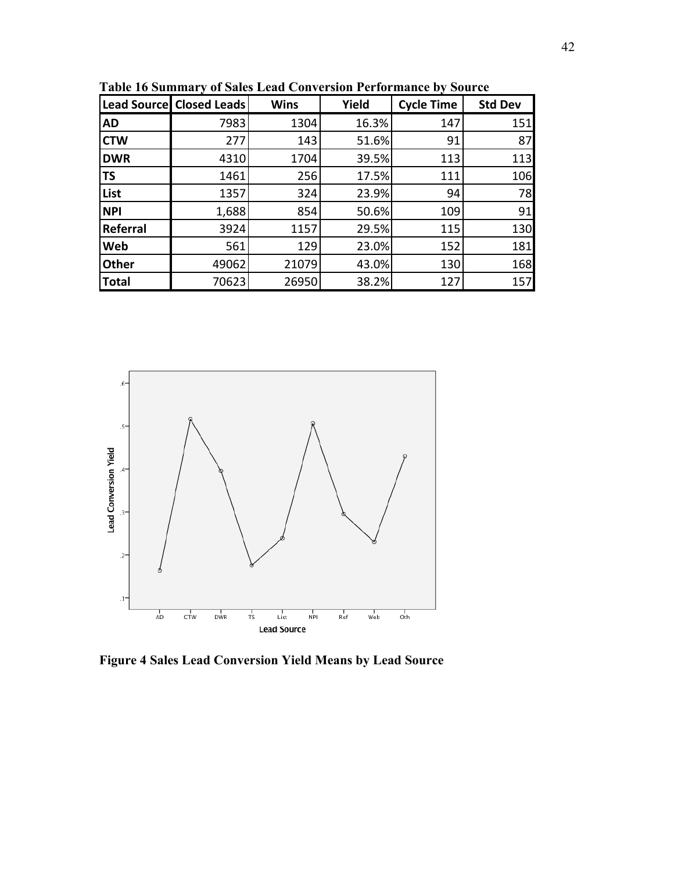|              | Lead Source Closed Leads | <b>Wins</b> | Yield | <b>Cycle Time</b> | <b>Std Dev</b> |
|--------------|--------------------------|-------------|-------|-------------------|----------------|
| <b>AD</b>    | 7983                     | 1304        | 16.3% | 147               | 151            |
| <b>CTW</b>   | 277                      | 143         | 51.6% | 91                | 87             |
| <b>DWR</b>   | 4310                     | 1704        | 39.5% | 113               | 113            |
| <b>TS</b>    | 1461                     | 256         | 17.5% | 111               | 106            |
| List         | 1357                     | 324         | 23.9% | 94                | 78             |
| <b>NPI</b>   | 1,688                    | 854         | 50.6% | 109               | 91             |
| Referral     | 3924                     | 1157        | 29.5% | 115               | 130            |
| Web          | 561                      | 129         | 23.0% | 152               | 181            |
| <b>Other</b> | 49062                    | 21079       | 43.0% | 130               | 168            |
| <b>Total</b> | 70623                    | 26950       | 38.2% | 127               | 157            |

**Table 16 Summary of Sales Lead Conversion Performance by Source**



**Figure 4 Sales Lead Conversion Yield Means by Lead Source**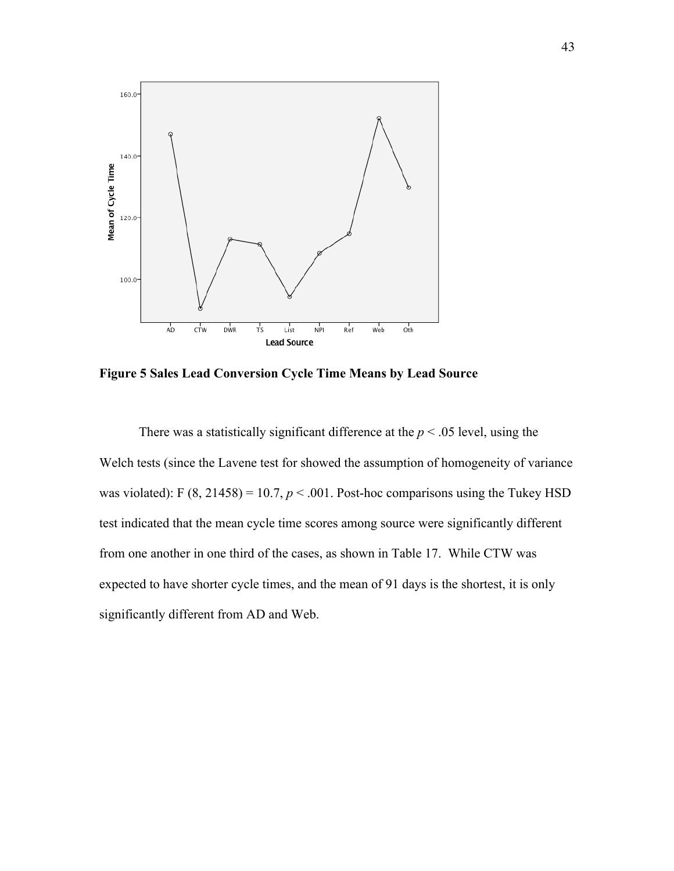

**Figure 5 Sales Lead Conversion Cycle Time Means by Lead Source**

There was a statistically significant difference at the  $p < .05$  level, using the Welch tests (since the Lavene test for showed the assumption of homogeneity of variance was violated): F  $(8, 21458) = 10.7$ ,  $p < .001$ . Post-hoc comparisons using the Tukey HSD test indicated that the mean cycle time scores among source were significantly different from one another in one third of the cases, as shown in Table 17. While CTW was expected to have shorter cycle times, and the mean of 91 days is the shortest, it is only significantly different from AD and Web.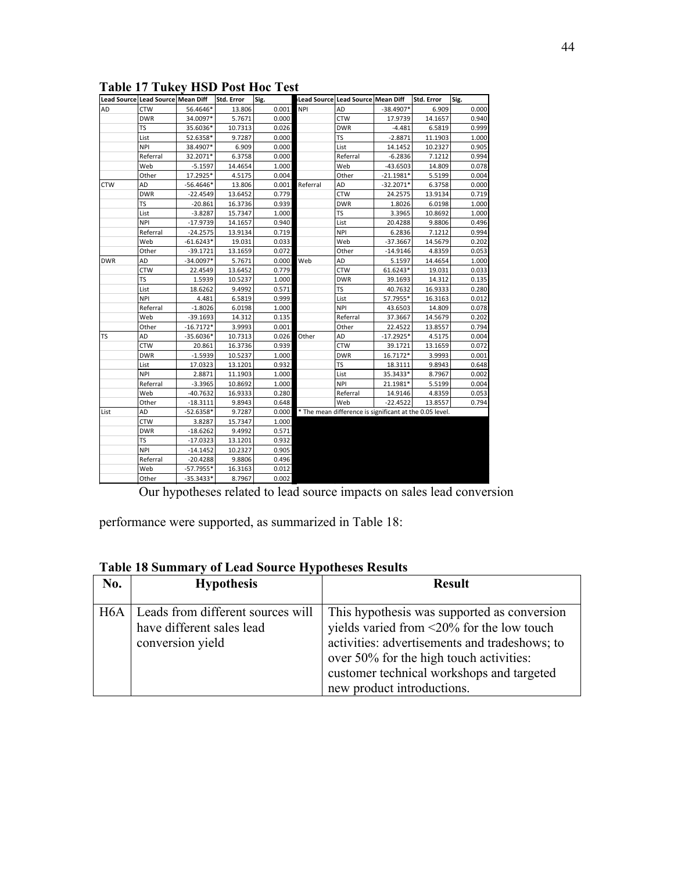| Lead Source Lead Source Mean Diff |            |             | Std. Error | Sig.  |            | Lead Source Lead Source Mean Diff                       |             | <b>Std. Error</b> | Sig.  |
|-----------------------------------|------------|-------------|------------|-------|------------|---------------------------------------------------------|-------------|-------------------|-------|
| AD                                | <b>CTW</b> | 56.4646*    | 13.806     | 0.001 | <b>NPI</b> | AD                                                      | $-38.4907*$ | 6.909             | 0.000 |
|                                   | <b>DWR</b> | 34.0097*    | 5.7671     | 0.000 |            | <b>CTW</b>                                              | 17.9739     | 14.1657           | 0.940 |
|                                   | TS         | 35.6036*    | 10.7313    | 0.026 |            | <b>DWR</b>                                              | $-4.481$    | 6.5819            | 0.999 |
|                                   | List       | 52.6358*    | 9.7287     | 0.000 |            | TS                                                      | $-2.8871$   | 11.1903           | 1.000 |
|                                   | <b>NPI</b> | 38.4907*    | 6.909      | 0.000 |            | List                                                    | 14.1452     | 10.2327           | 0.905 |
|                                   | Referral   | 32.2071*    | 6.3758     | 0.000 |            | Referral                                                | $-6.2836$   | 7.1212            | 0.994 |
|                                   | Web        | $-5.1597$   | 14.4654    | 1.000 |            | Web                                                     | $-43.6503$  | 14.809            | 0.078 |
|                                   | Other      | 17.2925*    | 4.5175     | 0.004 |            | Other                                                   | $-21.1981*$ | 5.5199            | 0.004 |
| CTW                               | AD         | $-56.4646*$ | 13.806     | 0.001 | Referral   | AD                                                      | $-32.2071*$ | 6.3758            | 0.000 |
|                                   | <b>DWR</b> | $-22.4549$  | 13.6452    | 0.779 |            | <b>CTW</b>                                              | 24.2575     | 13.9134           | 0.719 |
|                                   | TS         | $-20.861$   | 16.3736    | 0.939 |            | <b>DWR</b>                                              | 1.8026      | 6.0198            | 1.000 |
|                                   | List       | $-3.8287$   | 15.7347    | 1.000 |            | <b>TS</b>                                               | 3.3965      | 10.8692           | 1.000 |
|                                   | <b>NPI</b> | $-17.9739$  | 14.1657    | 0.940 |            | List                                                    | 20.4288     | 9.8806            | 0.496 |
|                                   | Referral   | $-24.2575$  | 13.9134    | 0.719 |            | <b>NPI</b>                                              | 6.2836      | 7.1212            | 0.994 |
|                                   | Web        | $-61.6243*$ | 19.031     | 0.033 |            | Web                                                     | $-37.3667$  | 14.5679           | 0.202 |
|                                   | Other      | $-39.1721$  | 13.1659    | 0.072 |            | Other                                                   | $-14.9146$  | 4.8359            | 0.053 |
| <b>DWR</b>                        | AD         | $-34.0097*$ | 5.7671     | 0.000 | Web        | AD                                                      | 5.1597      | 14.4654           | 1.000 |
|                                   | <b>CTW</b> | 22.4549     | 13.6452    | 0.779 |            | <b>CTW</b>                                              | 61.6243*    | 19.031            | 0.033 |
|                                   | <b>TS</b>  | 1.5939      | 10.5237    | 1.000 |            | <b>DWR</b>                                              | 39.1693     | 14.312            | 0.135 |
|                                   | List       | 18.6262     | 9.4992     | 0.571 |            | <b>TS</b>                                               | 40.7632     | 16.9333           | 0.280 |
|                                   | <b>NPI</b> | 4.481       | 6.5819     | 0.999 |            | List                                                    | 57.7955*    | 16.3163           | 0.012 |
|                                   | Referral   | $-1.8026$   | 6.0198     | 1.000 |            | NPI                                                     | 43.6503     | 14.809            | 0.078 |
|                                   | Web        | $-39.1693$  | 14.312     | 0.135 |            | Referral                                                | 37.3667     | 14.5679           | 0.202 |
|                                   | Other      | $-16.7172*$ | 3.9993     | 0.001 |            | Other                                                   | 22.4522     | 13.8557           | 0.794 |
| TS                                | AD         | $-35.6036*$ | 10.7313    | 0.026 | Other      | AD                                                      | $-17.2925*$ | 4.5175            | 0.004 |
|                                   | <b>CTW</b> | 20.861      | 16.3736    | 0.939 |            | <b>CTW</b>                                              | 39.1721     | 13.1659           | 0.072 |
|                                   | <b>DWR</b> | $-1.5939$   | 10.5237    | 1.000 |            | <b>DWR</b>                                              | 16.7172*    | 3.9993            | 0.001 |
|                                   | List       | 17.0323     | 13.1201    | 0.932 |            | <b>TS</b>                                               | 18.3111     | 9.8943            | 0.648 |
|                                   | <b>NPI</b> | 2.8871      | 11.1903    | 1.000 |            | List                                                    | 35.3433*    | 8.7967            | 0.002 |
|                                   | Referral   | $-3.3965$   | 10.8692    | 1.000 |            | <b>NPI</b>                                              | 21.1981*    | 5.5199            | 0.004 |
|                                   | Web        | $-40.7632$  | 16.9333    | 0.280 |            | Referral                                                | 14.9146     | 4.8359            | 0.053 |
|                                   | Other      | $-18.3111$  | 9.8943     | 0.648 |            | Web                                                     | $-22.4522$  | 13.8557           | 0.794 |
| List                              | AD         | $-52.6358*$ | 9.7287     | 0.000 |            | * The mean difference is significant at the 0.05 level. |             |                   |       |
|                                   | <b>CTW</b> | 3.8287      | 15.7347    | 1.000 |            |                                                         |             |                   |       |
|                                   | <b>DWR</b> | $-18.6262$  | 9.4992     | 0.571 |            |                                                         |             |                   |       |
|                                   | <b>TS</b>  | $-17.0323$  | 13.1201    | 0.932 |            |                                                         |             |                   |       |
|                                   | <b>NPI</b> | $-14.1452$  | 10.2327    | 0.905 |            |                                                         |             |                   |       |
|                                   | Referral   | $-20.4288$  | 9.8806     | 0.496 |            |                                                         |             |                   |       |
|                                   | Web        | $-57.7955*$ | 16.3163    | 0.012 |            |                                                         |             |                   |       |
|                                   | Other      | $-35.3433*$ | 8.7967     | 0.002 |            |                                                         |             |                   |       |

**Table 17 Tukey HSD Post Hoc Test** 

Our hypotheses related to lead source impacts on sales lead conversion

performance were supported, as summarized in Table 18:

## **Table 18 Summary of Lead Source Hypotheses Results**

| No.              | <b>Hypothesis</b>                                                                  | <b>Result</b>                                                                                                                                                                                                                                                         |
|------------------|------------------------------------------------------------------------------------|-----------------------------------------------------------------------------------------------------------------------------------------------------------------------------------------------------------------------------------------------------------------------|
| H <sub>6</sub> A | Leads from different sources will<br>have different sales lead<br>conversion yield | This hypothesis was supported as conversion<br>yields varied from $\leq$ 20% for the low touch<br>activities: advertisements and tradeshows; to<br>over 50% for the high touch activities:<br>customer technical workshops and targeted<br>new product introductions. |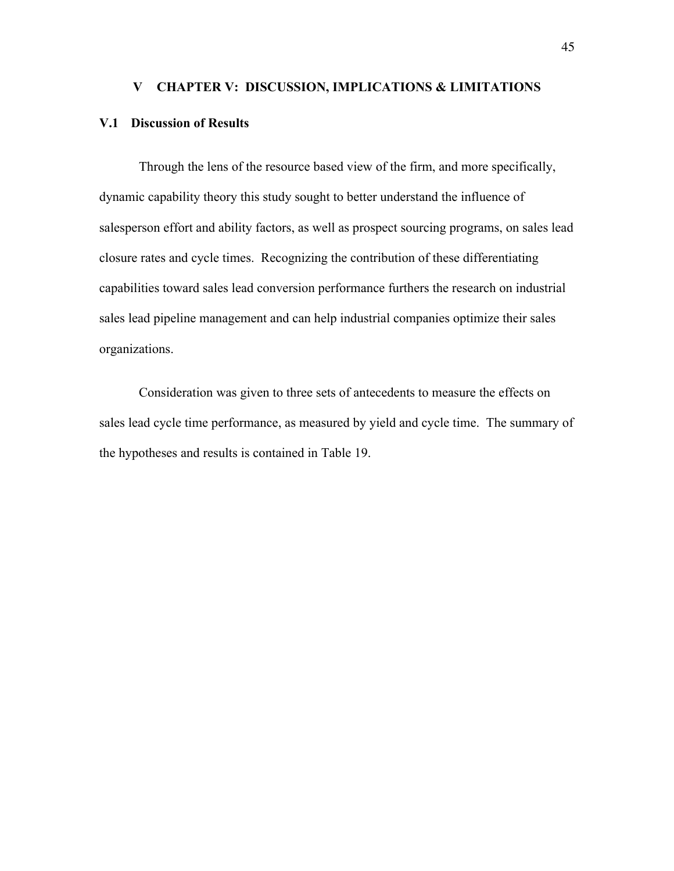#### **V CHAPTER V: DISCUSSION, IMPLICATIONS & LIMITATIONS**

## **V.1 Discussion of Results**

Through the lens of the resource based view of the firm, and more specifically, dynamic capability theory this study sought to better understand the influence of salesperson effort and ability factors, as well as prospect sourcing programs, on sales lead closure rates and cycle times. Recognizing the contribution of these differentiating capabilities toward sales lead conversion performance furthers the research on industrial sales lead pipeline management and can help industrial companies optimize their sales organizations.

Consideration was given to three sets of antecedents to measure the effects on sales lead cycle time performance, as measured by yield and cycle time. The summary of the hypotheses and results is contained in Table 19.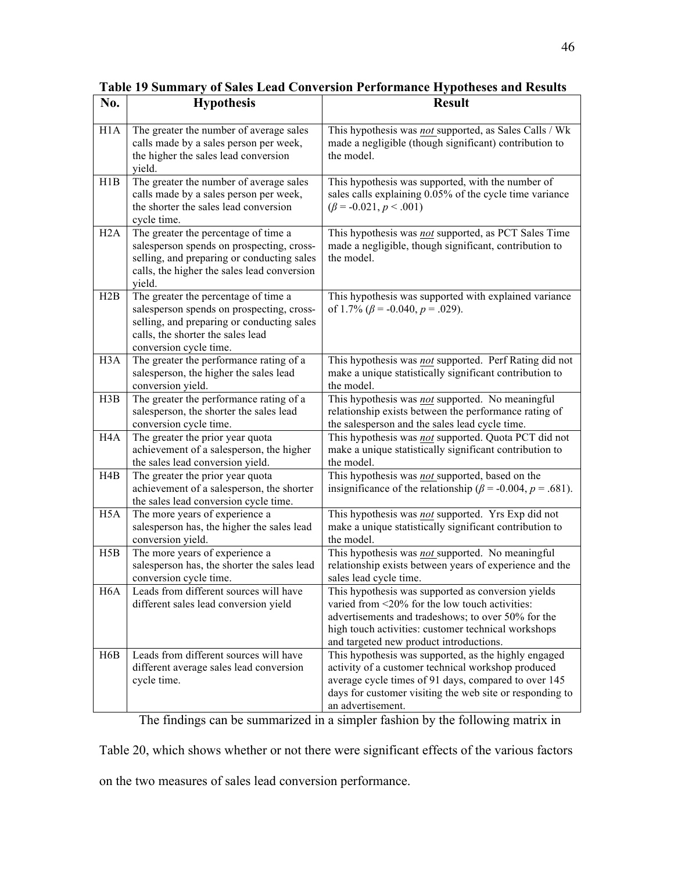| No.              | <b>Hypothesis</b>                                                                                                                                                                              | <b>Result</b>                                                                                                                                                                                                                                                |
|------------------|------------------------------------------------------------------------------------------------------------------------------------------------------------------------------------------------|--------------------------------------------------------------------------------------------------------------------------------------------------------------------------------------------------------------------------------------------------------------|
| H1A              | The greater the number of average sales<br>calls made by a sales person per week,<br>the higher the sales lead conversion<br>yield.                                                            | This hypothesis was not supported, as Sales Calls / Wk<br>made a negligible (though significant) contribution to<br>the model.                                                                                                                               |
| H1B              | The greater the number of average sales<br>calls made by a sales person per week,<br>the shorter the sales lead conversion<br>cycle time.                                                      | This hypothesis was supported, with the number of<br>sales calls explaining 0.05% of the cycle time variance<br>$(\beta = -0.021, p < .001)$                                                                                                                 |
| H2A              | The greater the percentage of time a<br>salesperson spends on prospecting, cross-<br>selling, and preparing or conducting sales<br>calls, the higher the sales lead conversion<br>yield.       | This hypothesis was not supported, as PCT Sales Time<br>made a negligible, though significant, contribution to<br>the model.                                                                                                                                 |
| H2B              | The greater the percentage of time a<br>salesperson spends on prospecting, cross-<br>selling, and preparing or conducting sales<br>calls, the shorter the sales lead<br>conversion cycle time. | This hypothesis was supported with explained variance<br>of 1.7% ( $\beta$ = -0.040, $p$ = .029).                                                                                                                                                            |
| H <sub>3</sub> A | The greater the performance rating of a<br>salesperson, the higher the sales lead<br>conversion yield.                                                                                         | This hypothesis was not supported. Perf Rating did not<br>make a unique statistically significant contribution to<br>the model.                                                                                                                              |
| H3B              | The greater the performance rating of a<br>salesperson, the shorter the sales lead<br>conversion cycle time.                                                                                   | This hypothesis was not supported. No meaningful<br>relationship exists between the performance rating of<br>the salesperson and the sales lead cycle time.                                                                                                  |
| H <sub>4</sub> A | The greater the prior year quota<br>achievement of a salesperson, the higher<br>the sales lead conversion yield.                                                                               | This hypothesis was not supported. Quota PCT did not<br>make a unique statistically significant contribution to<br>the model.                                                                                                                                |
| H4B              | The greater the prior year quota<br>achievement of a salesperson, the shorter<br>the sales lead conversion cycle time.                                                                         | This hypothesis was not supported, based on the<br>insignificance of the relationship ( $\beta$ = -0.004, p = .681).                                                                                                                                         |
| H <sub>5</sub> A | The more years of experience a<br>salesperson has, the higher the sales lead<br>conversion yield.                                                                                              | This hypothesis was not supported. Yrs Exp did not<br>make a unique statistically significant contribution to<br>the model.                                                                                                                                  |
| H5B              | The more years of experience a<br>salesperson has, the shorter the sales lead<br>conversion cycle time.                                                                                        | This hypothesis was not supported. No meaningful<br>relationship exists between years of experience and the<br>sales lead cycle time.                                                                                                                        |
| H <sub>6</sub> A | Leads from different sources will have<br>different sales lead conversion yield                                                                                                                | This hypothesis was supported as conversion yields<br>varied from <20% for the low touch activities:<br>advertisements and tradeshows; to over 50% for the<br>high touch activities: customer technical workshops<br>and targeted new product introductions. |
| H6B              | Leads from different sources will have<br>different average sales lead conversion<br>cycle time.                                                                                               | This hypothesis was supported, as the highly engaged<br>activity of a customer technical workshop produced<br>average cycle times of 91 days, compared to over 145<br>days for customer visiting the web site or responding to<br>an advertisement.          |

**Table 19 Summary of Sales Lead Conversion Performance Hypotheses and Results**

The findings can be summarized in a simpler fashion by the following matrix in

Table 20, which shows whether or not there were significant effects of the various factors

on the two measures of sales lead conversion performance.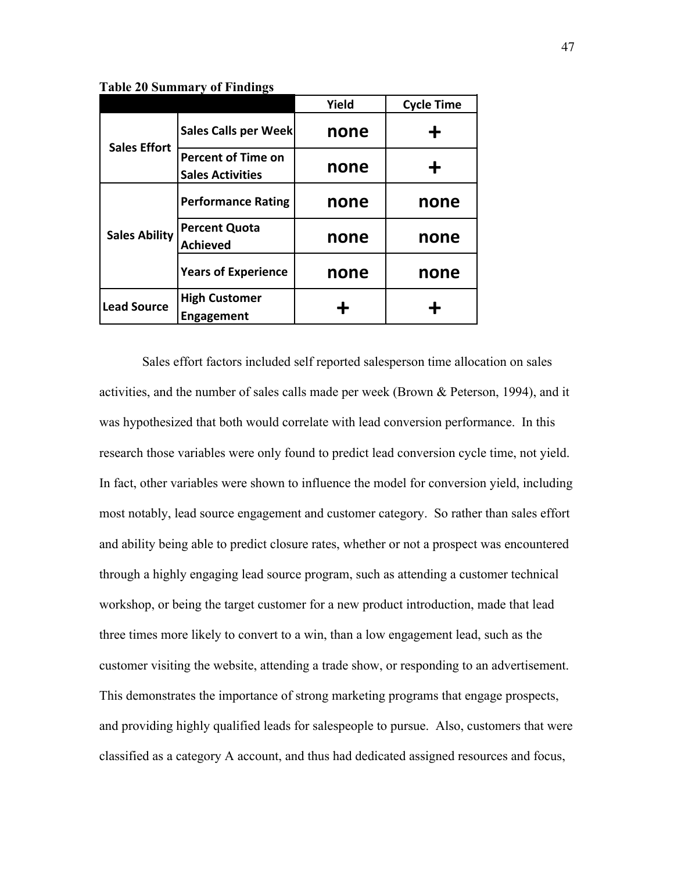|                      |                                                      | Yield | <b>Cycle Time</b> |  |
|----------------------|------------------------------------------------------|-------|-------------------|--|
| <b>Sales Effort</b>  | Sales Calls per Week                                 | none  |                   |  |
|                      | <b>Percent of Time on</b><br><b>Sales Activities</b> | none  | ╋                 |  |
|                      | <b>Performance Rating</b>                            | none  | none              |  |
| <b>Sales Ability</b> | <b>Percent Quota</b><br><b>Achieved</b>              | none  | none              |  |
|                      | <b>Years of Experience</b>                           | none  | none              |  |
| <b>Lead Source</b>   | <b>High Customer</b><br><b>Engagement</b>            |       |                   |  |

**Table 20 Summary of Findings**

Sales effort factors included self reported salesperson time allocation on sales activities, and the number of sales calls made per week (Brown & Peterson, 1994), and it was hypothesized that both would correlate with lead conversion performance. In this research those variables were only found to predict lead conversion cycle time, not yield. In fact, other variables were shown to influence the model for conversion yield, including most notably, lead source engagement and customer category. So rather than sales effort and ability being able to predict closure rates, whether or not a prospect was encountered through a highly engaging lead source program, such as attending a customer technical workshop, or being the target customer for a new product introduction, made that lead three times more likely to convert to a win, than a low engagement lead, such as the customer visiting the website, attending a trade show, or responding to an advertisement. This demonstrates the importance of strong marketing programs that engage prospects, and providing highly qualified leads for salespeople to pursue. Also, customers that were classified as a category A account, and thus had dedicated assigned resources and focus,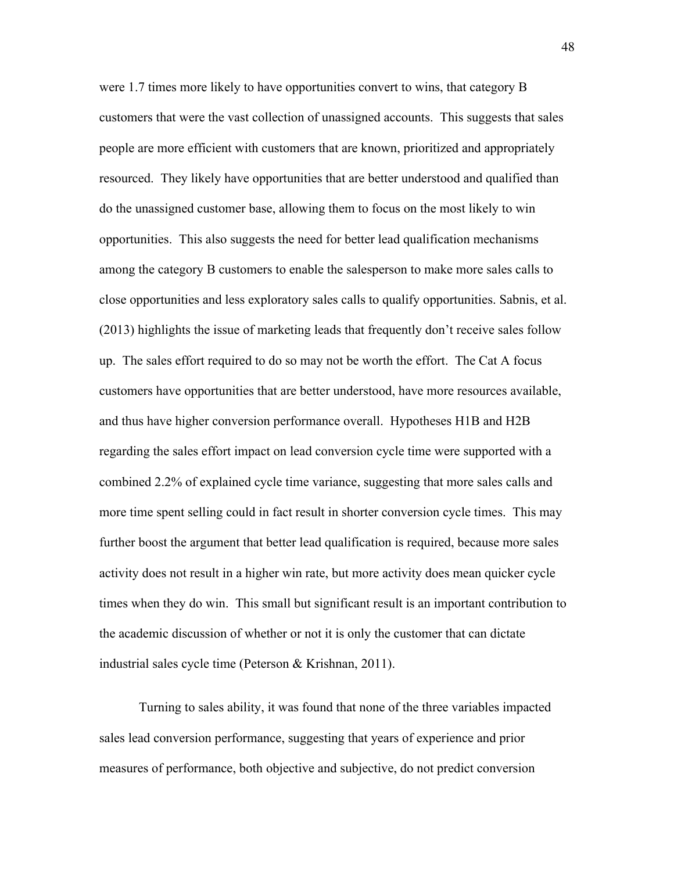were 1.7 times more likely to have opportunities convert to wins, that category B customers that were the vast collection of unassigned accounts. This suggests that sales people are more efficient with customers that are known, prioritized and appropriately resourced. They likely have opportunities that are better understood and qualified than do the unassigned customer base, allowing them to focus on the most likely to win opportunities. This also suggests the need for better lead qualification mechanisms among the category B customers to enable the salesperson to make more sales calls to close opportunities and less exploratory sales calls to qualify opportunities. Sabnis, et al. (2013) highlights the issue of marketing leads that frequently don't receive sales follow up. The sales effort required to do so may not be worth the effort. The Cat A focus customers have opportunities that are better understood, have more resources available, and thus have higher conversion performance overall. Hypotheses H1B and H2B regarding the sales effort impact on lead conversion cycle time were supported with a combined 2.2% of explained cycle time variance, suggesting that more sales calls and more time spent selling could in fact result in shorter conversion cycle times. This may further boost the argument that better lead qualification is required, because more sales activity does not result in a higher win rate, but more activity does mean quicker cycle times when they do win. This small but significant result is an important contribution to the academic discussion of whether or not it is only the customer that can dictate industrial sales cycle time (Peterson & Krishnan, 2011).

Turning to sales ability, it was found that none of the three variables impacted sales lead conversion performance, suggesting that years of experience and prior measures of performance, both objective and subjective, do not predict conversion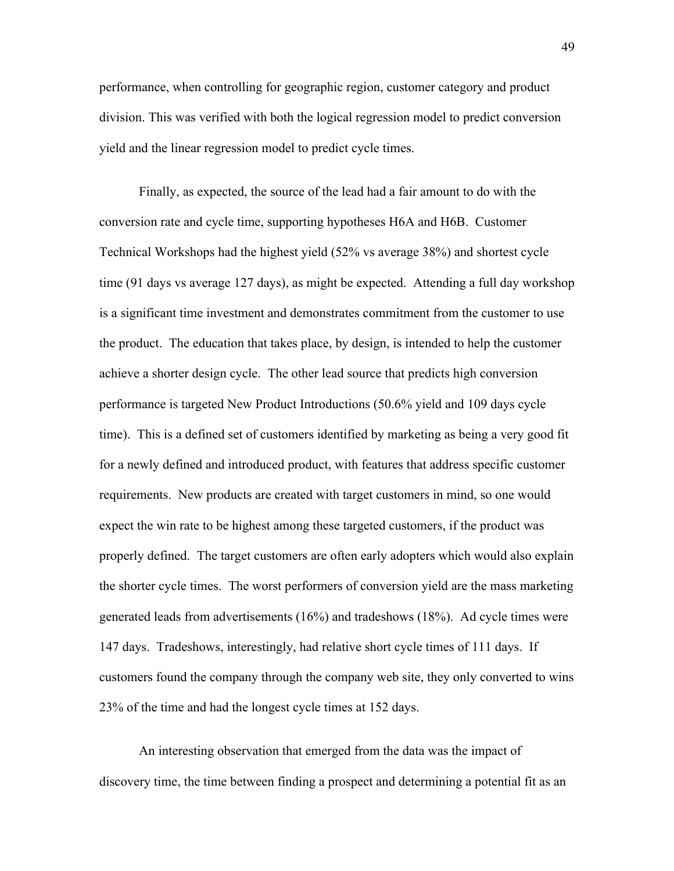performance, when controlling for geographic region, customer category and product division. This was verified with both the logical regression model to predict conversion yield and the linear regression model to predict cycle times.

Finally, as expected, the source of the lead had a fair amount to do with the conversion rate and cycle time, supporting hypotheses H6A and H6B. Customer Technical Workshops had the highest yield (52% vs average 38%) and shortest cycle time (91 days vs average 127 days), as might be expected. Attending a full day workshop is a significant time investment and demonstrates commitment from the customer to use the product. The education that takes place, by design, is intended to help the customer achieve a shorter design cycle. The other lead source that predicts high conversion performance is targeted New Product Introductions (50.6% yield and 109 days cycle time). This is a defined set of customers identified by marketing as being a very good fit for a newly defined and introduced product, with features that address specific customer requirements. New products are created with target customers in mind, so one would expect the win rate to be highest among these targeted customers, if the product was properly defined. The target customers are often early adopters which would also explain the shorter cycle times. The worst performers of conversion yield are the mass marketing generated leads from advertisements (16%) and tradeshows (18%). Ad cycle times were 147 days. Tradeshows, interestingly, had relative short cycle times of 111 days. If customers found the company through the company web site, they only converted to wins 23% of the time and had the longest cycle times at 152 days.

An interesting observation that emerged from the data was the impact of discovery time, the time between finding a prospect and determining a potential fit as an

49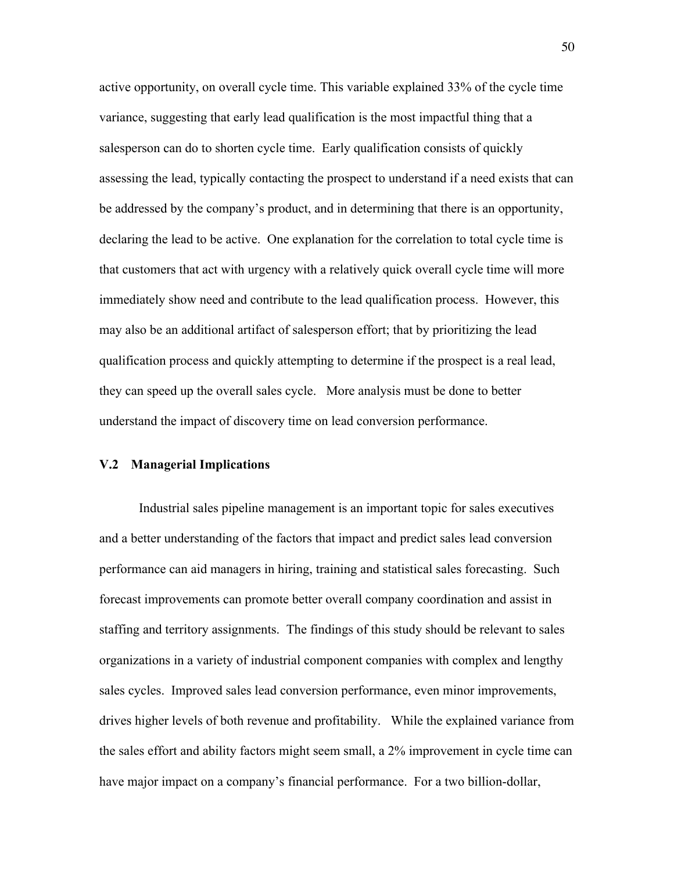active opportunity, on overall cycle time. This variable explained 33% of the cycle time variance, suggesting that early lead qualification is the most impactful thing that a salesperson can do to shorten cycle time. Early qualification consists of quickly assessing the lead, typically contacting the prospect to understand if a need exists that can be addressed by the company's product, and in determining that there is an opportunity, declaring the lead to be active. One explanation for the correlation to total cycle time is that customers that act with urgency with a relatively quick overall cycle time will more immediately show need and contribute to the lead qualification process. However, this may also be an additional artifact of salesperson effort; that by prioritizing the lead qualification process and quickly attempting to determine if the prospect is a real lead, they can speed up the overall sales cycle. More analysis must be done to better understand the impact of discovery time on lead conversion performance.

## **V.2 Managerial Implications**

Industrial sales pipeline management is an important topic for sales executives and a better understanding of the factors that impact and predict sales lead conversion performance can aid managers in hiring, training and statistical sales forecasting. Such forecast improvements can promote better overall company coordination and assist in staffing and territory assignments. The findings of this study should be relevant to sales organizations in a variety of industrial component companies with complex and lengthy sales cycles. Improved sales lead conversion performance, even minor improvements, drives higher levels of both revenue and profitability. While the explained variance from the sales effort and ability factors might seem small, a 2% improvement in cycle time can have major impact on a company's financial performance. For a two billion-dollar,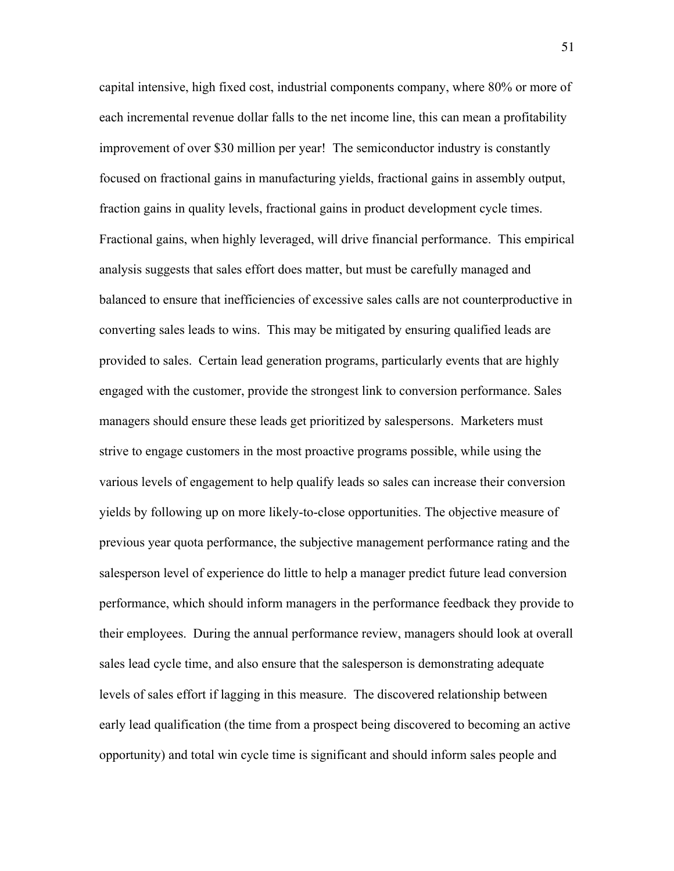capital intensive, high fixed cost, industrial components company, where 80% or more of each incremental revenue dollar falls to the net income line, this can mean a profitability improvement of over \$30 million per year! The semiconductor industry is constantly focused on fractional gains in manufacturing yields, fractional gains in assembly output, fraction gains in quality levels, fractional gains in product development cycle times. Fractional gains, when highly leveraged, will drive financial performance. This empirical analysis suggests that sales effort does matter, but must be carefully managed and balanced to ensure that inefficiencies of excessive sales calls are not counterproductive in converting sales leads to wins. This may be mitigated by ensuring qualified leads are provided to sales. Certain lead generation programs, particularly events that are highly engaged with the customer, provide the strongest link to conversion performance. Sales managers should ensure these leads get prioritized by salespersons. Marketers must strive to engage customers in the most proactive programs possible, while using the various levels of engagement to help qualify leads so sales can increase their conversion yields by following up on more likely-to-close opportunities. The objective measure of previous year quota performance, the subjective management performance rating and the salesperson level of experience do little to help a manager predict future lead conversion performance, which should inform managers in the performance feedback they provide to their employees. During the annual performance review, managers should look at overall sales lead cycle time, and also ensure that the salesperson is demonstrating adequate levels of sales effort if lagging in this measure. The discovered relationship between early lead qualification (the time from a prospect being discovered to becoming an active opportunity) and total win cycle time is significant and should inform sales people and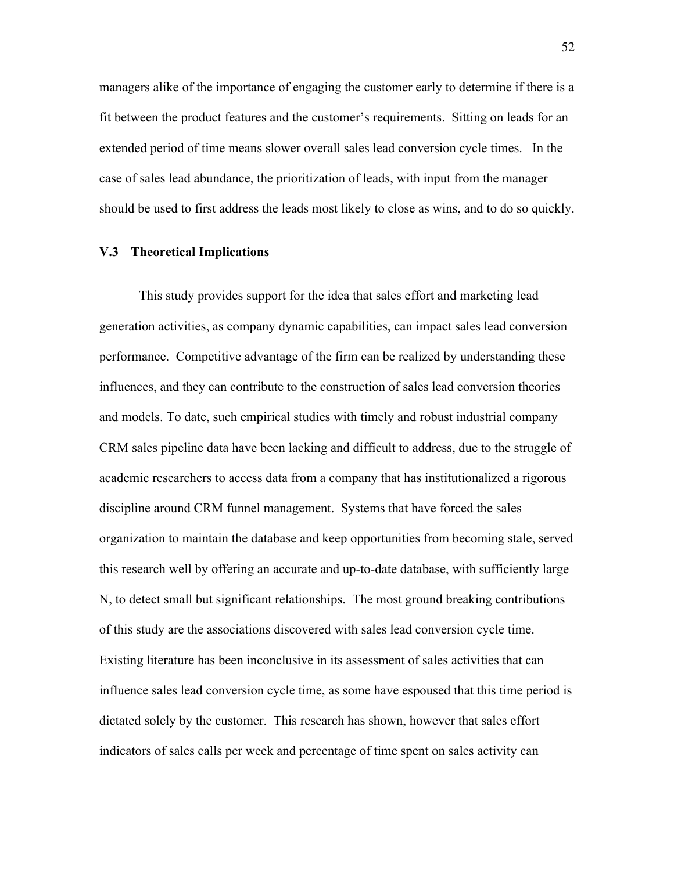managers alike of the importance of engaging the customer early to determine if there is a fit between the product features and the customer's requirements. Sitting on leads for an extended period of time means slower overall sales lead conversion cycle times. In the case of sales lead abundance, the prioritization of leads, with input from the manager should be used to first address the leads most likely to close as wins, and to do so quickly.

### **V.3 Theoretical Implications**

This study provides support for the idea that sales effort and marketing lead generation activities, as company dynamic capabilities, can impact sales lead conversion performance. Competitive advantage of the firm can be realized by understanding these influences, and they can contribute to the construction of sales lead conversion theories and models. To date, such empirical studies with timely and robust industrial company CRM sales pipeline data have been lacking and difficult to address, due to the struggle of academic researchers to access data from a company that has institutionalized a rigorous discipline around CRM funnel management. Systems that have forced the sales organization to maintain the database and keep opportunities from becoming stale, served this research well by offering an accurate and up-to-date database, with sufficiently large N, to detect small but significant relationships. The most ground breaking contributions of this study are the associations discovered with sales lead conversion cycle time. Existing literature has been inconclusive in its assessment of sales activities that can influence sales lead conversion cycle time, as some have espoused that this time period is dictated solely by the customer. This research has shown, however that sales effort indicators of sales calls per week and percentage of time spent on sales activity can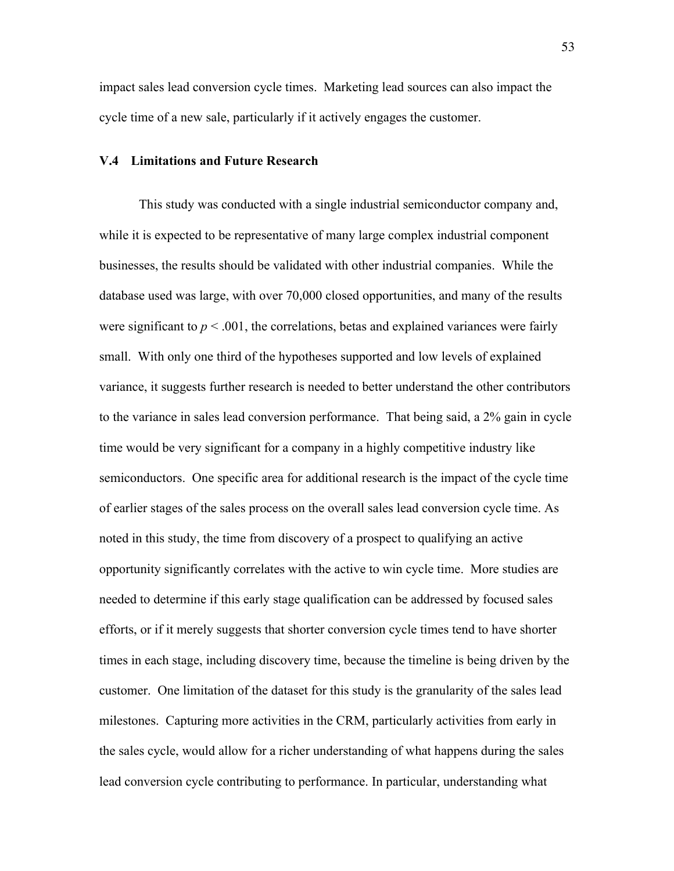impact sales lead conversion cycle times. Marketing lead sources can also impact the cycle time of a new sale, particularly if it actively engages the customer.

### **V.4 Limitations and Future Research**

This study was conducted with a single industrial semiconductor company and, while it is expected to be representative of many large complex industrial component businesses, the results should be validated with other industrial companies. While the database used was large, with over 70,000 closed opportunities, and many of the results were significant to  $p < .001$ , the correlations, betas and explained variances were fairly small. With only one third of the hypotheses supported and low levels of explained variance, it suggests further research is needed to better understand the other contributors to the variance in sales lead conversion performance. That being said, a 2% gain in cycle time would be very significant for a company in a highly competitive industry like semiconductors. One specific area for additional research is the impact of the cycle time of earlier stages of the sales process on the overall sales lead conversion cycle time. As noted in this study, the time from discovery of a prospect to qualifying an active opportunity significantly correlates with the active to win cycle time. More studies are needed to determine if this early stage qualification can be addressed by focused sales efforts, or if it merely suggests that shorter conversion cycle times tend to have shorter times in each stage, including discovery time, because the timeline is being driven by the customer. One limitation of the dataset for this study is the granularity of the sales lead milestones. Capturing more activities in the CRM, particularly activities from early in the sales cycle, would allow for a richer understanding of what happens during the sales lead conversion cycle contributing to performance. In particular, understanding what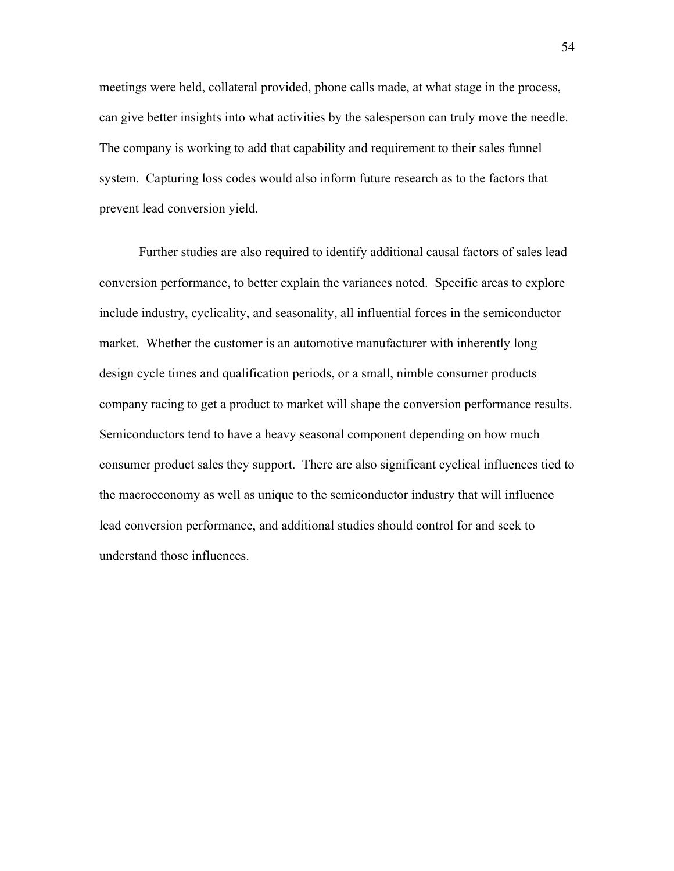meetings were held, collateral provided, phone calls made, at what stage in the process, can give better insights into what activities by the salesperson can truly move the needle. The company is working to add that capability and requirement to their sales funnel system. Capturing loss codes would also inform future research as to the factors that prevent lead conversion yield.

Further studies are also required to identify additional causal factors of sales lead conversion performance, to better explain the variances noted. Specific areas to explore include industry, cyclicality, and seasonality, all influential forces in the semiconductor market. Whether the customer is an automotive manufacturer with inherently long design cycle times and qualification periods, or a small, nimble consumer products company racing to get a product to market will shape the conversion performance results. Semiconductors tend to have a heavy seasonal component depending on how much consumer product sales they support. There are also significant cyclical influences tied to the macroeconomy as well as unique to the semiconductor industry that will influence lead conversion performance, and additional studies should control for and seek to understand those influences.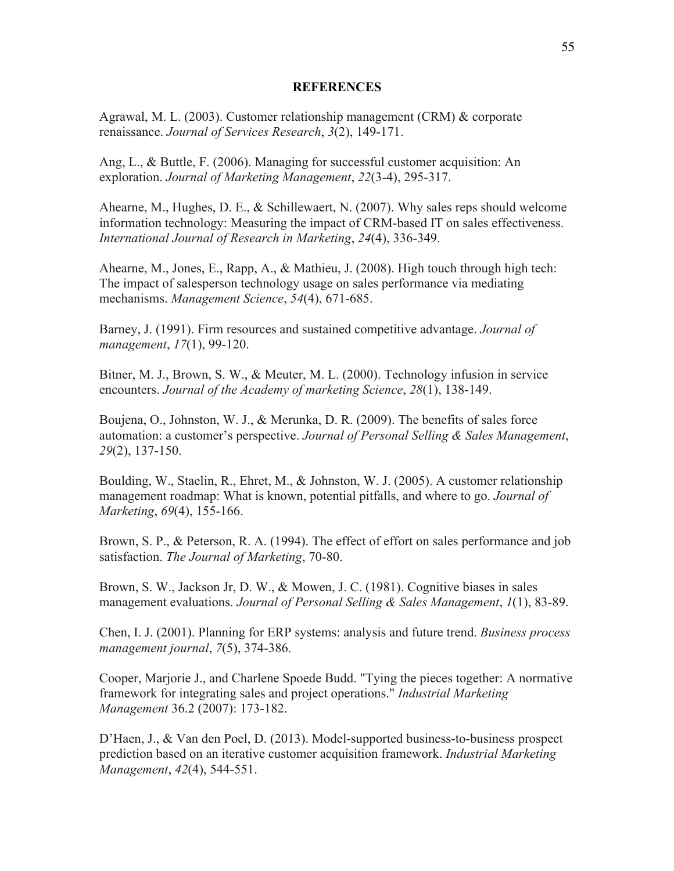### **REFERENCES**

Agrawal, M. L. (2003). Customer relationship management (CRM) & corporate renaissance. *Journal of Services Research*, *3*(2), 149-171.

Ang, L., & Buttle, F. (2006). Managing for successful customer acquisition: An exploration. *Journal of Marketing Management*, *22*(3-4), 295-317.

Ahearne, M., Hughes, D. E., & Schillewaert, N. (2007). Why sales reps should welcome information technology: Measuring the impact of CRM-based IT on sales effectiveness. *International Journal of Research in Marketing*, *24*(4), 336-349.

Ahearne, M., Jones, E., Rapp, A., & Mathieu, J. (2008). High touch through high tech: The impact of salesperson technology usage on sales performance via mediating mechanisms. *Management Science*, *54*(4), 671-685.

Barney, J. (1991). Firm resources and sustained competitive advantage. *Journal of management*, *17*(1), 99-120.

Bitner, M. J., Brown, S. W., & Meuter, M. L. (2000). Technology infusion in service encounters. *Journal of the Academy of marketing Science*, *28*(1), 138-149.

Boujena, O., Johnston, W. J., & Merunka, D. R. (2009). The benefits of sales force automation: a customer's perspective. *Journal of Personal Selling & Sales Management*, *29*(2), 137-150.

Boulding, W., Staelin, R., Ehret, M., & Johnston, W. J. (2005). A customer relationship management roadmap: What is known, potential pitfalls, and where to go. *Journal of Marketing*, *69*(4), 155-166.

Brown, S. P., & Peterson, R. A. (1994). The effect of effort on sales performance and job satisfaction. *The Journal of Marketing*, 70-80.

Brown, S. W., Jackson Jr, D. W., & Mowen, J. C. (1981). Cognitive biases in sales management evaluations. *Journal of Personal Selling & Sales Management*, *1*(1), 83-89.

Chen, I. J. (2001). Planning for ERP systems: analysis and future trend. *Business process management journal*, *7*(5), 374-386.

Cooper, Marjorie J., and Charlene Spoede Budd. "Tying the pieces together: A normative framework for integrating sales and project operations." *Industrial Marketing Management* 36.2 (2007): 173-182.

D'Haen, J., & Van den Poel, D. (2013). Model-supported business-to-business prospect prediction based on an iterative customer acquisition framework. *Industrial Marketing Management*, *42*(4), 544-551.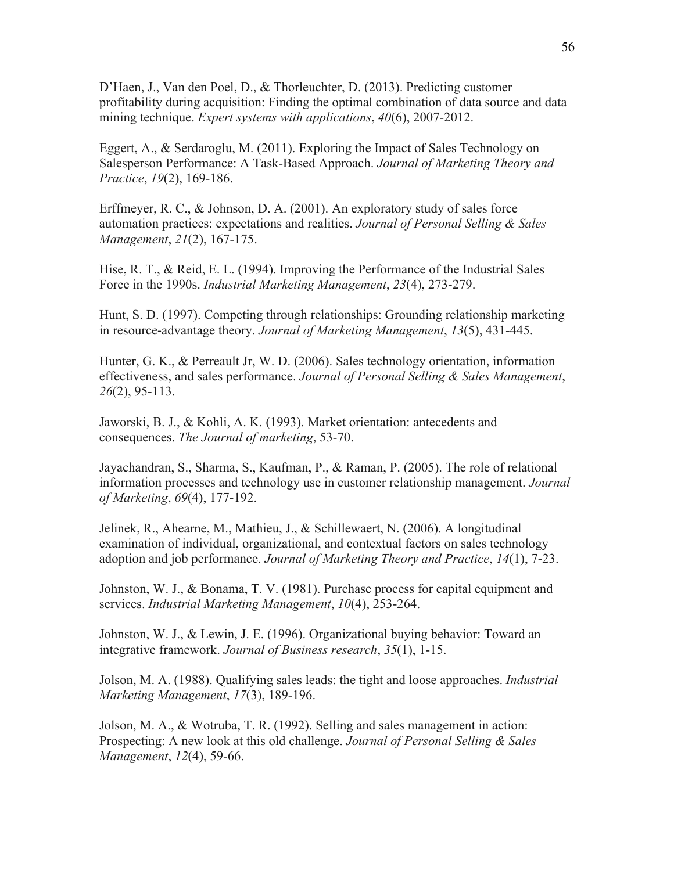D'Haen, J., Van den Poel, D., & Thorleuchter, D. (2013). Predicting customer profitability during acquisition: Finding the optimal combination of data source and data mining technique. *Expert systems with applications*, *40*(6), 2007-2012.

Eggert, A., & Serdaroglu, M. (2011). Exploring the Impact of Sales Technology on Salesperson Performance: A Task-Based Approach. *Journal of Marketing Theory and Practice*, *19*(2), 169-186.

Erffmeyer, R. C., & Johnson, D. A. (2001). An exploratory study of sales force automation practices: expectations and realities. *Journal of Personal Selling & Sales Management*, *21*(2), 167-175.

Hise, R. T., & Reid, E. L. (1994). Improving the Performance of the Industrial Sales Force in the 1990s. *Industrial Marketing Management*, *23*(4), 273-279.

Hunt, S. D. (1997). Competing through relationships: Grounding relationship marketing in resource-advantage theory. *Journal of Marketing Management*, *13*(5), 431-445.

Hunter, G. K., & Perreault Jr, W. D. (2006). Sales technology orientation, information effectiveness, and sales performance. *Journal of Personal Selling & Sales Management*, *26*(2), 95-113.

Jaworski, B. J., & Kohli, A. K. (1993). Market orientation: antecedents and consequences. *The Journal of marketing*, 53-70.

Jayachandran, S., Sharma, S., Kaufman, P., & Raman, P. (2005). The role of relational information processes and technology use in customer relationship management. *Journal of Marketing*, *69*(4), 177-192.

Jelinek, R., Ahearne, M., Mathieu, J., & Schillewaert, N. (2006). A longitudinal examination of individual, organizational, and contextual factors on sales technology adoption and job performance. *Journal of Marketing Theory and Practice*, *14*(1), 7-23.

Johnston, W. J., & Bonama, T. V. (1981). Purchase process for capital equipment and services. *Industrial Marketing Management*, *10*(4), 253-264.

Johnston, W. J., & Lewin, J. E. (1996). Organizational buying behavior: Toward an integrative framework. *Journal of Business research*, *35*(1), 1-15.

Jolson, M. A. (1988). Qualifying sales leads: the tight and loose approaches. *Industrial Marketing Management*, *17*(3), 189-196.

Jolson, M. A., & Wotruba, T. R. (1992). Selling and sales management in action: Prospecting: A new look at this old challenge. *Journal of Personal Selling & Sales Management*, *12*(4), 59-66.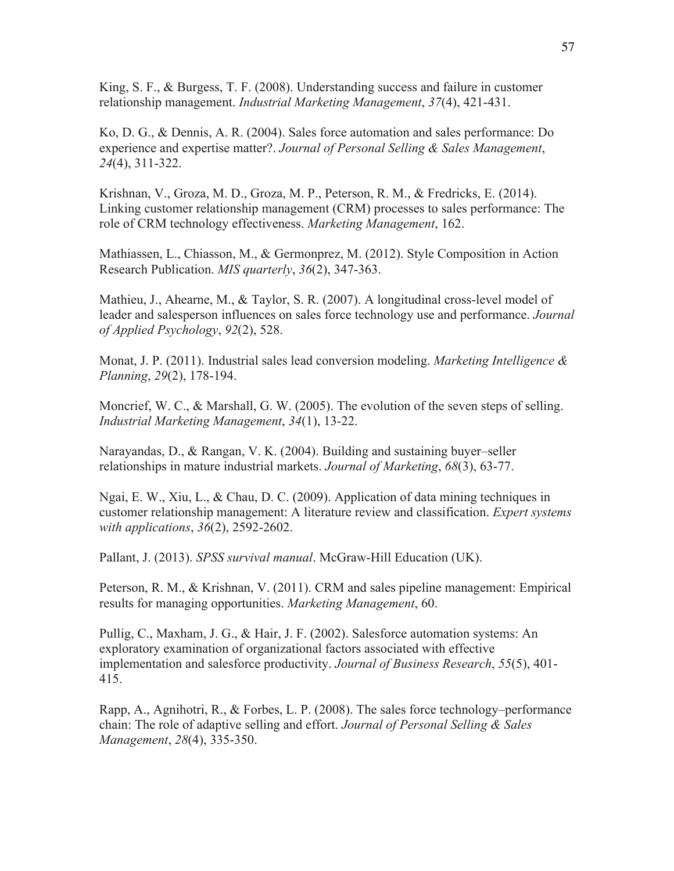King, S. F., & Burgess, T. F. (2008). Understanding success and failure in customer relationship management. *Industrial Marketing Management*, *37*(4), 421-431.

Ko, D. G., & Dennis, A. R. (2004). Sales force automation and sales performance: Do experience and expertise matter?. *Journal of Personal Selling & Sales Management*, *24*(4), 311-322.

Krishnan, V., Groza, M. D., Groza, M. P., Peterson, R. M., & Fredricks, E. (2014). Linking customer relationship management (CRM) processes to sales performance: The role of CRM technology effectiveness. *Marketing Management*, 162.

Mathiassen, L., Chiasson, M., & Germonprez, M. (2012). Style Composition in Action Research Publication. *MIS quarterly*, *36*(2), 347-363.

Mathieu, J., Ahearne, M., & Taylor, S. R. (2007). A longitudinal cross-level model of leader and salesperson influences on sales force technology use and performance. *Journal of Applied Psychology*, *92*(2), 528.

Monat, J. P. (2011). Industrial sales lead conversion modeling. *Marketing Intelligence & Planning*, *29*(2), 178-194.

Moncrief, W. C., & Marshall, G. W. (2005). The evolution of the seven steps of selling. *Industrial Marketing Management*, *34*(1), 13-22.

Narayandas, D., & Rangan, V. K. (2004). Building and sustaining buyer–seller relationships in mature industrial markets. *Journal of Marketing*, *68*(3), 63-77.

Ngai, E. W., Xiu, L., & Chau, D. C. (2009). Application of data mining techniques in customer relationship management: A literature review and classification. *Expert systems with applications*, *36*(2), 2592-2602.

Pallant, J. (2013). *SPSS survival manual*. McGraw-Hill Education (UK).

Peterson, R. M., & Krishnan, V. (2011). CRM and sales pipeline management: Empirical results for managing opportunities. *Marketing Management*, 60.

Pullig, C., Maxham, J. G., & Hair, J. F. (2002). Salesforce automation systems: An exploratory examination of organizational factors associated with effective implementation and salesforce productivity. *Journal of Business Research*, *55*(5), 401- 415.

Rapp, A., Agnihotri, R., & Forbes, L. P. (2008). The sales force technology–performance chain: The role of adaptive selling and effort. *Journal of Personal Selling & Sales Management*, *28*(4), 335-350.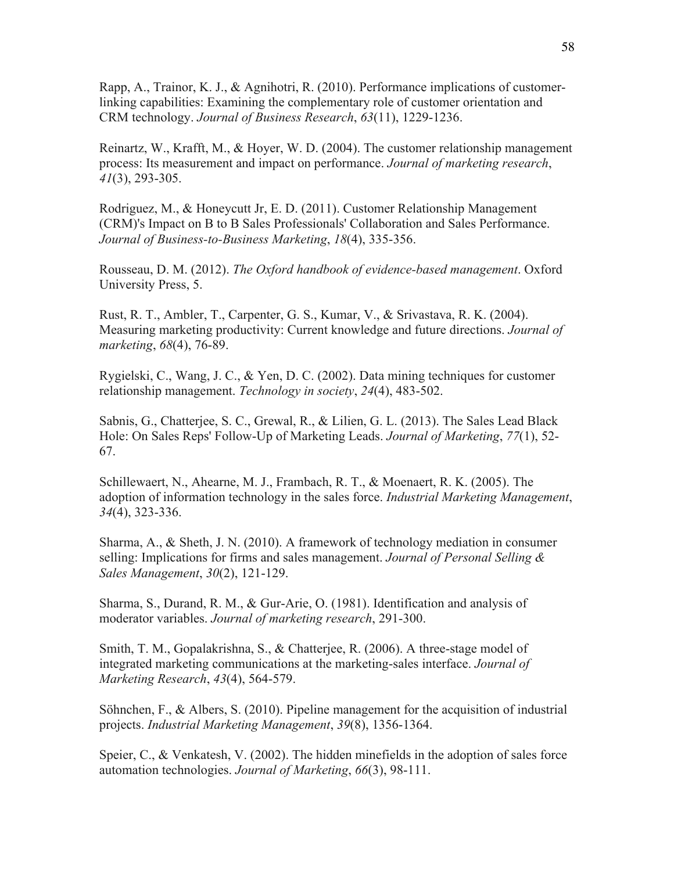Rapp, A., Trainor, K. J., & Agnihotri, R. (2010). Performance implications of customerlinking capabilities: Examining the complementary role of customer orientation and CRM technology. *Journal of Business Research*, *63*(11), 1229-1236.

Reinartz, W., Krafft, M., & Hoyer, W. D. (2004). The customer relationship management process: Its measurement and impact on performance. *Journal of marketing research*, *41*(3), 293-305.

Rodriguez, M., & Honeycutt Jr, E. D. (2011). Customer Relationship Management (CRM)'s Impact on B to B Sales Professionals' Collaboration and Sales Performance. *Journal of Business-to-Business Marketing*, *18*(4), 335-356.

Rousseau, D. M. (2012). *The Oxford handbook of evidence-based management*. Oxford University Press, 5.

Rust, R. T., Ambler, T., Carpenter, G. S., Kumar, V., & Srivastava, R. K. (2004). Measuring marketing productivity: Current knowledge and future directions. *Journal of marketing*, *68*(4), 76-89.

Rygielski, C., Wang, J. C., & Yen, D. C. (2002). Data mining techniques for customer relationship management. *Technology in society*, *24*(4), 483-502.

Sabnis, G., Chatterjee, S. C., Grewal, R., & Lilien, G. L. (2013). The Sales Lead Black Hole: On Sales Reps' Follow-Up of Marketing Leads. *Journal of Marketing*, *77*(1), 52- 67.

Schillewaert, N., Ahearne, M. J., Frambach, R. T., & Moenaert, R. K. (2005). The adoption of information technology in the sales force. *Industrial Marketing Management*, *34*(4), 323-336.

Sharma, A., & Sheth, J. N. (2010). A framework of technology mediation in consumer selling: Implications for firms and sales management. *Journal of Personal Selling & Sales Management*, *30*(2), 121-129.

Sharma, S., Durand, R. M., & Gur-Arie, O. (1981). Identification and analysis of moderator variables. *Journal of marketing research*, 291-300.

Smith, T. M., Gopalakrishna, S., & Chatterjee, R. (2006). A three-stage model of integrated marketing communications at the marketing-sales interface. *Journal of Marketing Research*, *43*(4), 564-579.

Söhnchen, F., & Albers, S. (2010). Pipeline management for the acquisition of industrial projects. *Industrial Marketing Management*, *39*(8), 1356-1364.

Speier, C., & Venkatesh, V. (2002). The hidden minefields in the adoption of sales force automation technologies. *Journal of Marketing*, *66*(3), 98-111.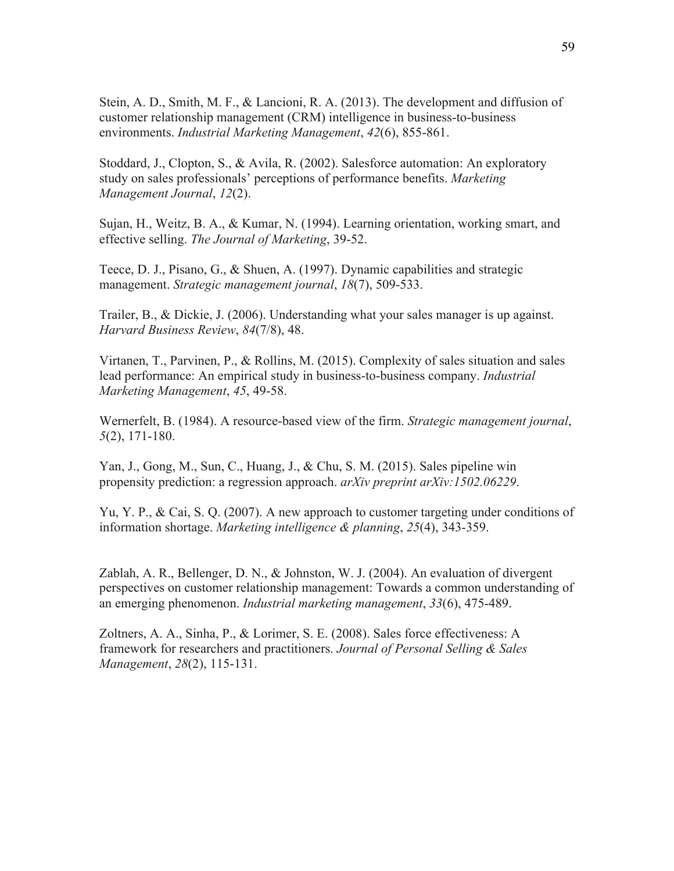Stein, A. D., Smith, M. F., & Lancioni, R. A. (2013). The development and diffusion of customer relationship management (CRM) intelligence in business-to-business environments. *Industrial Marketing Management*, *42*(6), 855-861.

Stoddard, J., Clopton, S., & Avila, R. (2002). Salesforce automation: An exploratory study on sales professionals' perceptions of performance benefits. *Marketing Management Journal*, *12*(2).

Sujan, H., Weitz, B. A., & Kumar, N. (1994). Learning orientation, working smart, and effective selling. *The Journal of Marketing*, 39-52.

Teece, D. J., Pisano, G., & Shuen, A. (1997). Dynamic capabilities and strategic management. *Strategic management journal*, *18*(7), 509-533.

Trailer, B., & Dickie, J. (2006). Understanding what your sales manager is up against. *Harvard Business Review*, *84*(7/8), 48.

Virtanen, T., Parvinen, P., & Rollins, M. (2015). Complexity of sales situation and sales lead performance: An empirical study in business-to-business company. *Industrial Marketing Management*, *45*, 49-58.

Wernerfelt, B. (1984). A resource-based view of the firm. *Strategic management journal*, *5*(2), 171-180.

Yan, J., Gong, M., Sun, C., Huang, J., & Chu, S. M. (2015). Sales pipeline win propensity prediction: a regression approach. *arXiv preprint arXiv:1502.06229*.

Yu, Y. P., & Cai, S. Q. (2007). A new approach to customer targeting under conditions of information shortage. *Marketing intelligence & planning*, *25*(4), 343-359.

Zablah, A. R., Bellenger, D. N., & Johnston, W. J. (2004). An evaluation of divergent perspectives on customer relationship management: Towards a common understanding of an emerging phenomenon. *Industrial marketing management*, *33*(6), 475-489.

Zoltners, A. A., Sinha, P., & Lorimer, S. E. (2008). Sales force effectiveness: A framework for researchers and practitioners. *Journal of Personal Selling & Sales Management*, *28*(2), 115-131.